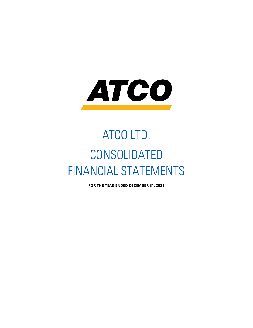

# ATCO LTD. CONSOLIDATED FINANCIAL STATEMENTS

**FOR THE YEAR ENDED DECEMBER 31, 2021**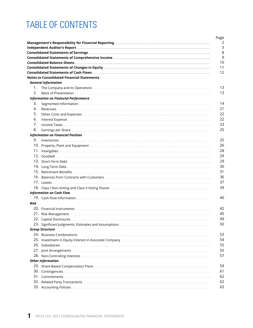## **TABLE OF CONTENTS**

|      |                                                   | 2<br>3 |
|------|---------------------------------------------------|--------|
|      |                                                   | 8      |
|      |                                                   | 9      |
|      |                                                   | 10     |
|      |                                                   | 11     |
|      |                                                   | 12     |
|      | <b>Notes to Consolidated Financial Statements</b> |        |
|      | <b>General Information</b>                        |        |
| 1.   |                                                   | 13     |
| 2.   |                                                   | 13     |
|      | <b>Information on Financial Performance</b>       |        |
| З.   |                                                   | 14     |
| 4.   |                                                   | 21     |
| 5.   |                                                   | 22     |
| 6.   |                                                   | 22     |
| 7.   |                                                   | 23     |
| 8.   |                                                   | 25     |
|      | <b>Information on Financial Position</b>          |        |
| 9.   |                                                   | 25     |
|      |                                                   | 26     |
|      |                                                   | 28     |
|      |                                                   | 29     |
|      |                                                   | 29     |
|      |                                                   | 30     |
|      |                                                   | 31     |
|      |                                                   | 36     |
|      |                                                   | 37     |
|      |                                                   | 39     |
|      | <b>Information on Cash Flow</b>                   |        |
|      |                                                   | 40     |
| Risk |                                                   |        |
|      |                                                   | 42     |
|      |                                                   | 45     |
|      |                                                   | 49     |
|      |                                                   | 50     |
|      | <b>Group Structure</b>                            |        |
|      |                                                   | 53     |
|      |                                                   | 54     |
|      |                                                   | 55     |
|      |                                                   | 55     |
|      |                                                   | 57     |
|      | <b>Other Information</b>                          |        |
|      |                                                   | 59     |
|      |                                                   | 61     |
|      |                                                   | 62     |
|      |                                                   | 62     |
|      |                                                   | 63     |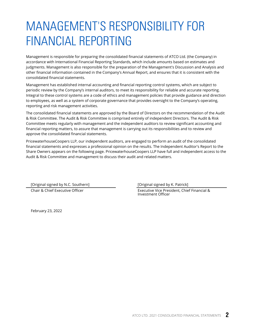## <span id="page-2-0"></span>MANAGEMENT'S RESPONSIBILITY FOR FINANCIAL REPORTING

Management is responsible for preparing the consolidated financial statements of ATCO Ltd. (the Company) in accordance with International Financial Reporting Standards, which include amounts based on estimates and judgments. Management is also responsible for the preparation of the Management's Discussion and Analysis and other financial information contained in the Company's Annual Report, and ensures that it is consistent with the consolidated financial statements.

Management has established internal accounting and financial reporting control systems, which are subject to periodic review by the Company's internal auditors, to meet its responsibility for reliable and accurate reporting. Integral to these control systems are a code of ethics and management policies that provide guidance and direction to employees, as well as a system of corporate governance that provides oversight to the Company's operating, reporting and risk management activities.

The consolidated financial statements are approved by the Board of Directors on the recommendation of the Audit & Risk Committee. The Audit & Risk Committee is comprised entirely of independent Directors. The Audit & Risk Committee meets regularly with management and the independent auditors to review significant accounting and financial reporting matters, to assure that management is carrying out its responsibilities and to review and approve the consolidated financial statements.

PricewaterhouseCoopers LLP, our independent auditors, are engaged to perform an audit of the consolidated financial statements and expresses a professional opinion on the results. The Independent Auditor's Report to the Share Owners appears on the following page. PricewaterhouseCoopers LLP have full and independent access to the Audit & Risk Committee and management to discuss their audit and related matters.

[Original signed by N.C. Southern] [Original signed by K. Patrick]

Chair & Chief Executive Officer Executive Vice President, Chief Financial & Investment Officer

February 23, 2022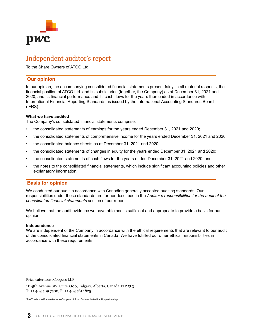<span id="page-3-0"></span>

## Independent auditor's report

To the Share Owners of ATCO Ltd.

## **Our opinion**

In our opinion, the accompanying consolidated financial statements present fairly, in all material respects, the financial position of ATCO Ltd. and its subsidiaries (together, the Company) as at December 31, 2021 and 2020, and its financial performance and its cash flows for the years then ended in accordance with International Financial Reporting Standards as issued by the International Accounting Standards Board (IFRS).

## **What we have audited**

The Company's consolidated financial statements comprise:

- the consolidated statements of earnings for the years ended December 31, 2021 and 2020;
- the consolidated statements of comprehensive income for the years ended December 31, 2021 and 2020;
- the consolidated balance sheets as at December 31, 2021 and 2020;
- the consolidated statements of changes in equity for the years ended December 31, 2021 and 2020;
- the consolidated statements of cash flows for the years ended December 31, 2021 and 2020; and
- the notes to the consolidated financial statements, which include significant accounting policies and other explanatory information.

## **Basis for opinion**

We conducted our audit in accordance with Canadian generally accepted auditing standards. Our responsibilities under those standards are further described in the *Auditor's responsibilities for the audit of the consolidated financial statements* section of our report.

We believe that the audit evidence we have obtained is sufficient and appropriate to provide a basis for our opinion.

## **Independence**

We are independent of the Company in accordance with the ethical requirements that are relevant to our audit of the consolidated financial statements in Canada. We have fulfilled our other ethical responsibilities in accordance with these requirements.

PricewaterhouseCoopers LLP

111-5th Avenue SW, Suite 3100, Calgary, Alberta, Canada T2P 5L3 T: +1 403 509 7500, F: +1 403 781 1825

"PwC" refers to PricewaterhouseCoopers LLP, an Ontario limited liability partnership.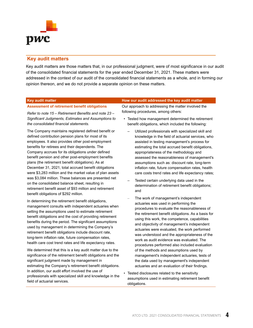

## **Key audit matters**

Key audit matters are those matters that, in our professional judgment, were of most significance in our audit of the consolidated financial statements for the year ended December 31, 2021. These matters were addressed in the context of our audit of the consolidated financial statements as a whole, and in forming our opinion thereon, and we do not provide a separate opinion on these matters.

#### **Assessment of retirement benefit obligations**

*Refer to note 15 – Retirement Benefits and note 23 – Significant Judgments, Estimates and Assumptions to the consolidated financial statements.*

The Company maintains registered defined benefit or defined contribution pension plans for most of its employees. It also provides other post-employment benefits for retirees and their dependents. The Company accrues for its obligations under defined benefit pension and other post-employment benefits plans (the retirement benefit obligations). As at December 31, 2021, total accrued benefit obligations were \$3,283 million and the market value of plan assets was \$3,084 million. These balances are presented net on the consolidated balance sheet, resulting in retirement benefit asset of \$93 million and retirement benefit obligations of \$292 million.

In determining the retirement benefit obligations, management consults with independent actuaries when setting the assumptions used to estimate retirement benefit obligations and the cost of providing retirement benefits during the period. The significant assumptions used by management in determining the Company's retirement benefit obligations include discount rate, long-term inflation rate, future compensation rates, health care cost trend rates and life expectancy rates.

We determined that this is a key audit matter due to the significance of the retirement benefit obligations and the significant judgment made by management in estimating the Company's retirement benefit obligations. In addition, our audit effort involved the use of professionals with specialized skill and knowledge in the field of actuarial services.

#### **Key audit matter How our audit addressed the key audit matter**

Our approach to addressing the matter involved the following procedures, among others:

- Tested how management determined the retirement benefit obligations, which included the following:
	- Utilized professionals with specialized skill and knowledge in the field of actuarial services, who assisted in testing management's process for estimating the total accrued benefit obligations, appropriateness of the methodology and assessed the reasonableness of management's assumptions such as: discount rate, long-term inflation rate, future compensation rates, health care costs trend rates and life expectancy rates;
	- Tested certain underlying data used in the determination of retirement benefit obligations; and
	- The work of management's independent actuaries was used in performing the procedures to evaluate the reasonableness of the retirement benefit obligations. As a basis for using this work, the competence, capabilities and objectivity of management's independent actuaries were evaluated, the work performed was understood and the appropriateness of the work as audit evidence was evaluated. The procedures performed also included evaluation of the methods and assumptions used by management's independent actuaries, tests of the data used by management's independent actuaries and an evaluation of their findings.
- Tested disclosures related to the sensitivity assumptions used in estimating retirement benefit obligations.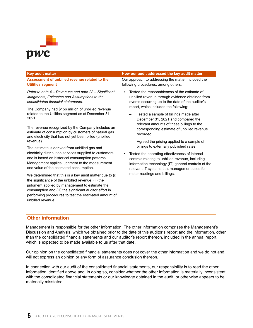

#### **Assessment of unbilled revenue related to the Utilities segment**

*Refer to note 4 – Revenues and note 23 – Significant Judgments, Estimates and Assumptions to the consolidated financial statements.*

The Company had \$156 million of unbilled revenue related to the Utilities segment as at December 31, 2021.

The revenue recognized by the Company includes an estimate of consumption by customers of natural gas and electricity that has not yet been billed (unbilled revenue).

The estimate is derived from unbilled gas and electricity distribution services supplied to customers and is based on historical consumption patterns. Management applies judgment to the measurement and value of the estimated consumption.

We determined that this is a key audit matter due to (i) the significance of the unbilled revenue, (ii) the judgment applied by management to estimate the consumption and (iii) the significant auditor effort in performing procedures to test the estimated amount of unbilled revenue.

#### **Key audit matter How our audit addressed the key audit matter**

Our approach to addressing the matter included the following procedures, among others:

- Tested the reasonableness of the estimate of unbilled revenue through evidence obtained from events occurring up to the date of the auditor's report, which included the following:
	- Tested a sample of billings made after December 31, 2021 and compared the relevant amounts of these billings to the corresponding estimate of unbilled revenue recorded.
	- Agreed the pricing applied to a sample of billings to externally published rates.
	- Tested the operating effectiveness of internal controls relating to unbilled revenue, including information technology (IT) general controls of the relevant IT systems that management uses for meter readings and billings.

## **Other information**

Management is responsible for the other information. The other information comprises the Management's Discussion and Analysis, which we obtained prior to the date of this auditor's report and the information, other than the consolidated financial statements and our auditor's report thereon, included in the annual report, which is expected to be made available to us after that date.

Our opinion on the consolidated financial statements does not cover the other information and we do not and will not express an opinion or any form of assurance conclusion thereon.

In connection with our audit of the consolidated financial statements, our responsibility is to read the other information identified above and, in doing so, consider whether the other information is materially inconsistent with the consolidated financial statements or our knowledge obtained in the audit, or otherwise appears to be materially misstated.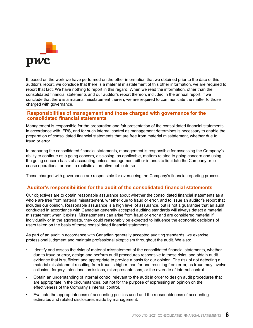

If, based on the work we have performed on the other information that we obtained prior to the date of this auditor's report, we conclude that there is a material misstatement of this other information, we are required to report that fact. We have nothing to report in this regard. When we read the information, other than the consolidated financial statements and our auditor's report thereon, included in the annual report, if we conclude that there is a material misstatement therein, we are required to communicate the matter to those charged with governance.

## **Responsibilities of management and those charged with governance for the consolidated financial statements**

Management is responsible for the preparation and fair presentation of the consolidated financial statements in accordance with IFRS, and for such internal control as management determines is necessary to enable the preparation of consolidated financial statements that are free from material misstatement, whether due to fraud or error.

In preparing the consolidated financial statements, management is responsible for assessing the Company's ability to continue as a going concern, disclosing, as applicable, matters related to going concern and using the going concern basis of accounting unless management either intends to liquidate the Company or to cease operations, or has no realistic alternative but to do so.

Those charged with governance are responsible for overseeing the Company's financial reporting process.

## **Auditor's responsibilities for the audit of the consolidated financial statements**

Our objectives are to obtain reasonable assurance about whether the consolidated financial statements as a whole are free from material misstatement, whether due to fraud or error, and to issue an auditor's report that includes our opinion. Reasonable assurance is a high level of assurance, but is not a guarantee that an audit conducted in accordance with Canadian generally accepted auditing standards will always detect a material misstatement when it exists. Misstatements can arise from fraud or error and are considered material if, individually or in the aggregate, they could reasonably be expected to influence the economic decisions of users taken on the basis of these consolidated financial statements.

As part of an audit in accordance with Canadian generally accepted auditing standards, we exercise professional judgment and maintain professional skepticism throughout the audit. We also:

- Identify and assess the risks of material misstatement of the consolidated financial statements, whether due to fraud or error, design and perform audit procedures responsive to those risks, and obtain audit evidence that is sufficient and appropriate to provide a basis for our opinion. The risk of not detecting a material misstatement resulting from fraud is higher than for one resulting from error, as fraud may involve collusion, forgery, intentional omissions, misrepresentations, or the override of internal control.
- Obtain an understanding of internal control relevant to the audit in order to design audit procedures that are appropriate in the circumstances, but not for the purpose of expressing an opinion on the effectiveness of the Company's internal control.
- Evaluate the appropriateness of accounting policies used and the reasonableness of accounting estimates and related disclosures made by management.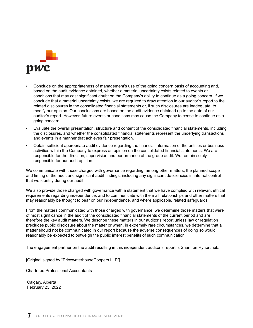

- Conclude on the appropriateness of management's use of the going concern basis of accounting and, based on the audit evidence obtained, whether a material uncertainty exists related to events or conditions that may cast significant doubt on the Company's ability to continue as a going concern. If we conclude that a material uncertainty exists, we are required to draw attention in our auditor's report to the related disclosures in the consolidated financial statements or, if such disclosures are inadequate, to modify our opinion. Our conclusions are based on the audit evidence obtained up to the date of our auditor's report. However, future events or conditions may cause the Company to cease to continue as a going concern.
- Evaluate the overall presentation, structure and content of the consolidated financial statements, including the disclosures, and whether the consolidated financial statements represent the underlying transactions and events in a manner that achieves fair presentation.
- Obtain sufficient appropriate audit evidence regarding the financial information of the entities or business activities within the Company to express an opinion on the consolidated financial statements. We are responsible for the direction, supervision and performance of the group audit. We remain solely responsible for our audit opinion.

We communicate with those charged with governance regarding, among other matters, the planned scope and timing of the audit and significant audit findings, including any significant deficiencies in internal control that we identify during our audit.

We also provide those charged with governance with a statement that we have complied with relevant ethical requirements regarding independence, and to communicate with them all relationships and other matters that may reasonably be thought to bear on our independence, and where applicable, related safeguards.

From the matters communicated with those charged with governance, we determine those matters that were of most significance in the audit of the consolidated financial statements of the current period and are therefore the key audit matters. We describe these matters in our auditor's report unless law or regulation precludes public disclosure about the matter or when, in extremely rare circumstances, we determine that a matter should not be communicated in our report because the adverse consequences of doing so would reasonably be expected to outweigh the public interest benefits of such communication.

The engagement partner on the audit resulting in this independent auditor's report is Shannon Ryhorchuk.

[Original signed by "PricewaterhouseCoopers LLP"]

Chartered Professional Accountants

Calgary, Alberta February 23, 2022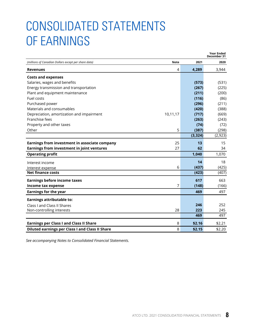## <span id="page-8-0"></span>CONSOLIDATED STATEMENTS OF EARNINGS

|                                                      |             |          | Year Ended<br>December 31 |
|------------------------------------------------------|-------------|----------|---------------------------|
| (millions of Canadian Dollars except per share data) | <b>Note</b> | 2021     | 2020                      |
| <b>Revenues</b>                                      | 4           | 4,289    | 3,944                     |
| <b>Costs and expenses</b>                            |             |          |                           |
| Salaries, wages and benefits                         |             | (573)    | (531)                     |
| Energy transmission and transportation               |             | (267)    | (225)                     |
| Plant and equipment maintenance                      |             | (211)    | (200)                     |
| Fuel costs                                           |             | (116)    | (86)                      |
| Purchased power                                      |             | (296)    | (211)                     |
| Materials and consumables                            |             | (420)    | (388)                     |
| Depreciation, amortization and impairment            | 10,11,17    | (717)    | (669)                     |
| Franchise fees                                       |             | (263)    | (243)                     |
| Property and other taxes                             |             | (74)     | (72)                      |
| Other                                                | 5           | (387)    | (298)                     |
|                                                      |             | (3, 324) | (2, 923)                  |
| Earnings from investment in associate company        | 25          | 13       | 15                        |
| Earnings from investment in joint ventures           | 27          | 62       | 34                        |
| <b>Operating profit</b>                              |             | 1,040    | 1,070                     |
| Interest income                                      |             | 14       | 18                        |
| Interest expense                                     | 6           | (437)    | (425)                     |
| <b>Net finance costs</b>                             |             | (423)    | (407)                     |
| <b>Earnings before income taxes</b>                  |             | 617      | 663                       |
| Income tax expense                                   | 7           | (148)    | (166)                     |
| <b>Earnings for the year</b>                         |             | 469      | 497                       |
| <b>Earnings attributable to:</b>                     |             |          |                           |
| Class I and Class II Shares                          |             | 246      | 252                       |
| Non-controlling interests                            | 28          | 223      | 245                       |
|                                                      |             | 469      | 497                       |
| <b>Earnings per Class I and Class II Share</b>       | 8           | \$2.16   | \$2.21                    |
| Diluted earnings per Class I and Class II Share      | 8           | \$2.15   | \$2.20                    |

*See accompanying Notes to Consolidated Financial Statements.*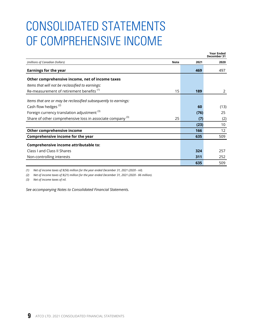## <span id="page-9-0"></span>CONSOLIDATED STATEMENTS OF COMPREHENSIVE INCOME

|                                                                       |             |      | <b>Year Ended</b><br>December 31 |
|-----------------------------------------------------------------------|-------------|------|----------------------------------|
| (millions of Canadian Dollars)                                        | <b>Note</b> | 2021 | 2020                             |
| <b>Earnings for the year</b>                                          |             | 469  | 497                              |
| Other comprehensive income, net of income taxes                       |             |      |                                  |
| Items that will not be reclassified to earnings:                      |             |      |                                  |
| Re-measurement of retirement benefits <sup>(1)</sup>                  | 15          | 189  | 2                                |
| Items that are or may be reclassified subsequently to earnings:       |             |      |                                  |
| Cash flow hedges <sup>(2)</sup>                                       |             | 60   | (13)                             |
| Foreign currency translation adjustment <sup>(3)</sup>                |             | (76) | 25                               |
| Share of other comprehensive loss in associate company <sup>(3)</sup> | 25          | (7)  | (2)                              |
|                                                                       |             | (23) | 10                               |
| Other comprehensive income                                            |             | 166  | $12 \overline{ }$                |
| Comprehensive income for the year                                     |             | 635  | 509                              |
| Comprehensive income attributable to:                                 |             |      |                                  |
| Class I and Class II Shares                                           |             | 324  | 257                              |
| Non-controlling interests                                             |             | 311  | 252                              |
|                                                                       |             | 635  | 509                              |

*(1) Net of income taxes of \$(56) million for the year ended December 31, 2021 (2020 - nil).*

*(2) Net of income taxes of \$(21) million for the year ended December 31, 2021 (2020 - \$6 million).*

*(3) Net of income taxes of nil.*

*See accompanying Notes to Consolidated Financial Statements.*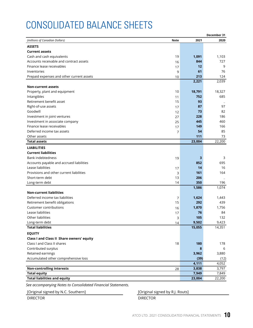## <span id="page-10-0"></span>CONSOLIDATED BALANCE SHEETS

|                                           |             |        | December 31 |
|-------------------------------------------|-------------|--------|-------------|
| (millions of Canadian Dollars)            | <b>Note</b> | 2021   | 2020        |
| <b>ASSETS</b>                             |             |        |             |
| <b>Current assets</b>                     |             |        |             |
| Cash and cash equivalents                 | 19          | 1,091  | 1,103       |
| Accounts receivable and contract assets   | 16          | 844    | 727         |
| Finance lease receivables                 | 17          | 12     | 9           |
| Inventories                               | 9           | 61     | 76          |
| Prepaid expenses and other current assets | 10          | 213    | 124         |
|                                           |             | 2,221  | 2,039       |
| <b>Non-current assets</b>                 |             |        |             |
| Property, plant and equipment             | 10          | 18,791 | 18,327      |
| Intangibles                               | 11          | 752    | 685         |
| Retirement benefit asset                  | 15          | 93     |             |
| Right-of-use assets                       | 17          | 87     | 97          |
| Goodwill                                  | 12          | 73     | 82          |
| Investment in joint ventures              | 27          | 228    | 186         |
| Investment in associate company           | 25          | 445    | 460         |
| Finance lease receivables                 | 17          | 149    | 166         |
| Deferred income tax assets                | 7           | 54     | 85          |
| Other assets                              |             | 111    | 73          |
| <b>Total assets</b>                       |             | 23,004 | 22,200      |
| <b>LIABILITIES</b>                        |             |        |             |
| <b>Current liabilities</b>                |             |        |             |
| <b>Bank indebtedness</b>                  | 19          | 3      | 3           |
| Accounts payable and accrued liabilities  |             | 852    | 695         |
| Lease liabilities                         | 17          | 14     | 16          |
| Provisions and other current liabilities  | 3           | 161    | 164         |
| Short-term debt                           | 13          | 206    |             |
| Long-term debt                            | 14          | 350    | 196         |
|                                           |             | 1,586  | 1,074       |
| <b>Non-current liabilities</b>            |             |        |             |
| Deferred income tax liabilities           | 7           | 1,624  | 1,443       |
| Retirement benefit obligations            | 15          | 292    | 439         |
| Customer contributions                    | 16          | 1,870  | 1,756       |
| Lease liabilities                         | 17          | 76     | 84          |
| Other liabilities                         | 3           | 105    | 132         |
| Long-term debt                            | 14          | 9,502  | 9,423       |
| <b>Total liabilities</b>                  |             | 15,055 | 14,351      |
| <b>EQUITY</b>                             |             |        |             |
| Class I and Class II Share owners' equity |             |        |             |
| Class I and Class II shares               | 18          | 180    | 178         |
| Contributed surplus                       |             | 8      | 6           |
| Retained earnings                         |             | 3,962  | 3,880       |
| Accumulated other comprehensive loss      |             | (39)   | (12)        |
|                                           |             | 4,111  | 4,052       |
| <b>Non-controlling interests</b>          | 28          | 3,838  | 3,797       |
| <b>Total equity</b>                       |             | 7,949  | 7,849       |
| <b>Total liabilities and equity</b>       |             | 23,004 | 22,200      |

*See accompanying Notes to Consolidated Financial Statements.*

[Original signed by N.C. Southern] [Original signed by R.J. Routs]

DIRECTOR DIRECTOR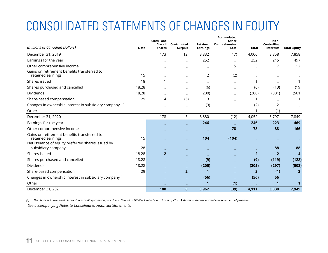# <span id="page-11-0"></span>CONSOLIDATED STATEMENTS OF CHANGES IN EQUITY

|                                                                         |             | Class I and                      |                               |                             | Accumulated<br>Other  |                | Non-                     |                     |
|-------------------------------------------------------------------------|-------------|----------------------------------|-------------------------------|-----------------------------|-----------------------|----------------|--------------------------|---------------------|
| (millions of Canadian Dollars)                                          | <b>Note</b> | <b>Class II</b><br><b>Shares</b> | Contributed<br><b>Surplus</b> | Retained<br><b>Earnings</b> | Comprehensive<br>Loss | Total          | Controlling<br>Interests | <b>Total Equity</b> |
| December 31, 2019                                                       |             | 173                              | 12                            | 3,832                       | (17)                  | 4,000          | 3,858                    | 7,858               |
| Earnings for the year                                                   |             |                                  |                               | 252                         |                       | 252            | 245                      | 497                 |
| Other comprehensive income                                              |             |                                  |                               |                             | 5                     | 5              | 7                        | 12                  |
| Gains on retirement benefits transferred to<br>retained earnings        | 15          |                                  |                               | 2                           | (2)                   |                |                          |                     |
| Shares issued                                                           | 18          | 1                                |                               | ۰                           |                       | 1              |                          |                     |
| Shares purchased and cancelled                                          | 18,28       |                                  |                               | (6)                         |                       | (6)            | (13)                     | (19)                |
| Dividends                                                               | 18,28       |                                  |                               | (200)                       |                       | (200)          | (301)                    | (501)               |
| Share-based compensation                                                | 29          | 4                                | (6)                           | 3                           |                       | 1              |                          |                     |
| Changes in ownership interest in subsidiary company <sup>(1)</sup>      |             |                                  |                               | (3)                         |                       | (2)            | 2                        |                     |
| Other                                                                   |             |                                  | $\overline{\phantom{a}}$      |                             |                       | 1              | (1)                      |                     |
| December 31, 2020                                                       |             | 178                              | 6                             | 3,880                       | (12)                  | 4,052          | 3,797                    | 7,849               |
| Earnings for the year                                                   |             |                                  |                               | 246                         |                       | 246            | 223                      | 469                 |
| Other comprehensive income                                              |             |                                  |                               |                             | 78                    | 78             | 88                       | 166                 |
| Gains on retirement benefits transferred to<br>retained earnings        | 15          |                                  |                               | 104                         | (104)                 |                |                          |                     |
| Net issuance of equity preferred shares issued by<br>subsidiary company | 28          |                                  |                               |                             |                       |                | 88                       | 88                  |
| Shares issued                                                           | 18,28       | $\overline{2}$                   |                               |                             |                       | $\overline{2}$ | $\overline{2}$           | 4                   |
| Shares purchased and cancelled                                          | 18,28       |                                  |                               | (9)                         |                       | (9)            | (119)                    | (128)               |
| Dividends                                                               | 18,28       |                                  | $\equiv$                      | (205)                       |                       | (205)          | (297)                    | (502)               |
| Share-based compensation                                                | 29          |                                  | $\overline{2}$                | 1                           |                       | 3              | (1)                      | $\overline{2}$      |
| Changes in ownership interest in subsidiary company <sup>(1)</sup>      |             |                                  |                               | (56)                        |                       | (56)           | 56                       |                     |
| Other                                                                   |             |                                  |                               | 1                           | (1)                   |                | 1                        | 1                   |
| December 31, 2021                                                       |             | 180                              | 8                             | 3,962                       | (39)                  | 4,111          | 3,838                    | 7,949               |

*(1) The changes in ownership interest in subsidiary company are due to Canadian Utilities Limited's purchases of Class A shares under the normal course issuer bid program. See accompanying Notes to Consolidated Financial Statements.*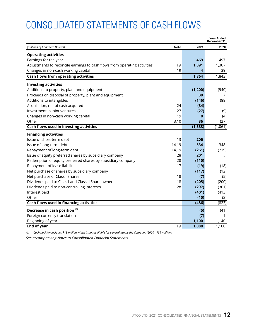## <span id="page-12-0"></span>CONSOLIDATED STATEMENTS OF CASH FLOWS

|                                                                           |             |          | <b>Year Ended</b><br>December 31 |
|---------------------------------------------------------------------------|-------------|----------|----------------------------------|
| (millions of Canadian Dollars)                                            | <b>Note</b> | 2021     | 2020                             |
| <b>Operating activities</b>                                               |             |          |                                  |
| Earnings for the year                                                     |             | 469      | 497                              |
| Adjustments to reconcile earnings to cash flows from operating activities | 19          | 1,391    | 1,307                            |
| Changes in non-cash working capital                                       | 19          | 4        | 39                               |
| Cash flows from operating activities                                      |             | 1,864    | 1,843                            |
| <b>Investing activities</b>                                               |             |          |                                  |
| Additions to property, plant and equipment                                |             | (1, 200) | (940)                            |
| Proceeds on disposal of property, plant and equipment                     |             | 30       | 7                                |
| Additions to intangibles                                                  |             | (146)    | (88)                             |
| Acquisition, net of cash acquired                                         | 24          | (84)     |                                  |
| Investment in joint ventures                                              | 27          | (27)     | (9)                              |
| Changes in non-cash working capital                                       | 19          | 8        | (4)                              |
| Other                                                                     | 3,10        | 36       | (27)                             |
| Cash flows used in investing activities                                   |             | (1, 383) | (1,061)                          |
| <b>Financing activities</b>                                               |             |          |                                  |
| Issue of short-term debt                                                  | 13          | 206      |                                  |
| Issue of long-term debt                                                   | 14,19       | 534      | 348                              |
| Repayment of long-term debt                                               | 14,19       | (261)    | (219)                            |
| Issue of equity preferred shares by subsidiary company                    | 28          | 201      |                                  |
| Redemption of equity preferred shares by subsidiary company               | 28          | (110)    |                                  |
| Repayment of lease liabilities                                            | 17          | (19)     | (18)                             |
| Net purchase of shares by subsidiary company                              |             | (117)    | (12)                             |
| Net purchase of Class I Shares                                            | 18          | (7)      | (5)                              |
| Dividends paid to Class I and Class II Share owners                       | 18          | (205)    | (200)                            |
| Dividends paid to non-controlling interests                               | 28          | (297)    | (301)                            |
| Interest paid                                                             |             | (401)    | (413)                            |
| Other                                                                     |             | (10)     | (3)                              |
| Cash flows used in financing activities                                   |             | (486)    | (823)                            |
| Decrease in cash position <sup>(1)</sup>                                  |             | (5)      | (41)                             |
| Foreign currency translation                                              |             | (7)      | 1                                |
| Beginning of year                                                         |             | 1,100    | 1,140                            |
| <b>End of year</b>                                                        | 19          | 1,088    | 1,100                            |

*(1) Cash position includes \$18 million which is not available for general use by the Company (2020 - \$39 million).*

*See accompanying Notes to Consolidated Financial Statements.*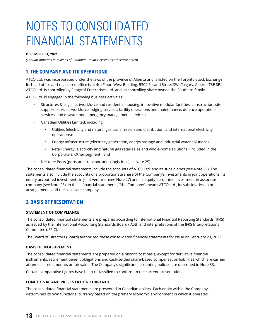## <span id="page-13-0"></span>NOTES TO CONSOLIDATED FINANCIAL STATEMENTS

#### **DECEMBER 31, 2021**

*(Tabular amounts in millions of Canadian Dollars, except as otherwise noted)*

## **1. THE COMPANY AND ITS OPERATIONS**

ATCO Ltd. was incorporated under the laws of the province of Alberta and is listed on the Toronto Stock Exchange. Its head office and registered office is at 4th Floor, West Building, 5302 Forand Street SW, Calgary, Alberta T3E 8B4. ATCO Ltd. is controlled by Sentgraf Enterprises Ltd. and its controlling share owner, the Southern family.

ATCO Ltd. is engaged in the following business activities:

- Structures & Logistics (workforce and residential housing, innovative modular facilities, construction, site support services, workforce lodging services, facility operations and maintenance, defence operations services, and disaster and emergency management services);
- Canadian Utilities Limited, including:
	- Utilities (electricity and natural gas transmission and distribution, and international electricity operations);
	- Energy Infrastructure (electricity generation, energy storage and industrial water solutions);
	- Retail Energy (electricity and natural gas retail sales and whole-home solutions) (included in the Corporate & Other segment); and
- Neltume Ports (ports and transportation logistics) (see Note 25).

The consolidated financial statements include the accounts of ATCO Ltd. and its subsidiaries (see Note 26). The statements also include the accounts of a proportionate share of the Company's investments in joint operations, its equity-accounted investments in joint ventures (see Note 27) and its equity-accounted investment in associate company (see Note 25). In these financial statements, "the Company" means ATCO Ltd., its subsidiaries, joint arrangements and the associate company.

## **2. BASIS OF PRESENTATION**

## **STATEMENT OF COMPLIANCE**

The consolidated financial statements are prepared according to International Financial Reporting Standards (IFRS) as issued by the International Accounting Standards Board (IASB) and interpretations of the IFRS Interpretations Committee (IFRIC).

The Board of Directors (Board) authorized these consolidated financial statements for issue on February 23, 2022.

## **BASIS OF MEASUREMENT**

The consolidated financial statements are prepared on a historic cost basis, except for derivative financial instruments, retirement benefit obligations and cash-settled share-based compensation liabilities which are carried at remeasured amounts or fair value. The Company's significant accounting policies are described in Note 33.

Certain comparative figures have been reclassified to conform to the current presentation.

## **FUNCTIONAL AND PRESENTATION CURRENCY**

The consolidated financial statements are presented in Canadian dollars. Each entity within the Company determines its own functional currency based on the primary economic environment in which it operates.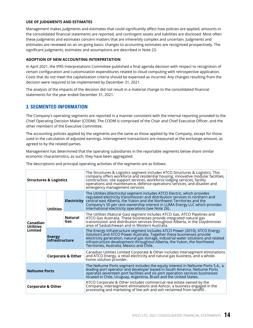#### <span id="page-14-0"></span>**USE OF JUDGMENTS AND ESTIMATES**

Management makes judgments and estimates that could significantly affect how policies are applied, amounts in the consolidated financial statements are reported, and contingent assets and liabilities are disclosed. Most often these judgments and estimates concern matters that are inherently complex and uncertain. Judgments and estimates are reviewed on an on-going basis; changes to accounting estimates are recognized prospectively. The significant judgments, estimates and assumptions are described in Note 23.

### **ADOPTION OF NEW ACCOUNTING INTERPRETATION**

In April 2021, the IFRS Interpretations Committee published a final agenda decision with respect to recognition of certain configuration and customization expenditures related to cloud computing with retrospective application. Costs that do not meet the capitalization criteria should be expensed as incurred. Any changes resulting from the decision were required to be implemented by December 31, 2021.

The analysis of the impacts of the decision did not result in a material change to the consolidated financial statements for the year ended December 31, 2021.

## **3. SEGMENTED INFORMATION**

The Company's operating segments are reported in a manner consistent with the internal reporting provided to the Chief Operating Decision Maker (CODM). The CODM is comprised of the Chair and Chief Executive Officer, and the other members of the Executive Committee.

The accounting policies applied by the segments are the same as those applied by the Company, except for those used in the calculation of adjusted earnings. Intersegment transactions are measured at the exchange amount, as agreed to by the related parties.

Management has determined that the operating subsidiaries in the reportable segments below share similar economic characteristics, as such, they have been aggregated.

The descriptions and principal operating activities of the segments are as follows:

| <b>Structures &amp; Logistics</b>       |                                 |                       | The Structures & Logistics segment includes ATCO Structures & Logistics. This<br>company offers workforce and residential housing, innovative modular facilities,<br>construction, site support services, workforce lodging services, facility<br>operations and maintenance, defence operations services, and disaster and<br>emergency management services.            |
|-----------------------------------------|---------------------------------|-----------------------|--------------------------------------------------------------------------------------------------------------------------------------------------------------------------------------------------------------------------------------------------------------------------------------------------------------------------------------------------------------------------|
| Canadian<br><b>Utilities</b><br>Limited | <b>Utilities</b>                | <b>Electricity</b>    | The Utilities (Electricity) segment includes ATCO Electric, which provides<br>regulated electricity transmission and distribution services in northern and<br>central east Alberta, the Yukon and the Northwest Territories and the<br>Company's 50 per cent ownership interest in LUMA Energy LLC which provides<br>international electricity operations (see Note 26). |
|                                         |                                 | <b>Natural</b><br>Gas | The Utilities (Natural Gas) segment includes ATCO Gas, ATCO Pipelines and<br>ATCO Gas Australia. These businesses provide integrated natural gas<br>transmission and distribution services throughout Alberta, in the Lloydminster<br>area of Saskatchewan and in Western Australia.                                                                                     |
|                                         | <b>Energy</b><br>Infrastructure |                       | The Energy Infrastructure segment includes ATCO Power (2010), ATCO Energy<br>Solutions and ATCO Power Australia. Together these businesses provide<br>electricity generation, natural gas storage, industrial water solutions and related<br>infrastructure development throughout Alberta, the Yukon, the Northwest<br>Territories, Australia, Mexico and Chile.        |
|                                         | <b>Corporate &amp; Other</b>    |                       | Canadian Utilities Limited Corporate & Other includes intersegment eliminations<br>and ATCO Energy, a retail electricity and natural gas business, and a whole-<br>home solution provider.                                                                                                                                                                               |
| <b>Neltume Ports</b>                    |                                 |                       | The Neltume Ports segment includes the equity interest in Neltume Ports S.A., a<br>leading port operator and developer based in South America. Neltume Ports<br>operates seventeen port facilities and six port operation services businesses<br>located in Chile, Uruguay, Argentina, Brazil and the United States.                                                     |
| <b>Corporate &amp; Other</b>            |                                 |                       | ATCO Corporate & Other includes commercial real estate owned by the<br>Company, intersegment eliminations and Ashcor, a business engaged in the<br>processing and marketing of live ash and ash reclaimed from landfill.                                                                                                                                                 |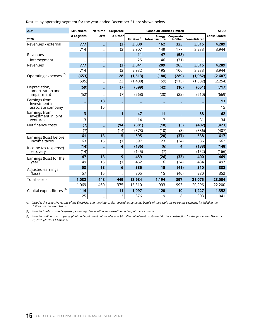Results by operating segment for the year ended December 31 are shown below.

| 2021                                 | <b>Structures</b> | <b>Neltume</b>           | Corporate               |                 | <b>ATCO</b>    |                  |                      |              |
|--------------------------------------|-------------------|--------------------------|-------------------------|-----------------|----------------|------------------|----------------------|--------------|
| 2020                                 | & Logistics       | <b>Ports</b>             | & Other                 | Utilities $(1)$ | Infrastructure | Energy Corporate | & Other Consolidated | Consolidated |
| Revenues - external                  | 777               |                          | (3)                     | 3,030           | 162            | 323              | 3,515                | 4,289        |
|                                      | 714               |                          | (3)                     | 2,907           | 149            | 177              | 3,233                | 3,944        |
| Revenues -                           |                   |                          |                         | 11              | 47             | (58)             |                      |              |
| intersegment                         |                   | $\overline{\phantom{a}}$ |                         | 25              | 46             | (71)             |                      |              |
| Revenues                             | 777               |                          | (3)                     | 3,041           | 209            | 265              | 3,515                | 4,289        |
|                                      | 714               |                          | (3)                     | 2,932           | 195            | 106              | 3,233                | 3,944        |
| Operating expenses <sup>(2)</sup>    | (653)             |                          | 28                      | (1, 513)        | (180)          | (289)            | (1,982)              | (2,607)      |
|                                      | (595)             |                          | 23                      | (1,408)         | (159)          | (115)            | (1,682)              | (2, 254)     |
| Depreciation,<br>amortization and    | (59)              |                          | (7)                     | (599)           | (42)           | (10)             | (651)                | (717)        |
| impairment                           | (52)              |                          | (7)                     | (568)           | (20)           | (22)             | (610)                | (669)        |
| Earnings from<br>investment in       |                   | 13                       |                         |                 |                |                  |                      | 13           |
| associate company                    |                   | 15                       |                         |                 |                |                  |                      | 15           |
| Earnings from<br>investment in joint | 3                 |                          | 1                       | 47              | 11             |                  | 58                   | 62           |
| ventures                             | 3                 |                          |                         | 14              | 17             |                  | 31                   | 34           |
| Net finance costs                    | (7)               |                          | (14)                    | (381)           | (18)           | (3)              | (402)                | (423)        |
|                                      | (7)               |                          | (14)                    | (373)           | (10)           | (3)              | (386)                | (407)        |
| Earnings (loss) before               | 61                | $\overline{13}$          | 5                       | 595             | (20)           | (37)             | 538                  | 617          |
| income taxes                         | 63                | 15                       | (1)                     | 597             | 23             | (34)             | 586                  | 663          |
| Income tax (expense)                 | (14)              |                          | $\overline{\mathbf{4}}$ | (136)           | (6)            | 4                | (138)                | (148)        |
| recovery                             | (14)              |                          |                         | (145)           | (7)            |                  | (152)                | (166)        |
| Earnings (loss) for the              | $\overline{47}$   | $\overline{13}$          | $\overline{9}$          | 459             | (26)           | (33)             | 400                  | 469          |
| year                                 | 49                | 15                       | (1)                     | 452             | 16             | (34)             | 434                  | 497          |
| Adjusted earnings                    | $\overline{53}$   | 13                       | $6\phantom{1}6$         | 336             | 15             | (41)             | 310                  | 382          |
| (loss)                               | 57                | 15                       |                         | 305             | 15             | (40)             | 280                  | 352          |
| <b>Total assets</b>                  | 1,032             | 448                      | 449                     | 18,984          | 1,194          | 897              | 21,075               | 23,004       |
|                                      | 1,069             | 460                      | 375                     | 18,310          | 993            | 993              | 20,296               | 22,200       |
| Capital expenditures <sup>(3)</sup>  | 114               |                          | 11                      | 1,097           | 120            | 10               | 1,227                | 1,352        |
|                                      | 125               |                          | 13                      | 876             | 19             | 8                | 903                  | 1,041        |

*(1) Includes the collective results of the Electricity and the Natural Gas operating segments. Details of the results by operating segments included in the Utilities are disclosed below.*

*(2) Includes total costs and expenses, excluding depreciation, amortization and impairment expense.*

*(3) Includes additions to property, plant and equipment, intangibles and \$6 million of interest capitalized during construction for the year ended December 31, 2021 (2020 - \$13 million).*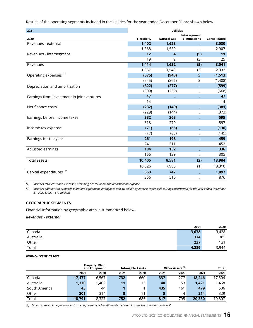Results of the operating segments included in the Utilities for the year ended December 31 are shown below.

| 2021                                       | <b>Utilities</b> |                    |                              |              |  |  |
|--------------------------------------------|------------------|--------------------|------------------------------|--------------|--|--|
| 2020                                       | Electricity      | <b>Natural Gas</b> | Intersegment<br>eliminations | Consolidated |  |  |
| Revenues - external                        | 1,402            | 1,628              |                              | 3,030        |  |  |
|                                            | 1,368            | 1,539              |                              | 2,907        |  |  |
| Revenues - intersegment                    | 12               | 4                  | (5)                          | 11           |  |  |
|                                            | 19               | 9                  | (3)                          | 25           |  |  |
| Revenues                                   | 1,414            | 1,632              | (5)                          | 3,041        |  |  |
|                                            | 1,387            | 1,548              | (3)                          | 2,932        |  |  |
| Operating expenses <sup>(1)</sup>          | (575)            | (943)              | 5                            | (1, 513)     |  |  |
|                                            | (545)            | (866)              | 3                            | (1,408)      |  |  |
| Depreciation and amortization              | (322)            | (277)              |                              | (599)        |  |  |
|                                            | (309)            | (259)              |                              | (568)        |  |  |
| Earnings from investment in joint ventures | 47               |                    |                              | 47           |  |  |
|                                            | 14               |                    |                              | 14           |  |  |
| Net finance costs                          | (232)            | (149)              |                              | (381)        |  |  |
|                                            | (229)            | (144)              |                              | (373)        |  |  |
| Earnings before income taxes               | 332              | 263                |                              | 595          |  |  |
|                                            | 318              | 279                |                              | 597          |  |  |
| Income tax expense                         | (71)             | (65)               |                              | (136)        |  |  |
|                                            | (77)             | (68)               |                              | (145)        |  |  |
| Earnings for the year                      | 261              | 198                |                              | 459          |  |  |
|                                            | 241              | 211                |                              | 452          |  |  |
| Adjusted earnings                          | 184              | $152$              |                              | 336          |  |  |
|                                            | 166              | 139                |                              | 305          |  |  |
| <b>Total assets</b>                        | 10,405           | 8,581              | (2)                          | 18,984       |  |  |
|                                            | 10,326           | 7,985              | (1)                          | 18,310       |  |  |
| Capital expenditures <sup>(2)</sup>        | 350              | 747                |                              | 1,097        |  |  |
|                                            | 366              | 510                |                              | 876          |  |  |

*(1) Includes total costs and expenses, excluding depreciation and amortization expense.*

*(2) Includes additions to property, plant and equipment, intangibles and \$6 million of interest capitalized during construction for the year ended December 31, 2021 (2020 - \$12 million).*

## **GEOGRAPHIC SEGMENTS**

Financial information by geographic area is summarized below.

#### *Revenues - external*

|           | 2021  | 2020  |
|-----------|-------|-------|
| Canada    | 3,678 | 3,428 |
| Australia | 374   | 385   |
| Other     | 237   | 131   |
| Total     | 4,289 | 3,944 |

### *Non-current assets*

|               |        | <b>Property, Plant</b><br>and Equipment | Other Assets <sup>(1)</sup><br><b>Intangible Assets</b> |      |      | Total |        |        |
|---------------|--------|-----------------------------------------|---------------------------------------------------------|------|------|-------|--------|--------|
|               | 2021   | 2020                                    | 2021                                                    | 2020 | 2021 | 2020  | 2021   | 2020   |
| Canada        | 17,177 | 16,567                                  | 732                                                     | 660  | 337  | 277   | 18.246 | 17,504 |
| Australia     | 1,370  | ,402                                    | 11                                                      | 13   | 40   | 53    | 1,421  | 1,468  |
| South America | 43     | 44                                      |                                                         |      | 435  | 461   | 479    | 506    |
| Other         | 201    | 314                                     | 8                                                       | 11   |      | 4     | 214    | 329    |
| Total         | 18,791 | 18,327                                  | 752                                                     | 685  | 817  | 795   | 20,360 | 19,807 |

*(1) Other assets exclude financial instruments, retirement benefit assets, deferred income tax assets and goodwill.*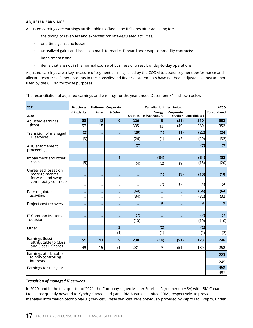## **ADJUSTED EARNINGS**

Adjusted earnings are earnings attributable to Class I and II Shares after adjusting for:

- the timing of revenues and expenses for rate-regulated activities;
- one-time gains and losses;
- unrealized gains and losses on mark-to-market forward and swap commodity contracts;
- impairments; and
- items that are not in the normal course of business or a result of day-to-day operations.

Adjusted earnings are a key measure of segment earnings used by the CODM to assess segment performance and allocate resources. Other accounts in the consolidated financial statements have not been adjusted as they are not used by the CODM for those purposes.

The reconciliation of adjusted earnings and earnings for the year ended December 31 is shown below.

| 2021                                        | <b>Structures</b>        |                          | Neltume Corporate        |                  | <b>Canadian Utilities Limited</b> |           |                      | <b>ATCO</b>  |
|---------------------------------------------|--------------------------|--------------------------|--------------------------|------------------|-----------------------------------|-----------|----------------------|--------------|
| 2020                                        | & Logistics              | Ports                    | & Other                  | <b>Utilities</b> | <b>Energy</b><br>Infrastructure   | Corporate | & Other Consolidated | Consolidated |
| Adjusted earnings                           | 53                       | 13                       | $6\phantom{1}6$          | 336              | 15                                | (41)      | 310                  | 382          |
| (loss)                                      | 57                       | 15                       |                          | 305              | 15                                | (40)      | 280                  | 352          |
| Transition of managed                       | (2)                      | $\overline{\phantom{0}}$ |                          | (20)             | (1)                               | (1)       | (22)                 | (24)         |
| IT services                                 | (3)                      | $\overline{\phantom{0}}$ |                          | (26)             | (1)                               | (2)       | (29)                 | (32)         |
| AUC enforcement                             |                          | -                        |                          | (7)              |                                   |           | (7)                  | (7)          |
| proceeding                                  | $\overline{\phantom{0}}$ | $\qquad \qquad -$        | ۳                        |                  |                                   |           |                      |              |
| Impairment and other                        |                          | -                        | 1                        |                  | (34)                              |           | (34)                 | (33)         |
| costs                                       | (5)                      | $\equiv$                 |                          | (4)              | (2)                               | (9)       | (15)                 | (20)         |
| Unrealized losses on<br>mark-to-market      |                          |                          |                          |                  | (1)                               | (9)       | (10)                 | (10)         |
| forward and swap<br>commodity contracts     |                          | $\overline{\phantom{0}}$ |                          |                  | (2)                               | (2)       | (4)                  | (4)          |
| Rate-regulated                              |                          | -                        |                          | (64)             |                                   |           | (64)                 | (64)         |
| activities                                  |                          | $\overline{\phantom{0}}$ |                          | (34)             |                                   | 2         | (32)                 | (32)         |
| Project cost recovery                       |                          |                          |                          |                  | 9                                 |           | 9                    | 9            |
|                                             | ۳                        | $\qquad \qquad -$        | $\overline{\phantom{0}}$ |                  |                                   |           |                      |              |
| <b>IT Common Matters</b>                    |                          | -                        |                          | (7)              |                                   |           | (7)                  | (7)          |
| decision                                    |                          | $\overline{a}$           |                          | (10)             |                                   |           | (10)                 | (10)         |
| Other                                       |                          |                          | $\overline{2}$           |                  | (2)                               |           | (2)                  |              |
|                                             |                          |                          | (1)                      |                  | (1)                               |           | (1)                  | (2)          |
| Earnings (loss)<br>attributable to Class I  | 51                       | 13                       | $\mathbf{9}$             | 238              | (14)                              | (51)      | 173                  | 246          |
| and Class II Shares                         | 49                       | 15                       | (1)                      | 231              | 9                                 | (51)      | 189                  | 252          |
| Earnings attributable<br>to non-controlling |                          |                          |                          |                  |                                   |           |                      | 223          |
| interests                                   |                          |                          |                          |                  |                                   |           |                      | 245          |
| Earnings for the year                       |                          |                          |                          |                  |                                   |           |                      | 469          |
|                                             |                          |                          |                          |                  |                                   |           |                      | 497          |

#### *Transition of managed IT services*

In 2020, and in the first quarter of 2021, the Company signed Master Services Agreements (MSA) with IBM Canada Ltd. (subsequently novated to Kyndryl Canada Ltd.) and IBM Australia Limited (IBM), respectively, to provide managed information technology (IT) services. These services were previously provided by Wipro Ltd. (Wipro) under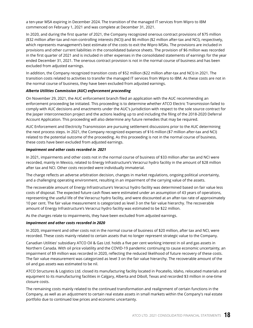a ten-year MSA expiring in December 2024. The transition of the managed IT services from Wipro to IBM commenced on February 1, 2021 and was complete at December 31, 2021.

In 2020, and during the first quarter of 2021, the Company recognized onerous contract provisions of \$75 million (\$32 million after-tax and non-controlling interests (NCI)) and \$6 million (\$2 million after-tax and NCI), respectively, which represents management's best estimate of the costs to exit the Wipro MSAs. The provisions are included in provisions and other current liabilities in the consolidated balance sheets. The provision of \$6 million was recorded in the first quarter of 2021 and is included in other expenses in the consolidated statements of earnings for the year ended December 31, 2021. The onerous contract provision is not in the normal course of business and has been excluded from adjusted earnings.

In addition, the Company recognized transition costs of \$52 million (\$22 million after-tax and NCI) in 2021. The transition costs related to activities to transfer the managed IT services from Wipro to IBM. As these costs are not in the normal course of business, they have been excluded from adjusted earnings.

## *Alberta Utilities Commission (AUC) enforcement proceeding*

On November 29, 2021, the AUC enforcement branch filed an application with the AUC recommending an enforcement proceeding be initiated. This proceeding is to determine whether ATCO Electric Transmission failed to comply with AUC decisions and enactments under the AUC's jurisdiction with respect to the sole source contract for the Jasper interconnection project and the actions leading up to and including the filing of the 2018-2020 Deferral Account Application. This proceeding will also determine any future remedies that may be required.

AUC Enforcement and Electricity Transmission are pursuing settlement discussions prior to the AUC determining the next process steps. In 2021, the Company recognized expenses of \$16 million (\$7 million after-tax and NCI) related to the potential outcome of the proceeding. As this proceeding is not in the normal course of business, these costs have been excluded from adjusted earnings.

#### *Impairment and other costs recorded in 2021*

In 2021, impairments and other costs not in the normal course of business of \$33 million after tax and NCI were recorded, mainly in Mexico, related to Energy Infrastructure's Veracruz hydro facility in the amount of \$28 million after tax and NCI. Other costs recorded were individually immaterial.

The charge reflects an adverse arbitration decision, changes in market regulations, ongoing political uncertainty, and a challenging operating environment, resulting in an impairment of the carrying value of the assets.

The recoverable amount of Energy Infrastructure's Veracruz hydro facility was determined based on fair value less costs of disposal. The expected future cash flows were estimated under an assumption of 43 years of operations, representing the useful life of the Veracruz hydro facility, and were discounted at an after-tax rate of approximately 10 per cent. The fair value measurement is categorized as level 3 on the fair value hierarchy. The recoverable amount of Energy Infrastructure's Veracruz hydro facility was estimated to be \$22 million.

As the charges relate to impairments, they have been excluded from adjusted earnings.

#### *Impairment and other costs recorded in 2020*

In 2020, impairment and other costs not in the normal course of business of \$20 million, after tax and NCI, were recorded. These costs mainly related to certain assets that no longer represent strategic value to the Company.

Canadian Utilities' subsidiary ATCO Oil & Gas Ltd. holds a five per cent working interest in oil and gas assets in Northern Canada. With oil price volatility and the COVID-19 pandemic continuing to cause economic uncertainty, an impairment of \$9 million was recorded in 2020, reflecting the reduced likelihood of future recovery of these costs. The fair value measurement was categorized as level 3 on the fair value hierarchy. The recoverable amount of the oil and gas assets was estimated to be nil.

ATCO Structures & Logistics Ltd. closed its manufacturing facility located in Pocatello, Idaho, relocated materials and equipment to its manufacturing facilities in Calgary, Alberta and Diboll, Texas and recorded \$3 million in one-time closure costs.

The remaining costs mainly related to the continued transformation and realignment of certain functions in the Company, as well as an adjustment to certain real estate assets in small markets within the Company's real estate portfolio due to continued low prices and economic uncertainty.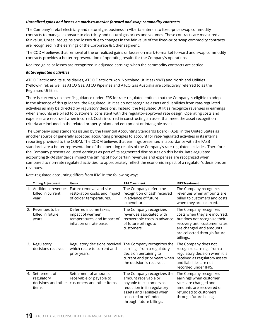## *Unrealized gains and losses on mark-to-market forward and swap commodity contracts*

The Company's retail electricity and natural gas business in Alberta enters into fixed-price swap commodity contracts to manage exposure to electricity and natural gas prices and volumes. These contracts are measured at fair value. Unrealized gains and losses due to changes in the fair value of the fixed-price swap commodity contracts are recognized in the earnings of the Corporate & Other segment.

The CODM believes that removal of the unrealized gains or losses on mark-to-market forward and swap commodity contracts provides a better representation of operating results for the Company's operations.

Realized gains or losses are recognized in adjusted earnings when the commodity contracts are settled.

## *Rate-regulated activities*

ATCO Electric and its subsidiaries, ATCO Electric Yukon, Northland Utilities (NWT) and Northland Utilities (Yellowknife), as well as ATCO Gas, ATCO Pipelines and ATCO Gas Australia are collectively referred to as the Regulated Utilities.

There is currently no specific guidance under IFRS for rate-regulated entities that the Company is eligible to adopt. In the absence of this guidance, the Regulated Utilities do not recognize assets and liabilities from rate-regulated activities as may be directed by regulatory decisions. Instead, the Regulated Utilities recognize revenues in earnings when amounts are billed to customers, consistent with the regulator-approved rate design. Operating costs and expenses are recorded when incurred. Costs incurred in constructing an asset that meet the asset recognition criteria are included in the related property, plant and equipment or intangible asset.

The Company uses standards issued by the Financial Accounting Standards Board (FASB) in the United States as another source of generally accepted accounting principles to account for rate-regulated activities in its internal reporting provided to the CODM. The CODM believes that earnings presented in accordance with the FASB standards are a better representation of the operating results of the Company's rate-regulated activities. Therefore, the Company presents adjusted earnings as part of its segmented disclosures on this basis. Rate-regulated accounting (RRA) standards impact the timing of how certain revenues and expenses are recognized when compared to non-rate regulated activities, to appropriately reflect the economic impact of a regulator's decisions on revenues.

|    | <b>Timing Adjustment</b>                    | <b>Items</b>                                                                                               | <b>RRA Treatment</b>                                                                                                                                                                               | <b>IFRS Treatment</b>                                                                                                                                                                            |
|----|---------------------------------------------|------------------------------------------------------------------------------------------------------------|----------------------------------------------------------------------------------------------------------------------------------------------------------------------------------------------------|--------------------------------------------------------------------------------------------------------------------------------------------------------------------------------------------------|
|    | billed in current<br>year                   | 1. Additional revenues Future removal and site<br>restoration costs, and impact<br>of colder temperatures. | The Company defers the<br>recognition of cash received<br>in advance of future<br>expenditures.                                                                                                    | The Company recognizes<br>revenues when amounts are<br>billed to customers and costs<br>when they are incurred.                                                                                  |
| 2. | Revenues to be<br>billed in future<br>years | Deferred income taxes,<br>impact of warmer<br>temperatures, and impact of<br>inflation on rate base.       | The Company recognizes<br>revenues associated with<br>recoverable costs in advance<br>of future billings to<br>customers.                                                                          | The Company recognizes<br>costs when they are incurred,<br>but does not recognize their<br>recovery until customer rates<br>are changed and amounts<br>are collected through future<br>billings. |
| 3. | Regulatory<br>decisions received            | Regulatory decisions received<br>which relate to current and<br>prior years.                               | The Company recognizes the<br>earnings from a regulatory<br>decision pertaining to<br>current and prior years when<br>the decision is received.                                                    | The Company does not<br>recognize earnings from a<br>regulatory decision when it is<br>received as regulatory assets<br>and liabilities are not<br>recorded under IFRS.                          |
|    | 4. Settlement of<br>regulatory<br>items     | Settlement of amounts<br>receivable or payable to<br>decisions and other customers and other items.        | The Company recognizes the<br>amount receivable or<br>payable to customers as a<br>reduction in its regulatory<br>assets and liabilities when<br>collected or refunded<br>through future billings. | The Company recognizes<br>earnings when customer<br>rates are changed and<br>amounts are recovered or<br>refunded to customers<br>through future billings.                                       |

Rate-regulated accounting differs from IFRS in the following ways: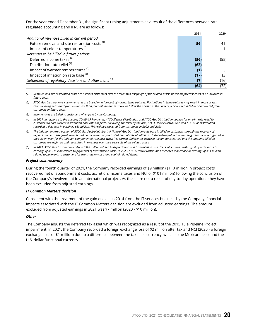For the year ended December 31, the significant timing adjustments as a result of the differences between rateregulated accounting and IFRS are as follows:

|                                                          | 2021 | 2020 |
|----------------------------------------------------------|------|------|
| Additional revenues billed in current period             |      |      |
| Future removal and site restoration costs <sup>(1)</sup> | 56   | 41   |
| Impact of colder temperatures <sup>(2)</sup>             |      |      |
| Revenues to be billed in future periods                  |      |      |
| Deferred income taxes <sup>(3)</sup>                     | (56) | (55) |
| Distribution rate relief <sup>(4)</sup>                  | (63) |      |
| Impact of warmer temperatures <sup>(2)</sup>             | (1)  |      |
| Impact of inflation on rate base <sup>(5)</sup>          | (17) | (3)  |
| Settlement of regulatory decisions and other items (6)   | 17   | (16) |
|                                                          | (64) | (32) |

*(1) Removal and site restoration costs are billed to customers over the estimated useful life of the related assets based on forecast costs to be incurred in future years.*

- *(2) ATCO Gas Distribution's customer rates are based on a forecast of normal temperatures. Fluctuations in temperatures may result in more or less revenue being recovered from customers than forecast. Revenues above or below the normal in the current year are refunded to or recovered from customers in future years.*
- *(3) Income taxes are billed to customers when paid by the Company.*
- *(4) In 2021, in response to the ongoing COVID-19 Pandemic, ATCO Electric Distribution and ATCO Gas Distribution applied for interim rate relief for customers to hold current distribution base rates in place. Following approval by the AUC, ATCO Electric Distribution and ATCO Gas Distribution recorded a decrease in earnings \$63 million. This will be recovered from customers in 2022 and 2023.*
- *(5) The inflation-indexed portion of ATCO Gas Australia's (part of Natural Gas Distribution) rate base is billed to customers through the recovery of depreciation in subsequent years based on the actual or forecasted annual rate of inflation. Under rate-regulated accounting, revenue is recognized in the current year for the inflation component of rate base when it is earned. Differences between the amounts earned and the amounts billed to customers are deferred and recognized in revenues over the service life of the related assets.*
- *(6) In 2021, ATCO Gas Distribution collected \$28 million related to depreciation and transmission rate riders which was partly offset by a decrease in earnings of \$15 million related to payments of transmission costs. In 2020, ATCO Electric Distribution recorded a decrease in earnings of \$14 million related to payments to customers for transmission costs and capital related items.*

#### *Project cost recovery*

During the fourth quarter of 2021, the Company recorded earnings of \$9 million (\$110 million in project costs recovered net of abandonment costs, accretion, income taxes and NCI of \$101 million) following the conclusion of the Company's involvement in an international project. As these are not a result of day-to-day operations they have been excluded from adjusted earnings.

#### *IT Common Matters decision*

Consistent with the treatment of the gain on sale in 2014 from the IT services business by the Company, financial impacts associated with the IT Common Matters decision are excluded from adjusted earnings. The amount excluded from adjusted earnings in 2021 was \$7 million (2020 - \$10 million).

## *Other*

The Company adjusts the deferred tax asset which was recognized as a result of the 2015 Tula Pipeline Project impairment. In 2021, the Company recorded a foreign exchange loss of \$2 million after tax and NCI (2020 - a foreign exchange loss of \$1 million) due to a difference between the tax base currency, which is the Mexican peso, and the U.S. dollar functional currency.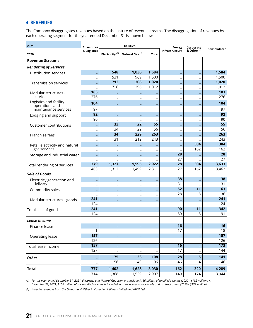## <span id="page-21-0"></span>**4. REVENUES**

The Company disaggregates revenues based on the nature of revenue streams. The disaggregation of revenues by each operating segment for the year ended December 31 is shown below:

| 2021                                     | <b>Structures</b>        | <b>Utilities</b>         |                                                       |              | <b>Energy</b>   |                                     |                  |
|------------------------------------------|--------------------------|--------------------------|-------------------------------------------------------|--------------|-----------------|-------------------------------------|------------------|
| 2020                                     | & Logistics              |                          | Electricity <sup>(1)</sup> Natural Gas <sup>(1)</sup> | <b>Total</b> | Infrastructure  | Corporate<br>& Other <sup>(2)</sup> | Consolidated     |
| <b>Revenue Streams</b>                   |                          |                          |                                                       |              |                 |                                     |                  |
| <b>Rendering of Services</b>             |                          |                          |                                                       |              |                 |                                     |                  |
| <b>Distribution services</b>             |                          | 548                      | 1,036                                                 | 1,584        |                 |                                     | 1,584            |
|                                          |                          | 531                      | 969                                                   | 1,500        |                 |                                     | 1,500            |
| <b>Transmission services</b>             |                          | 712                      | 308                                                   | 1,020        |                 |                                     | 1,020            |
|                                          |                          | 716                      | 296                                                   | 1,012        |                 | $\overline{\phantom{0}}$            | 1,012            |
| Modular structures -                     | 183                      |                          |                                                       |              |                 |                                     | 183              |
| services                                 | 276                      |                          |                                                       |              |                 |                                     | 276              |
| Logistics and facility<br>operations and | 104                      |                          |                                                       |              |                 |                                     | 104              |
| maintenance services                     | 97                       |                          |                                                       |              |                 |                                     | 97               |
| Lodging and support                      | 92                       |                          |                                                       |              |                 |                                     | 92               |
|                                          | 90                       |                          |                                                       |              |                 |                                     | 90               |
| <b>Customer contributions</b>            |                          | 33                       | 22                                                    | 55           |                 |                                     | 55               |
|                                          | $\overline{\phantom{a}}$ | 34                       | 22                                                    | 56           |                 |                                     | 56               |
| Franchise fees                           |                          | 34                       | 229                                                   | 263          |                 |                                     | 263              |
|                                          | $\overline{\phantom{a}}$ | 31                       | 212                                                   | 243          |                 |                                     | 243              |
| Retail electricity and natural           | -                        |                          |                                                       |              |                 | 304                                 | 304              |
| gas services                             | $\overline{\phantom{0}}$ |                          |                                                       |              |                 | 162                                 | 162              |
| Storage and industrial water             | -                        |                          |                                                       |              | 28              |                                     | 28               |
|                                          |                          |                          |                                                       |              | 27              |                                     | 27               |
| Total rendering of services              | 379                      | 1,327                    | 1,595                                                 | 2,922        | $\overline{28}$ | 304                                 | 3,633            |
|                                          | 463                      | 1,312                    | 1,499                                                 | 2,811        | 27              | 162                                 | 3,463            |
| <b>Sale of Goods</b>                     |                          |                          |                                                       |              |                 |                                     |                  |
| Electricity generation and               |                          |                          |                                                       |              | 38              |                                     | 38               |
| delivery                                 | ۰                        |                          |                                                       |              | 31<br>52        |                                     | 31<br>63         |
| Commodity sales                          |                          |                          |                                                       |              | 28              | 11<br>8                             | 36               |
|                                          | 241                      |                          |                                                       |              |                 |                                     | 241              |
| Modular structures - goods               | 124                      |                          |                                                       |              |                 |                                     | 124              |
|                                          | 241                      |                          |                                                       |              | 90              | $\overline{11}$                     | 342              |
| Total sale of goods                      | 124                      |                          |                                                       |              | 59              | 8                                   | 191              |
|                                          |                          |                          |                                                       |              |                 |                                     |                  |
| Lease income                             |                          |                          |                                                       |              |                 |                                     |                  |
| Finance lease                            |                          |                          |                                                       |              | 16              |                                     | 16               |
|                                          | 1                        |                          |                                                       |              | 17              | ٠                                   | 18               |
| Operating lease                          | 157<br>126               |                          |                                                       |              |                 |                                     | 157<br>126       |
|                                          | $\overline{157}$         | $\overline{\phantom{0}}$ |                                                       |              | $\overline{16}$ |                                     | $\overline{173}$ |
| Total lease income                       | 127                      |                          |                                                       |              | 17              | ÷                                   | 144              |
|                                          |                          | -                        |                                                       |              |                 |                                     |                  |
| <b>Other</b>                             |                          | 75                       | 33                                                    | 108          | 28              | 5                                   | 141              |
|                                          | $\overline{\phantom{0}}$ | 56                       | 40                                                    | 96           | 46              | 4                                   | 146              |
| <b>Total</b>                             | 777                      | 1,402                    | 1,628                                                 | 3,030        | 162             | 320                                 | 4,289            |
|                                          | 714                      | 1,368                    | 1,539                                                 | 2,907        | 149             | 174                                 | 3,944            |

*(1) For the year ended December 31, 2021, Electricity and Natural Gas segments include \$156 million of unbilled revenue (2020 - \$132 million). At December 31, 2021, \$156 million of the unbilled revenue is included in trade accounts receivable and contract assets (2020 - \$132 million).*

*(2) Includes revenues from the Corporate & Other in Canadian Utilities Limited and ATCO Ltd.*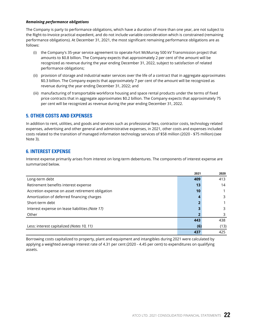## <span id="page-22-0"></span>*Remaining performance obligations*

The Company is party to performance obligations, which have a duration of more than one year, are not subject to the Right-to-Invoice practical expedient, and do not include variable consideration which is constrained (remaining performance obligations). At December 31, 2021, the most significant remaining performance obligations are as follows:

- (i) the Company's 35-year service agreement to operate Fort McMurray 500 kV Transmission project that amounts to \$0.8 billion. The Company expects that approximately 2 per cent of the amount will be recognized as revenue during the year ending December 31, 2022, subject to satisfaction of related performance obligations;
- (ii) provision of storage and industrial water services over the life of a contract that in aggregate approximates \$0.3 billion. The Company expects that approximately 7 per cent of the amount will be recognized as revenue during the year ending December 31, 2022; and
- (iii) manufacturing of transportable workforce housing and space rental products under the terms of fixed price contracts that in aggregate approximates \$0.2 billion. The Company expects that approximately 75 per cent will be recognized as revenue during the year ending December 31, 2022.

## **5. OTHER COSTS AND EXPENSES**

In addition to rent, utilities, and goods and services such as professional fees, contractor costs, technology related expenses, advertising and other general and administrative expenses, in 2021, other costs and expenses included costs related to the transition of managed information technology services of \$58 million (2020 - \$75 million) (see Note 3).

## **6. INTEREST EXPENSE**

Interest expense primarily arises from interest on long-term debentures. The components of interest expense are summarized below.

|                                                  | 2021 | 2020 |
|--------------------------------------------------|------|------|
| Long-term debt                                   | 409  | 413  |
| Retirement benefits interest expense             | 13   | 14   |
| Accretion expense on asset retirement obligation | 10   |      |
| Amortization of deferred financing charges       |      | 3    |
| Short-term debt                                  |      |      |
| Interest expense on lease liabilities (Note 17)  |      | 3    |
| Other                                            |      |      |
|                                                  | 443  | 438  |
| Less: interest capitalized (Notes 10, 11)        | (6)  | (13) |
|                                                  | 437  | 425  |

Borrowing costs capitalized to property, plant and equipment and intangibles during 2021 were calculated by applying a weighted average interest rate of 4.31 per cent (2020 - 4.45 per cent) to expenditures on qualifying assets.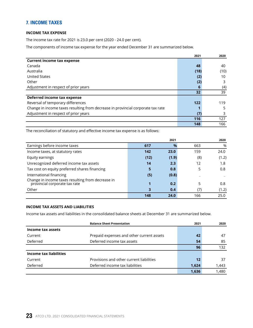## <span id="page-23-0"></span>**7. INCOME TAXES**

## **INCOME TAX EXPENSE**

The income tax rate for 2021 is 23.0 per cent (2020 - 24.0 per cent).

The components of income tax expense for the year ended December 31 are summarized below.

|                                                                                 | 2021 | 2020 |
|---------------------------------------------------------------------------------|------|------|
| <b>Current income tax expense</b>                                               |      |      |
| Canada                                                                          | 48   | 40   |
| Australia                                                                       | (18) | (10) |
| <b>United States</b>                                                            | (2)  | 10   |
| Other                                                                           | (2)  | 3    |
| Adjustment in respect of prior years                                            | 6    | (4)  |
|                                                                                 | 32   | 39   |
| Deferred income tax expense                                                     |      |      |
| Reversal of temporary differences                                               | 122  | 119  |
| Change in income taxes resulting from decrease in provincial corporate tax rate |      | 5    |
| Adjustment in respect of prior years                                            | (7)  | 3    |
|                                                                                 | 116  | 127  |
|                                                                                 | 148  | 166  |

The reconciliation of statutory and effective income tax expense is as follows:

|                                                                                    |      | 2021          |     | 2020  |
|------------------------------------------------------------------------------------|------|---------------|-----|-------|
| Earnings before income taxes                                                       | 617  | $\frac{9}{6}$ | 663 | %     |
| Income taxes, at statutory rates                                                   | 142  | 23.0          | 159 | 24.0  |
| Equity earnings                                                                    | (12) | (1.9)         | (8) | (1.2) |
| Unrecognized deferred income tax assets                                            | 14   | 2.3           | 12  | 1.8   |
| Tax cost on equity preferred shares financing                                      | 5    | 0.8           | 5   | 0.8   |
| International financing                                                            | (5)  | (0.8)         |     |       |
| Change in income taxes resulting from decrease in<br>provincial corporate tax rate | 1    | 0.2           | 5   | 0.8   |
| Other                                                                              |      | 0.4           | (7) | (1.2) |
|                                                                                    | 148  | 24.0          | 166 | 25.0  |

## **INCOME TAX ASSETS AND LIABILITIES**

Income tax assets and liabilities in the consolidated balance sheets at December 31 are summarized below.

|                        | <b>Balance Sheet Presentation</b>         | 2021  | 2020  |
|------------------------|-------------------------------------------|-------|-------|
| Income tax assets      |                                           |       |       |
| Current                | Prepaid expenses and other current assets | 42    | 47    |
| Deferred               | Deferred income tax assets                | 54    | 85    |
|                        |                                           | 96    | 132   |
| Income tax liabilities |                                           |       |       |
| Current                | Provisions and other current liabilities  | 12    | 37    |
| Deferred               | Deferred income tax liabilities           | 1,624 | 1,443 |
|                        |                                           | 1,636 | 1,480 |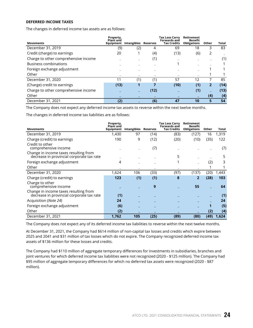## **DEFERRED INCOME TAXES**

The changes in deferred income tax assets are as follows:

|                                      | Property,<br>Plant and |             |          | Tax Loss Carry<br><b>Forwards and</b> | Retirement<br>Benefit |                |       |
|--------------------------------------|------------------------|-------------|----------|---------------------------------------|-----------------------|----------------|-------|
| <b>Movements</b>                     | Equipment              | Intangibles | Reserves | <b>Tax Credits</b>                    | <b>Obligations</b>    | Other          | Total |
| December 31, 2019                    | (9)                    | (2)         | 4        | 69                                    | 18                    | 3              | 83    |
| Credit (charge) to earnings          | 20                     |             | (4)      | (13)                                  | (6)                   | 2              |       |
| Charge to other comprehensive income |                        |             | (1)      |                                       |                       |                | (1)   |
| <b>Business combinations</b>         |                        |             |          |                                       |                       |                |       |
| Foreign exchange adjustment          |                        |             |          |                                       |                       |                |       |
| Other                                |                        |             |          |                                       |                       |                |       |
| December 31, 2020                    | 11                     | (1)         | (1)      | 57                                    | 12                    |                | 85    |
| (Charge) credit to earnings          | (13)                   | 1           | 7        | (10)                                  | (1)                   | $\overline{2}$ | (14)  |
| Charge to other comprehensive income |                        |             | (12)     |                                       | (1)                   |                | (13)  |
| Other                                |                        |             |          |                                       |                       | (4)            | (4)   |
| December 31, 2021                    | (2)                    |             | (6)      | 47                                    | 10                    | 5              | 54    |

The Company does not expect any deferred income tax assets to reverse within the next twelve months.

The changes in deferred income tax liabilities are as follows:

|                                                                                    | Property,<br><b>Plant</b> and |                      |      | <b>Tax Loss Carry</b><br>Forwards and | Retirement<br>Benefit |       |       |
|------------------------------------------------------------------------------------|-------------------------------|----------------------|------|---------------------------------------|-----------------------|-------|-------|
| <b>Movements</b>                                                                   | Equipment                     | Intangibles Reserves |      | <b>Tax Credits</b>                    | <b>Obligations</b>    | Other | Total |
| December 31, 2019                                                                  | 1,430                         | 97                   | (14) | (83)                                  | (127)                 | 16    | 1,319 |
| Charge (credit) to earnings                                                        | 190                           | 9                    | (12) | (20)                                  | (10)                  | (35)  | 122   |
| Credit to other<br>comprehensive income                                            |                               |                      | (7)  |                                       |                       |       | (7)   |
| Change in income taxes resulting from<br>decrease in provincial corporate tax rate |                               |                      |      | 5                                     |                       |       | 5     |
| Foreign exchange adjustment                                                        | 4                             |                      |      |                                       |                       | (2)   | 3     |
| Other                                                                              |                               |                      |      |                                       |                       |       |       |
| December 31, 2020                                                                  | 1,624                         | 106                  | (33) | (97)                                  | (137)                 | (20)  | 1,443 |
| Charge (credit) to earnings                                                        | 123                           | (1)                  | (1)  | 8                                     | 2                     | (28)  | 103   |
| Charge to other<br>comprehensive income                                            |                               |                      | 9    |                                       | 55                    |       | 64    |
| Change in income taxes resulting from<br>decrease in provincial corporate tax rate | (1)                           |                      |      |                                       |                       |       | (1)   |
| Acquisition ( <i>Note 24</i> )                                                     | 24                            |                      |      |                                       |                       |       | 24    |
| Foreign exchange adjustment                                                        | (6)                           |                      |      |                                       |                       |       | (5)   |
| Other                                                                              | (2)                           |                      |      |                                       |                       | (2)   | (4)   |
| December 31, 2021                                                                  | 1,762                         | 105                  | (25) | (89)                                  | (80)                  | (49)  | 1,624 |

The Company does not expect any of its deferred income tax liabilities to reverse within the next twelve months.

At December 31, 2021, the Company had \$614 million of non-capital tax losses and credits which expire between 2025 and 2041 and \$31 million of tax losses which do not expire. The Company recognized deferred income tax assets of \$136 million for these losses and credits.

The Company had \$110 million of aggregate temporary differences for investments in subsidiaries, branches and joint ventures for which deferred income tax liabilities were not recognized (2020 - \$125 million). The Company had \$95 million of aggregate temporary differences for which no deferred tax assets were recognized (2020 - \$87 million).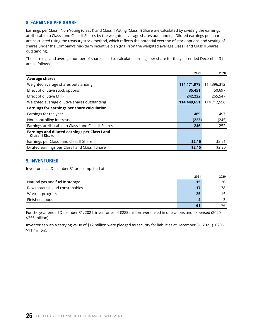## <span id="page-25-0"></span>**8. EARNINGS PER SHARE**

Earnings per Class I Non-Voting (Class I) and Class II Voting (Class II) Share are calculated by dividing the earnings attributable to Class I and Class II Shares by the weighted average shares outstanding. Diluted earnings per share are calculated using the treasury stock method, which reflects the potential exercise of stock options and vesting of shares under the Company's mid-term incentive plan (MTIP) on the weighted average Class I and Class II Shares outstanding.

The earnings and average number of shares used to calculate earnings per share for the year ended December 31 are as follows:

|                                                                 | 2021          | 2020        |
|-----------------------------------------------------------------|---------------|-------------|
| <b>Average shares</b>                                           |               |             |
| Weighted average shares outstanding                             | 114, 171, 978 | 114,396,312 |
| Effect of dilutive stock options                                | 35,451        | 50,697      |
| Effect of dilutive MTIP                                         | 242,222       | 265,547     |
| Weighted average dilutive shares outstanding                    | 114,449,651   | 114,712,556 |
| Earnings for earnings per share calculation                     |               |             |
| Earnings for the year                                           | 469           | 497         |
| Non-controlling interests                                       | (223)         | (245)       |
| Earnings attributable to Class I and Class II Shares            | 246           | 252         |
| Earnings and diluted earnings per Class I and<br>Class II Share |               |             |
| Earnings per Class I and Class II Share                         | \$2.16        | \$2.21      |
| Diluted earnings per Class I and Class II Share                 | \$2.15        | \$2.20      |

## **9. INVENTORIES**

Inventories at December 31 are comprised of:

|                                 | 2021 | 2020 |
|---------------------------------|------|------|
| Natural gas and fuel in storage | 15   | 20   |
| Raw materials and consumables   | 17   | 38   |
| Work-in-progress                | 25   | 15   |
| Finished goods                  | Δ    |      |
|                                 | 61   | 76   |

For the year ended December 31, 2021, inventories of \$285 million were used in operations and expensed (2020 - \$256 million).

Inventories with a carrying value of \$12 million were pledged as security for liabilities at December 31, 2021 (2020 - \$11 million).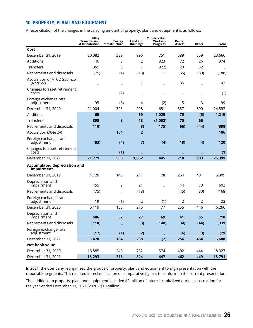## <span id="page-26-0"></span>**10. PROPERTY, PLANT AND EQUIPMENT**

A reconciliation of the changes in the carrying amount of property, plant and equipment is as follows:

|                                                   | Utility<br>Transmission | <b>Energy</b><br>& Distribution Infrastructure | <b>Land and</b><br><b>Buildings</b> | Construction<br>Work-in-<br><b>Progress</b> | Rental<br>Assets | Other | <b>Total</b> |
|---------------------------------------------------|-------------------------|------------------------------------------------|-------------------------------------|---------------------------------------------|------------------|-------|--------------|
| Cost                                              |                         |                                                |                                     |                                             |                  |       |              |
| December 31, 2019                                 | 20,082                  | 389                                            | 996                                 | 751                                         | 589              | 859   | 23,666       |
| Additions                                         | 46                      | 5                                              | 2                                   | 823                                         | 72               | 26    | 974          |
| <b>Transfers</b>                                  | 855                     | 8                                              | 7                                   | (922)                                       | 20               | 32    |              |
| Retirements and disposals                         | (75)                    | (1)                                            | (18)                                | 1                                           | (65)             | (30)  | (188)        |
| Acquisition of ATCO Sabinco<br>(Note 27)          |                         |                                                | 7                                   |                                             | 36               |       | 43           |
| Changes to asset retirement<br>costs              | 1                       | (2)                                            |                                     |                                             |                  |       | (1)          |
| Foreign exchange rate<br>adjustment               | 95                      | (6)                                            | 4                                   | (2)                                         | 5                | 3     | 99           |
| December 31, 2020                                 | 21,004                  | 393                                            | 998                                 | 651                                         | 657              | 890   | 24,593       |
| Additions                                         | 65                      |                                                | 59                                  | 1,025                                       | 75               | (5)   | 1,219        |
| Transfers                                         | 895                     | 8                                              | 13                                  | (1,052)                                     | 70               | 66    |              |
| Retirements and disposals                         | (110)                   |                                                | (3)                                 | (175)                                       | (66)             | (44)  | (398)        |
| Acquisition (Note 24)                             |                         | 104                                            | $\overline{2}$                      |                                             |                  |       | 106          |
| Foreign exchange rate<br>adjustment               | (83)                    | (4)                                            | (7)                                 | (4)                                         | (18)             | (4)   | (120)        |
| Changes to asset retirement<br>costs              |                         | (1)                                            |                                     |                                             |                  |       | (1)          |
| December 31, 2021                                 | 21,771                  | 500                                            | 1,062                               | 445                                         | 718              | 903   | 25,399       |
| <b>Accumulated depreciation and</b><br>impairment |                         |                                                |                                     |                                             |                  |       |              |
| December 31, 2019                                 | 4,720                   | 145                                            | 211                                 | 78                                          | 254              | 401   | 5,809        |
| Depreciation and<br>impairment                    | 455                     | 9                                              | 21                                  |                                             | 44               | 73    | 602          |
| Retirements and disposals                         | (75)                    |                                                | (18)                                |                                             | (45)             | (30)  | (168)        |
| Foreign exchange rate<br>adjustment               | 19                      | (1)                                            | 2                                   | (1)                                         | $\overline{2}$   | 2     | 23           |
| December 31, 2020                                 | 5,119                   | 153                                            | 216                                 | 77                                          | 255              | 446   | 6,266        |
| Depreciation and<br>impairment                    | 486                     | 32                                             | 27                                  | 69                                          | 41               | 55    | 710          |
| Retirements and disposals                         | (110)                   |                                                | (3)                                 | (148)                                       | (34)             | (44)  | (339)        |
| Foreign exchange rate<br>adjustment               | (17)                    | (1)                                            | (2)                                 |                                             | (6)              | (3)   | (29)         |
| December 31, 2021                                 | 5,478                   | 184                                            | 238                                 | (2)                                         | 256              | 454   | 6,608        |
| Net book value                                    |                         |                                                |                                     |                                             |                  |       |              |
| December 31, 2020                                 | 15,885                  | 240                                            | 782                                 | 574                                         | 402              | 444   | 18,327       |
| December 31, 2021                                 | 16,293                  | 316                                            | 824                                 | 447                                         | 462              | 449   | 18,791       |

In 2021, the Company reorganized the groups of property, plant and equipment to align presentation with the reportable segments. This resulted in reclassification of comparative figures to conform to the current presentation.

The additions to property, plant and equipment included \$2 million of interest capitalized during construction for the year ended December 31, 2021 (2020 - \$10 million).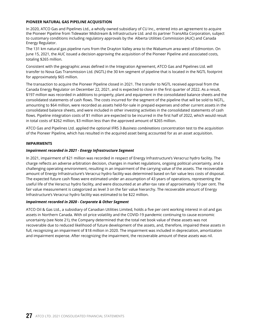## **PIONEER NATURAL GAS PIPELINE ACQUISITION**

In 2020, ATCO Gas and Pipelines Ltd., a wholly owned subsidiary of CU Inc., entered into an agreement to acquire the Pioneer Pipeline from Tidewater Midstream & Infrastructure Ltd. and its partner TransAlta Corporation, subject to customary conditions including regulatory approvals by the Alberta Utilities Commission (AUC) and Canada Energy Regulator.

The 131 km natural gas pipeline runs from the Drayton Valley area to the Wabamum area west of Edmonton. On June 15, 2021, the AUC issued a decision approving the acquisition of the Pioneer Pipeline and associated costs, totaling \$265 million.

Consistent with the geographic areas defined in the Integration Agreement, ATCO Gas and Pipelines Ltd. will transfer to Nova Gas Transmission Ltd. (NGTL) the 30 km segment of pipeline that is located in the NGTL footprint for approximately \$65 million.

The transaction to acquire the Pioneer Pipeline closed in 2021. The transfer to NGTL received approval from the Canada Energy Regulator on December 22, 2021, and is expected to close in the first quarter of 2022. As a result, \$197 million was recorded in additions to property, plant and equipment in the consolidated balance sheets and the consolidated statements of cash flows. The costs incurred for the segment of the pipeline that will be sold to NGTL, amounting to \$64 million, were recorded as assets held-for-sale in prepaid expenses and other current assets in the consolidated balance sheets, and were included in other investing activities in the consolidated statements of cash flows. Pipeline integration costs of \$1 million are expected to be incurred in the first half of 2022, which would result in total costs of \$262 million, \$3 million less than the approved amount of \$265 million.

ATCO Gas and Pipelines Ltd. applied the optional IFRS 3 *Business combinations* concentration test to the acquisition of the Pioneer Pipeline, which has resulted in the acquired asset being accounted for as an asset acquisition.

## **IMPAIRMENTS**

## *Impairment recorded in 2021 - Energy Infrastructure Segment*

In 2021, impairment of \$21 million was recorded in respect of Energy Infrastructure's Veracruz hydro facility. The charge reflects an adverse arbitration decision, changes in market regulations, ongoing political uncertainty, and a challenging operating environment, resulting in an impairment of the carrying value of the assets. The recoverable amount of Energy Infrastructure's Veracruz hydro facility was determined based on fair value less costs of disposal. The expected future cash flows were estimated under an assumption of 43 years of operations, representing the useful life of the Veracruz hydro facility, and were discounted at an after-tax rate of approximately 10 per cent. The fair value measurement is categorized as level 3 on the fair value hierarchy. The recoverable amount of Energy Infrastructure's Veracruz hydro facility was estimated to be \$22 million.

## *Impairment recorded in 2020 - Corporate & Other Segment*

ATCO Oil & Gas Ltd., a subsidiary of Canadian Utilities Limited, holds a five per cent working interest in oil and gas assets in Northern Canada. With oil price volatility and the COVID-19 pandemic continuing to cause economic uncertainty (see Note 21), the Company determined that the total net book value of these assets was not recoverable due to reduced likelihood of future development of the assets, and, therefore, impaired these assets in full, recognizing an impairment of \$18 million in 2020. The impairment was included in depreciation, amortization and impairment expense. After recognizing the impairment, the recoverable amount of these assets was nil.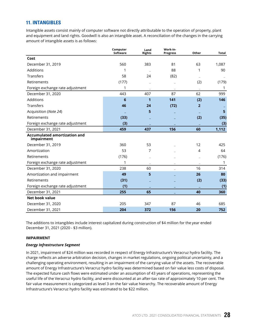## <span id="page-28-0"></span>**11. INTANGIBLES**

Intangible assets consist mainly of computer software not directly attributable to the operation of property, plant and equipment and land rights. Goodwill is also an intangible asset. A reconciliation of the changes in the carrying amount of intangible assets is as follows:

|                                                   | Computer<br>Software | Land<br><b>Rights</b> | Work-in-<br><b>Progress</b> | Other          | Total |
|---------------------------------------------------|----------------------|-----------------------|-----------------------------|----------------|-------|
| Cost                                              |                      |                       |                             |                |       |
| December 31, 2019                                 | 560                  | 383                   | 81                          | 63             | 1,087 |
| Additions                                         | 1                    |                       | 88                          | 1              | 90    |
| Transfers                                         | 58                   | 24                    | (82)                        |                |       |
| Retirements                                       | (177)                |                       |                             | (2)            | (179) |
| Foreign exchange rate adjustment                  | 1                    |                       |                             |                | 1     |
| December 31, 2020                                 | 443                  | 407                   | 87                          | 62             | 999   |
| Additions                                         | 6                    | 1                     | 141                         | (2)            | 146   |
| Transfers                                         | 46                   | 24                    | (72)                        | $\overline{2}$ |       |
| Acquisition (Note 24)                             |                      | 5                     |                             |                | 5     |
| Retirements                                       | (33)                 |                       |                             | (2)            | (35)  |
| Foreign exchange rate adjustment                  | (3)                  |                       |                             |                | (3)   |
| December 31, 2021                                 | 459                  | 437                   | 156                         | 60             | 1,112 |
| <b>Accumulated amortization and</b><br>impairment |                      |                       |                             |                |       |
| December 31, 2019                                 | 360                  | 53                    |                             | 12             | 425   |
| Amortization                                      | 53                   | 7                     |                             | 4              | 64    |
| Retirements                                       | (176)                |                       |                             |                | (176) |
| Foreign exchange rate adjustment                  | 1                    |                       |                             |                | 1     |
| December 31, 2020                                 | 238                  | 60                    |                             | 16             | 314   |
| Amortization and impairment                       | 49                   | 5                     |                             | 26             | 80    |
| Retirements                                       | (31)                 |                       |                             | (2)            | (33)  |
| Foreign exchange rate adjustment                  | (1)                  |                       |                             |                | (1)   |
| December 31, 2021                                 | 255                  | 65                    |                             | 40             | 360   |
| <b>Net book value</b>                             |                      |                       |                             |                |       |
| December 31, 2020                                 | 205                  | 347                   | 87                          | 46             | 685   |
| December 31, 2021                                 | 204                  | 372                   | 156                         | 20             | 752   |

The additions to intangibles include interest capitalized during construction of \$4 million for the year ended December 31, 2021 (2020 - \$3 million).

## **IMPAIRMENT**

#### *Energy Infrastructure Segment*

In 2021, impairment of \$24 million was recorded in respect of Energy Infrastructure's Veracruz hydro facility. The charge reflects an adverse arbitration decision, changes in market regulations, ongoing political uncertainty, and a challenging operating environment, resulting in an impairment of the carrying value of the assets. The recoverable amount of Energy Infrastructure's Veracruz hydro facility was determined based on fair value less costs of disposal. The expected future cash flows were estimated under an assumption of 43 years of operations, representing the useful life of the Veracruz hydro facility, and were discounted at an after-tax rate of approximately 10 per cent. The fair value measurement is categorized as level 3 on the fair value hierarchy. The recoverable amount of Energy Infrastructure's Veracruz hydro facility was estimated to be \$22 million.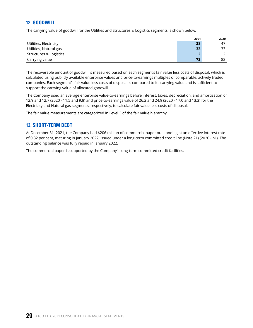## <span id="page-29-0"></span>**12. GOODWILL**

The carrying value of goodwill for the Utilities and Structures & Logistics segments is shown below.

|                        | 2021 | 2020 |
|------------------------|------|------|
| Utilities, Electricity | 38   | 47   |
| Utilities, Natural gas | 33   | 33   |
| Structures & Logistics | n    |      |
| Carrying value         | 73   | 82   |

The recoverable amount of goodwill is measured based on each segment's fair value less costs of disposal, which is calculated using publicly available enterprise values and price-to-earnings multiples of comparable, actively traded companies. Each segment's fair value less costs of disposal is compared to its carrying value and is sufficient to support the carrying value of allocated goodwill.

The Company used an average enterprise value-to-earnings before interest, taxes, depreciation, and amortization of 12.9 and 12.7 (2020 - 11.5 and 9.8) and price-to-earnings value of 26.2 and 24.9 (2020 - 17.0 and 13.3) for the Electricity and Natural gas segments, respectively, to calculate fair value less costs of disposal.

The fair value measurements are categorized in Level 3 of the fair value hierarchy.

## **13. SHORT-TERM DEBT**

At December 31, 2021, the Company had \$206 million of commercial paper outstanding at an effective interest rate of 0.32 per cent, maturing in January 2022, issued under a long-term committed credit line (Note 21) (2020 - nil). The outstanding balance was fully repaid in January 2022.

The commercial paper is supported by the Company's long-term committed credit facilities.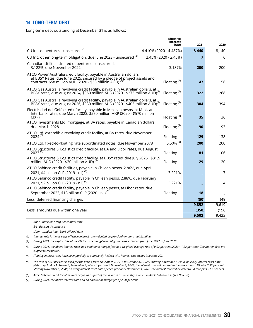## <span id="page-30-0"></span>**14. LONG-TERM DEBT**

Long-term debt outstanding at December 31 is as follows:

|                                                                                                                                                                                                          | <b>Effective</b><br><b>Interest</b><br>Rate | 2021  | 2020  |
|----------------------------------------------------------------------------------------------------------------------------------------------------------------------------------------------------------|---------------------------------------------|-------|-------|
| CU Inc. debentures - unsecured (1)                                                                                                                                                                       | 4.410% (2020 - 4.487%)                      | 8,440 | 8,140 |
| CU Inc. other long-term obligation, due June 2023 - unsecured <sup>(2)</sup>                                                                                                                             | 2.45% (2020 - 2.45%)                        | 7     | 6     |
| Canadian Utilities Limited debentures - unsecured,<br>3.122%, due November 2022                                                                                                                          | 3.187%                                      | 200   | 200   |
| ATCO Power Australia credit facility, payable in Australian dollars,<br>at BBSY Rates, due June 2025, secured by a pledge of project assets and<br>contracts, \$58 million AUD (2020 - \$58 million AUD) | Floating <sup>(4)</sup>                     | 47    | 56    |
| ATCO Gas Australia revolving credit facility, payable in Australian dollars, at<br>BBSY rates, due August 2024, \$350 million AUD (2020 - \$275 million AUD) <sup>(3)</sup>                              | Floating $(4)$                              | 322   | 268   |
| ATCO Gas Australia revolving credit facility, payable in Australian dollars, at<br>BBSY rates, due August 2026, \$330 million AUD (2020 - \$405 million AUD) <sup>(3)</sup>                              | Floating <sup>(4)</sup>                     | 304   | 394   |
| Electricidad del Golfo credit facility, payable in Mexican pesos, at Mexican<br>Interbank rates, due March 2023, \$570 million MXP (2020 - \$570 million<br>MXP)                                         | Floating $(4)$                              | 35    | 36    |
| ATCO Investments Ltd. mortgage, at BA rates, payable in Canadian dollars,<br>due March 2028                                                                                                              | Floating $(4)$                              | 90    | 93    |
| ATCO Ltd. extendible revolving credit facility, at BA rates, due November<br>2024 <sup>(3)</sup>                                                                                                         | Floating                                    | 129   | 138   |
| ATCO Ltd. fixed-to-floating rate subordinated notes, due November 2078                                                                                                                                   | 5.50% (5)                                   | 200   | 200   |
| ATCO Structures & Logistics credit facility, at BA and Libor rates, due August<br>$2023^{(3)}$                                                                                                           | Floating                                    | 81    | 106   |
| ATCO Structures & Logistics credit facility, at BBSY rates, due July 2025, \$31.5<br>million AUD (2020 - \$20 million AUD)                                                                               | Floating                                    | 29    | 20    |
| ATCO Sabinco credit facilities, payable in Chilean pesos, 2.86%, due April<br>2021, \$4 billion CLP (2019 - nil) <sup>(6)</sup>                                                                          | 3.221%                                      |       | 7     |
| ATCO Sabinco credit facility, payable in Chilean pesos, 2.88%, due February<br>2021, \$2 billion CLP (2019 - nil) <sup>(6)</sup>                                                                         | 3.221%                                      |       | 4     |
| ATCO Sabinco credit facility, payable in Chilean pesos, at Libor rates, due<br>September 2023, \$13 billion CLP (2020 - nil) <sup>(7)</sup>                                                              | Floating                                    | 18    |       |
| Less: deferred financing charges                                                                                                                                                                         |                                             | (50)  | (49)  |
|                                                                                                                                                                                                          |                                             | 9,852 | 9,619 |
| Less: amounts due within one year                                                                                                                                                                        |                                             | (350) | (196) |
|                                                                                                                                                                                                          |                                             | 9,502 | 9,423 |

*BBSY - Bank Bill Swap Benchmark Rate*

*BA - Bankers' Acceptance*

*Libor - London Inter-Bank Offered Rate*

*(1) Interest rate is the average effective interest rate weighted by principal amounts outstanding.*

*(2) During 2021, the expiry date of the CU Inc. other long-term obligation was extended from June 2022 to June 2023.*

*(3) During 2021, the above interest rates had additional margin fees at a weighted average rate of 0.92 per cent (2020* - *1.22 per cent). The margin fees are subject to escalation.* 

*(4) Floating interest rates have been partially or completely hedged with interest rate swaps (see Note 20).*

*(5) The rate of 5.50 per cent is fixed for the period from November 1, 2018 to October 31, 2028. Starting November 1, 2028, on every interest reset date (February 1, May 1, August 1, November 1) of each year until November 1, 2048, the interest rate will be reset to the three month BA plus 2.92 per cent. Starting November 1, 2048, on every interest reset date of each year until November 1, 2078, the interest rate will be reset to BA rate plus 3.67 per cent.*

*(6) ATCO Sabinco credit facilities were acquired as part of the increase in ownership interest in ATCO Sabinco S.A. (see Note 27).*

*(7) During 2021, the above interest rate had an additional margin fee of 2.60 per cent.*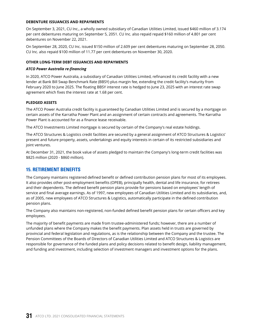### <span id="page-31-0"></span>**DEBENTURE ISSUANCES AND REPAYMENTS**

On September 3, 2021, CU Inc., a wholly owned subsidiary of Canadian Utilities Limited, issued \$460 million of 3.174 per cent debentures maturing on September 5, 2051. CU Inc. also repaid repaid \$160 million of 4.801 per cent debentures on November 22, 2021.

On September 28, 2020, CU Inc. issued \$150 million of 2.609 per cent debentures maturing on September 28, 2050. CU Inc. also repaid \$100 million of 11.77 per cent debentures on November 30, 2020.

### **OTHER LONG-TERM DEBT ISSUANCES AND REPAYMENTS**

#### *ATCO Power Australia re-financing*

In 2020, ATCO Power Australia, a subsidiary of Canadian Utilities Limited, refinanced its credit facility with a new lender at Bank Bill Swap Benchmark Rate (BBSY) plus margin fee, extending the credit facility's maturity from February 2020 to June 2025. The floating BBSY interest rate is hedged to June 23, 2025 with an interest rate swap agreement which fixes the interest rate at 1.68 per cent.

#### **PLEDGED ASSETS**

The ATCO Power Australia credit facility is guaranteed by Canadian Utilities Limited and is secured by a mortgage on certain assets of the Karratha Power Plant and an assignment of certain contracts and agreements. The Karratha Power Plant is accounted for as a finance lease receivable.

The ATCO Investments Limited mortgage is secured by certain of the Company's real estate holdings.

The ATCO Structures & Logistics credit facilities are secured by a general assignment of ATCO Structures & Logistics' present and future property, assets, undertakings and equity interests in certain of its restricted subsidiaries and joint ventures.

At December 31, 2021, the book value of assets pledged to maintain the Company's long-term credit facilities was \$825 million (2020 - \$860 million).

## **15. RETIREMENT BENEFITS**

The Company maintains registered defined benefit or defined contribution pension plans for most of its employees. It also provides other post-employment benefits (OPEB), principally health, dental and life insurance, for retirees and their dependents. The defined benefit pension plans provide for pensions based on employees' length of service and final average earnings. As of 1997, new employees of Canadian Utilities Limited and its subsidiaries, and, as of 2005, new employees of ATCO Structures & Logistics, automatically participate in the defined contribution pension plans.

The Company also maintains non-registered, non-funded defined benefit pension plans for certain officers and key employees.

The majority of benefit payments are made from trustee-administered funds; however, there are a number of unfunded plans where the Company makes the benefit payments. Plan assets held in trusts are governed by provincial and federal legislation and regulations, as is the relationship between the Company and the trustee. The Pension Committees of the Boards of Directors of Canadian Utilities Limited and ATCO Structures & Logistics are responsible for governance of the funded plans and policy decisions related to benefit design, liability management, and funding and investment, including selection of investment managers and investment options for the plans.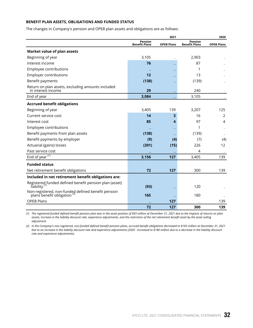## **BENEFIT PLAN ASSETS, OBLIGATIONS AND FUNDED STATUS**

The changes in Company's pension and OPEB plan assets and obligations are as follows:

|                                                                                  |                                 | 2021              |                                 | 2020              |
|----------------------------------------------------------------------------------|---------------------------------|-------------------|---------------------------------|-------------------|
|                                                                                  | Pension<br><b>Benefit Plans</b> | <b>OPEB Plans</b> | Pension<br><b>Benefit Plans</b> | <b>OPEB Plans</b> |
| Market value of plan assets                                                      |                                 |                   |                                 |                   |
| Beginning of year                                                                | 3,105                           |                   | 2,903                           |                   |
| Interest income                                                                  | 76                              |                   | 87                              |                   |
| Employee contributions                                                           |                                 |                   | 1                               |                   |
| <b>Employer contributions</b>                                                    | 12                              |                   | 13                              |                   |
| Benefit payments                                                                 | (138)                           |                   | (139)                           |                   |
| Return on plan assets, excluding amounts included<br>in interest income          | 29                              |                   | 240                             |                   |
| End of year                                                                      | 3,084                           |                   | 3,105                           |                   |
| <b>Accrued benefit obligations</b>                                               |                                 |                   |                                 |                   |
| Beginning of year                                                                | 3,405                           | 139               | 3,207                           | 125               |
| Current service cost                                                             | 14                              | 3                 | 16                              | 2                 |
| Interest cost                                                                    | 85                              | 4                 | 97                              | $\overline{4}$    |
| Employee contributions                                                           |                                 |                   | 1                               |                   |
| Benefit payments from plan assets                                                | (138)                           |                   | (139)                           |                   |
| Benefit payments by employer                                                     | (9)                             | (4)               | (7)                             | (4)               |
| Actuarial (gains) losses                                                         | (201)                           | (15)              | 226                             | 12                |
| Past service cost                                                                |                                 |                   | 4                               |                   |
| End of year $(1)$                                                                | 3,156                           | 127               | 3,405                           | 139               |
| <b>Funded status</b>                                                             |                                 |                   |                                 |                   |
| Net retirement benefit obligations                                               | 72                              | 127               | 300                             | 139               |
| Included in net retirement benefit obligations are:                              |                                 |                   |                                 |                   |
| Registered funded defined benefit pension plan (asset)<br>liability <sup>(</sup> | (93)                            |                   | 120                             |                   |
| Non-registered, non-funded defined benefit pension<br>plans benefit obligation   | 165                             |                   | 180                             |                   |
| <b>OPEB Plans</b>                                                                |                                 | 127               |                                 | 139               |
|                                                                                  | 72                              | 127               | 300                             | 139               |

*(1) The registered funded defined benefit pension plan was in the asset position of \$93 million at December 31, 2021 due to the impacts of returns on plan assets, increase in the liability discount rate, experience adjustments, and the restriction of the net retirement benefit asset by the asset ceiling adjustment.*

*(2) In the Company's non-registered, non-funded defined benefit pension plans, accrued benefit obligations decreased to \$165 million at December 31, 2021 due to an increase in the liability discount rate and experience adjustments (2020 - increased to \$180 million due to a decrease in the liability discount rate and experience adjustments).*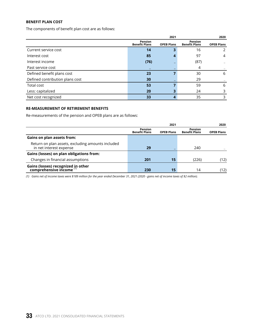## **BENEFIT PLAN COST**

The components of benefit plan cost are as follows:

|                                 |                                 | 2020              |                                 |                   |
|---------------------------------|---------------------------------|-------------------|---------------------------------|-------------------|
|                                 | Pension<br><b>Benefit Plans</b> | <b>OPEB Plans</b> | Pension<br><b>Benefit Plans</b> | <b>OPEB Plans</b> |
| Current service cost            | 14                              |                   | 16                              | 2                 |
| Interest cost                   | 85                              |                   | 97                              | $\overline{4}$    |
| Interest income                 | (76)                            |                   | (87)                            |                   |
| Past service cost               |                                 |                   | 4                               |                   |
| Defined benefit plans cost      | 23                              |                   | 30                              | 6                 |
| Defined contribution plans cost | 30                              |                   | 29                              |                   |
| Total cost                      | 53                              |                   | 59                              | 6                 |
| Less: capitalized               | 20                              |                   | 24                              | 3                 |
| Net cost recognized             | 33                              |                   | 35                              | 3                 |

### **RE-MEASUREMENT OF RETIREMENT BENEFITS**

Re-measurements of the pension and OPEB plans are as follows:

|                                                                              | 2021                            |                   |                                        | 2020              |  |
|------------------------------------------------------------------------------|---------------------------------|-------------------|----------------------------------------|-------------------|--|
|                                                                              | Pension<br><b>Benefit Plans</b> | <b>OPEB Plans</b> | <b>Pension</b><br><b>Benefit Plans</b> | <b>OPEB Plans</b> |  |
| <b>Gains on plan assets from:</b>                                            |                                 |                   |                                        |                   |  |
| Return on plan assets, excluding amounts included<br>in net interest expense | 29                              |                   | 240                                    |                   |  |
| Gains (losses) on plan obligations from:                                     |                                 |                   |                                        |                   |  |
| Changes in financial assumptions                                             | 201                             | 15                | (226)                                  | (12)              |  |
| Gains (losses) recognized in other<br>comprehensive income $(1)$             | 230                             | 15                | 14                                     | (12)              |  |

*(1) Gains net of income taxes were \$189 million for the year ended December 31, 2021 (2020 - gains net of income taxes of \$2 million).*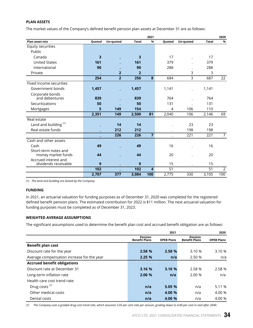## **PLAN ASSETS**

The market values of the Company's defined benefit pension plan assets at December 31 are as follows:

|                                  |                         |                |                | 2021                    |        |           |              | 2020           |
|----------------------------------|-------------------------|----------------|----------------|-------------------------|--------|-----------|--------------|----------------|
| Plan asset mix                   | Quoted                  | Un-quoted      | <b>Total</b>   | %                       | Quoted | Un-quoted | <b>Total</b> | %              |
| Equity securities                |                         |                |                |                         |        |           |              |                |
| Public                           |                         |                |                |                         |        |           |              |                |
| Canada                           | $\overline{\mathbf{3}}$ |                | 3              |                         | 17     |           | 17           |                |
| <b>United States</b>             | 161                     |                | 161            |                         | 379    |           | 379          |                |
| International                    | 90                      |                | 90             |                         | 288    |           | 288          |                |
| Private                          |                         | $\overline{2}$ | $\overline{2}$ |                         |        | 3         | 3            |                |
|                                  | 254                     | $\overline{2}$ | 256            | 8                       | 684    | 3         | 687          | 22             |
| Fixed income securities          |                         |                |                |                         |        |           |              |                |
| Government bonds                 | 1,457                   |                | 1,457          |                         | 1,141  |           | 1,141        |                |
| Corporate bonds                  |                         |                |                |                         |        |           |              |                |
| and debentures                   | 839                     |                | 839            |                         | 764    |           | 764          |                |
| Securitizations                  | 50                      |                | 50             |                         | 131    |           | 131          |                |
| Mortgages                        | 5                       | 149            | 154            |                         | 4      | 106       | 110          |                |
|                                  | 2,351                   | 149            | 2,500          | 81                      | 2,040  | 106       | 2,146        | 69             |
| Real estate                      |                         |                |                |                         |        |           |              |                |
| Land and building <sup>(1)</sup> |                         | 14             | 14             |                         |        | 23        | 23           |                |
| Real estate funds                |                         | 212            | 212            |                         |        | 198       | 198          |                |
|                                  |                         | 226            | 226            | $\overline{7}$          |        | 221       | 221          | $\overline{7}$ |
| Cash and other assets            |                         |                |                |                         |        |           |              |                |
| Cash                             | 49                      |                | 49             |                         | 16     |           | 16           |                |
| Short-term notes and             |                         |                |                |                         |        |           |              |                |
| money market funds               | 44                      |                | 44             |                         | 20     |           | 20           |                |
| Accrued interest and             |                         |                |                |                         |        |           |              |                |
| dividends receivable             | 9                       |                | 9              |                         | 15     |           | 15           |                |
|                                  | 102                     |                | 102            | $\overline{\mathbf{A}}$ | 51     |           | 51           | $\overline{2}$ |
|                                  | 2,707                   | 377            | 3,084          | 100                     | 2,775  | 330       | 3,105        | 100            |

*(1) The land and building are leased by the Company.*

## **FUNDING**

In 2021, an actuarial valuation for funding purposes as of December 31, 2020 was completed for the registered defined benefit pension plans. The estimated contribution for 2022 is \$11 million. The next actuarial valuation for funding purposes must be completed as of December 31, 2023.

## **WEIGHTED AVERAGE ASSUMPTIONS**

The significant assumptions used to determine the benefit plan cost and accrued benefit obligation are as follows:

|                                            | 2021                            |                   |                                        | 2020              |  |
|--------------------------------------------|---------------------------------|-------------------|----------------------------------------|-------------------|--|
|                                            | Pension<br><b>Benefit Plans</b> | <b>OPEB Plans</b> | <b>Pension</b><br><b>Benefit Plans</b> | <b>OPEB Plans</b> |  |
| Benefit plan cost                          |                                 |                   |                                        |                   |  |
| Discount rate for the year                 | 2.58 %                          | 2.58 %            | 3.10 %                                 | 3.10 %            |  |
| Average compensation increase for the year | 2.25%                           | n/a               | 2.50 %                                 | n/a               |  |
| <b>Accrued benefit obligations</b>         |                                 |                   |                                        |                   |  |
| Discount rate at December 31               | 3.16 %                          | 3.16 %            | 2.58 %                                 | 2.58 %            |  |
| Long-term inflation rate                   | 2.00 %                          | n/a               | 2.00%                                  | n/a               |  |
| Health care cost trend rate:               |                                 |                   |                                        |                   |  |
| Drug costs <sup>(1)</sup>                  | n/a                             | 5.05 %            | n/a                                    | 5.11%             |  |
| Other medical costs                        | n/a                             | 4.00 %            | n/a                                    | 4.00 %            |  |
| Dental costs                               | n/a                             | 4.00 %            | n/a                                    | 4.00 %            |  |

*(1) The Company uses a graded drug cost trend rate, which assumes 5.05 per cent rate per annum, grading down to 4.00 per cent in and after 2040.*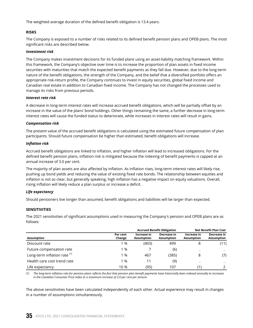The weighted average duration of the defined benefit obligation is 13.4 years.

## **RISKS**

The Company is exposed to a number of risks related to its defined benefit pension plans and OPEB plans. The most significant risks are described below.

### *Investment risk*

The Company makes investment decisions for its funded plans using an asset-liability matching framework. Within this framework, the Company's objective over time is to increase the proportion of plan assets in fixed income securities with maturities that match the expected benefit payments as they fall due. However, due to the long-term nature of the benefit obligations, the strength of the Company, and the belief that a diversified portfolio offers an appropriate risk-return profile, the Company continues to invest in equity securities, global fixed income and Canadian real estate in addition to Canadian fixed income. The Company has not changed the processes used to manage its risks from previous periods.

## *Interest rate risk*

A decrease in long-term interest rates will increase accrued benefit obligations, which will be partially offset by an increase in the value of the plans' bond holdings. Other things remaining the same, a further decrease in long-term interest rates will cause the funded status to deteriorate, while increases in interest rates will result in gains.

#### *Compensation risk*

The present value of the accrued benefit obligations is calculated using the estimated future compensation of plan participants. Should future compensation be higher than estimated, benefit obligations will increase.

## *Inflation risk*

Accrued benefit obligations are linked to inflation, and higher inflation will lead to increased obligations. For the defined benefit pension plans, inflation risk is mitigated because the indexing of benefit payments is capped at an annual increase of 3.0 per cent.

The majority of plan assets are also affected by inflation. As inflation rises, long-term interest rates will likely rise, pushing up bond yields and reducing the value of existing fixed rate bonds. The relationship between equities and inflation is not as clear, but generally speaking, high inflation has a negative impact on equity valuations. Overall, rising inflation will likely reduce a plan surplus or increase a deficit.

## *Life expectancy*

Should pensioners live longer than assumed, benefit obligations and liabilities will be larger than expected.

## **SENSITIVITIES**

The 2021 sensitivities of significant assumptions used in measuring the Company's pension and OPEB plans are as follows:

| Assumption                              |                    |                           | <b>Accrued Benefit Obligation</b> | <b>Net Benefit Plan Cost</b>     |                           |
|-----------------------------------------|--------------------|---------------------------|-----------------------------------|----------------------------------|---------------------------|
|                                         | Per cent<br>Change | Increase in<br>Assumption | Decrease in<br><b>Assumption</b>  | Increase in<br><b>Assumption</b> | Decrease in<br>Assumption |
| Discount rate                           | %                  | (403)                     | 499                               | 8                                | (11)                      |
| Future compensation rate                | %                  |                           | (6)                               |                                  |                           |
| Long-term inflation rate <sup>(1)</sup> | $\frac{9}{6}$      | 467                       | (385)                             | 8                                | (7)                       |
| Health care cost trend rate             | %                  | 11                        | (9)                               | -                                |                           |
| Life expectancy                         | 10 %               | (95)                      | 107                               |                                  |                           |

*(1) The long-term inflation rate for pension plans reflects the fact that pension plan benefit payments have historically been indexed annually to increases in the Canadian Consumer Price Index to a maximum increase of 3.0 per cent per annum.*

The above sensitivities have been calculated independently of each other. Actual experience may result in changes in a number of assumptions simultaneously.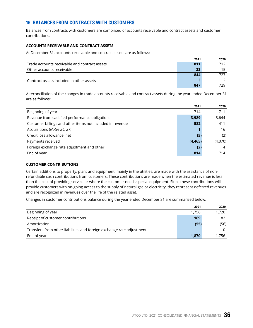# **16. BALANCES FROM CONTRACTS WITH CUSTOMERS**

Balances from contracts with customers are comprised of accounts receivable and contract assets and customer contributions.

## **ACCOUNTS RECEIVABLE AND CONTRACT ASSETS**

At December 31, accounts receivable and contract assets are as follows:

|                                               | 2021 | 2020 |
|-----------------------------------------------|------|------|
| Trade accounts receivable and contract assets | 811  | 712  |
| Other accounts receivable                     | 33   | 15   |
|                                               | 844  | 727  |
| Contract assets included in other assets      |      |      |
|                                               | 847  | 729  |

A reconciliation of the changes in trade accounts receivable and contract assets during the year ended December 31 are as follows:

|                                                           | 2021     | 2020    |
|-----------------------------------------------------------|----------|---------|
| Beginning of year                                         | 714      | 711     |
| Revenue from satisfied performance obligations            | 3,989    | 3,644   |
| Customer billings and other items not included in revenue | 582      | 411     |
| Acquisitions (Notes 24, 27)                               |          | 16      |
| Credit loss allowance, net                                | (5)      | (2)     |
| Payments received                                         | (4, 465) | (4,070) |
| Foreign exchange rate adjustment and other                | (2)      | 4       |
| End of year                                               | 814      | 714     |

## **CUSTOMER CONTRIBUTIONS**

Certain additions to property, plant and equipment, mainly in the utilities, are made with the assistance of nonrefundable cash contributions from customers. These contributions are made when the estimated revenue is less than the cost of providing service or where the customer needs special equipment. Since these contributions will provide customers with on-going access to the supply of natural gas or electricity, they represent deferred revenues and are recognized in revenues over the life of the related asset.

Changes in customer contributions balance during the year ended December 31 are summarized below.

|                                                                       | 2021  | 2020  |
|-----------------------------------------------------------------------|-------|-------|
| Beginning of year                                                     | 1.756 | 1.720 |
| Receipt of customer contributions                                     | 169   | 82    |
| Amortization                                                          | (55)  | (56)  |
| Transfers from other liabilities and foreign exchange rate adjustment |       | 10    |
| End of year                                                           | 1,870 | 1.756 |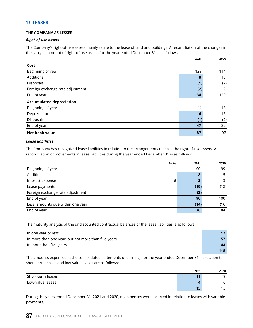## **17. LEASES**

## **THE COMPANY AS LESSEE**

## *Right-of-use assets*

The Company's right-of-use assets mainly relate to the lease of land and buildings. A reconciliation of the changes in the carrying amount of right-of-use assets for the year ended December 31 is as follows:

|                                  | 2021 | 2020 |
|----------------------------------|------|------|
| Cost                             |      |      |
| Beginning of year                | 129  | 114  |
| Additions                        | 8    | 15   |
| Disposals                        | (1)  | (2)  |
| Foreign exchange rate adjustment | (2)  | 2    |
| End of year                      | 134  | 129  |
| <b>Accumulated depreciation</b>  |      |      |
| Beginning of year                | 32   | 18   |
| Depreciation                     | 16   | 16   |
| Disposals                        | (1)  | (2)  |
| End of year                      | 47   | 32   |
| Net book value                   | 87   | 97   |

## *Lease liabilities*

The Company has recognized lease liabilities in relation to the arrangements to lease the right-of-use assets. A reconciliation of movements in lease liabilities during the year ended December 31 is as follows:

| <b>Note</b>                       | 2021   | 2020 |
|-----------------------------------|--------|------|
| Beginning of year                 | 100    | 99   |
| Additions                         | 8      | 15   |
| Interest expense                  | 3<br>6 | 3    |
| Lease payments                    | (19)   | (18) |
| Foreign exchange rate adjustment  | (2)    |      |
| End of year                       | 90     | 100  |
| Less: amounts due within one year | (14)   | (16) |
| End of year                       | 76     | 84   |

The maturity analysis of the undiscounted contractual balances of the lease liabilities is as follows:

| In one year or less                                 |     |
|-----------------------------------------------------|-----|
| In more than one year, but not more than five years |     |
| In more than five years                             | 44  |
|                                                     | 118 |

The amounts expensed in the consolidated statements of earnings for the year ended December 31, in relation to short-term leases and low-value leases are as follows:

|                   | 2021 | 2020    |
|-------------------|------|---------|
| Short-term leases | 11   | a       |
| Low-value leases  |      | b       |
|                   | 15   | 15<br>- |

During the years ended December 31, 2021 and 2020, no expenses were incurred in relation to leases with variable payments.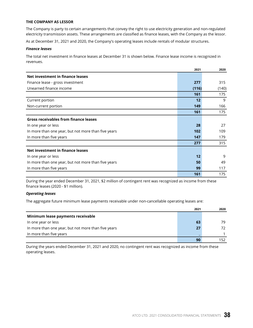#### **THE COMPANY AS LESSOR**

The Company is party to certain arrangements that convey the right to use electricity generation and non-regulated electricity transmission assets. These arrangements are classified as finance leases, with the Company as the lessor.

As at December 31, 2021 and 2020, the Company's operating leases include rentals of modular structures.

#### *Finance leases*

The total net investment in finance leases at December 31 is shown below. Finance lease income is recognized in revenues.

|                                                     | 2021  | 2020  |
|-----------------------------------------------------|-------|-------|
| Net investment in finance leases                    |       |       |
| Finance lease - gross investment                    | 277   | 315   |
| Unearned finance income                             | (116) | (140) |
|                                                     | 161   | 175   |
| Current portion                                     | 12    | 9     |
| Non-current portion                                 | 149   | 166   |
|                                                     | 161   | 175   |
| <b>Gross receivables from finance leases</b>        |       |       |
| In one year or less                                 | 28    | 27    |
| In more than one year, but not more than five years | 102   | 109   |
| In more than five years                             | 147   | 179   |
|                                                     | 277   | 315   |
| Net investment in finance leases                    |       |       |
| In one year or less                                 | 12    | 9     |
| In more than one year, but not more than five years | 50    | 49    |
| In more than five years                             | 99    | 117   |
|                                                     | 161   | 175   |

During the year ended December 31, 2021, \$2 million of contingent rent was recognized as income from these finance leases (2020 - \$1 million).

#### *Operating leases*

The aggregate future minimum lease payments receivable under non-cancellable operating leases are:

|                                                     | 2021 | 2020 |
|-----------------------------------------------------|------|------|
| Minimum lease payments receivable                   |      |      |
| In one year or less                                 | 63   | 79   |
| In more than one year, but not more than five years | 27   | 72.  |
| In more than five years                             |      |      |
|                                                     | 90   | 152. |

During the years ended December 31, 2021 and 2020, no contingent rent was recognized as income from these operating leases.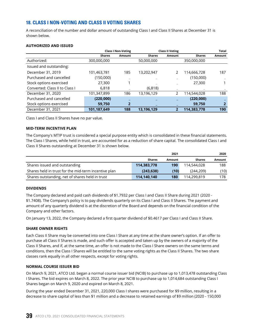# **18. CLASS I NON-VOTING AND CLASS II VOTING SHARES**

A reconciliation of the number and dollar amount of outstanding Class I and Class II Shares at December 31 is shown below.

|                                |               | <b>Class I Non-Voting</b> |               | <b>Class II Voting</b> |               | <b>Total</b> |
|--------------------------------|---------------|---------------------------|---------------|------------------------|---------------|--------------|
|                                | <b>Shares</b> | Amount                    | <b>Shares</b> | Amount                 | <b>Shares</b> | Amount       |
| Authorized:                    | 300,000,000   |                           | 50,000,000    |                        | 350,000,000   |              |
| Issued and outstanding:        |               |                           |               |                        |               |              |
| December 31, 2019              | 101,463,781   | 185                       | 13,202,947    | 2                      | 114,666,728   | 187          |
| Purchased and cancelled        | (150,000)     |                           |               |                        | (150,000)     |              |
| Stock options exercised        | 27,300        |                           |               |                        | 27,300        |              |
| Converted: Class II to Class I | 6,818         |                           | (6, 818)      |                        |               |              |
| December 31, 2020              | 101,347,899   | 186                       | 13,196,129    | 2                      | 114,544,028   | 188          |
| Purchased and cancelled        | (220,000)     |                           |               |                        | (220,000)     |              |
| Stock options exercised        | 59,750        | 2                         |               |                        | 59,750        | 2            |
| December 31, 2021              | 101,187,649   | 188                       | 13,196,129    | $\mathbf{2}$           | 114,383,778   | 190          |

## **AUTHORIZED AND ISSUED**

Class I and Class II Shares have no par value.

## **MID-TERM INCENTIVE PLAN**

The Company's MTIP trust is considered a special purpose entity which is consolidated in these financial statements. The Class I Shares, while held in trust, are accounted for as a reduction of share capital. The consolidated Class I and Class II Shares outstanding at December 31 is shown below.

|                                                      |               | 2021   |               | 2020   |
|------------------------------------------------------|---------------|--------|---------------|--------|
|                                                      | <b>Shares</b> | Amount | <b>Shares</b> | Amount |
| Shares issued and outstanding                        | 114,383,778   | 190    | 114,544,028   | 188    |
| Shares held in trust for the mid-term incentive plan | (243, 638)    | (10)   | (244, 209)    | (10)   |
| Shares outstanding, net of shares held in trust      | 114,140,140   | 180    | 114,299,819   | 178    |

## **DIVIDENDS**

The Company declared and paid cash dividends of \$1.7932 per Class I and Class II Share during 2021 (2020 - \$1.7408). The Company's policy is to pay dividends quarterly on its Class I and Class II Shares. The payment and amount of any quarterly dividend is at the discretion of the Board and depends on the financial condition of the Company and other factors.

On January 13, 2022, the Company declared a first quarter dividend of \$0.4617 per Class I and Class II Share.

## **SHARE OWNER RIGHTS**

Each Class II Share may be converted into one Class I Share at any time at the share owner's option. If an offer to purchase all Class II Shares is made, and such offer is accepted and taken up by the owners of a majority of the Class II Shares, and if, at the same time, an offer is not made to the Class I Share owners on the same terms and conditions, then the Class I Shares will be entitled to the same voting rights as the Class II Shares. The two share classes rank equally in all other respects, except for voting rights.

## **NORMAL COURSE ISSUER BID**

On March 9, 2021, ATCO Ltd. began a normal course issuer bid (NCIB) to purchase up to 1,013,478 outstanding Class I Shares. The bid expires on March 8, 2022. The prior year NCIB to purchase up to 1,014,684 outstanding Class I Shares began on March 9, 2020 and expired on March 8, 2021.

During the year ended December 31, 2021, 220,000 Class I shares were purchased for \$9 million, resulting in a decrease to share capital of less than \$1 million and a decrease to retained earnings of \$9 million (2020 - 150,000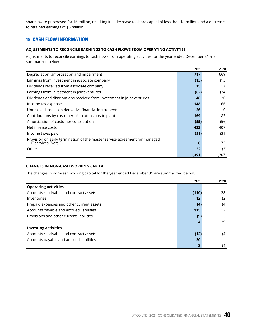shares were purchased for \$6 million, resulting in a decrease to share capital of less than \$1 million and a decrease to retained earnings of \$6 million).

# **19. CASH FLOW INFORMATION**

## **ADJUSTMENTS TO RECONCILE EARNINGS TO CASH FLOWS FROM OPERATING ACTIVITIES**

Adjustments to reconcile earnings to cash flows from operating activities for the year ended December 31 are summarized below.

|                                                                                                    | 2021  | 2020  |
|----------------------------------------------------------------------------------------------------|-------|-------|
| Depreciation, amortization and impairment                                                          | 717   | 669   |
| Earnings from investment in associate company                                                      | (13)  | (15)  |
| Dividends received from associate company                                                          | 15    | 17    |
| Earnings from investment in joint ventures                                                         | (62)  | (34)  |
| Dividends and distributions received from investment in joint ventures                             | 46    | 20    |
| Income tax expense                                                                                 | 148   | 166   |
| Unrealized losses on derivative financial instruments                                              | 26    | 10    |
| Contributions by customers for extensions to plant                                                 | 169   | 82    |
| Amortization of customer contributions                                                             | (55)  | (56)  |
| Net finance costs                                                                                  | 423   | 407   |
| Income taxes paid                                                                                  | (51)  | (31)  |
| Provision on early termination of the master service agreement for managed<br>IT services (Note 3) | 6     | 75    |
| Other                                                                                              | 22    | (3)   |
|                                                                                                    | 1,391 | 1,307 |

## **CHANGES IN NON-CASH WORKING CAPITAL**

The changes in non-cash working capital for the year ended December 31 are summarized below.

|                                           | 2021  | 2020              |
|-------------------------------------------|-------|-------------------|
| <b>Operating activities</b>               |       |                   |
| Accounts receivable and contract assets   | (110) | 28                |
| Inventories                               | 12    | (2)               |
| Prepaid expenses and other current assets | (4)   | (4)               |
| Accounts payable and accrued liabilities  | 115   | $12 \overline{ }$ |
| Provisions and other current liabilities  | (9)   | 5                 |
|                                           |       | 39                |
| <b>Investing activities</b>               |       |                   |
| Accounts receivable and contract assets   | (12)  | (4)               |
| Accounts payable and accrued liabilities  | 20    |                   |
|                                           | 8     | (4)               |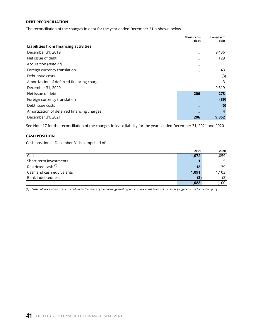#### **DEBT RECONCILIATION**

The reconciliation of the changes in debt for the year ended December 31 is shown below.

|                                              | Short-term<br>debt | Long-term<br>debt |
|----------------------------------------------|--------------------|-------------------|
| <b>Liabilities from financing activities</b> |                    |                   |
| December 31, 2019                            |                    | 9,436             |
| Net issue of debt                            |                    | 129               |
| Acquisition (Note 27)                        |                    | 11                |
| Foreign currency translation                 |                    | 43                |
| Debt issue costs                             |                    | (3)               |
| Amortization of deferred financing charges   |                    | 3                 |
| December 31, 2020                            |                    | 9,619             |
| Net issue of debt                            | 206                | 273               |
| Foreign currency translation                 |                    | (39)              |
| Debt issue costs                             |                    | (5)               |
| Amortization of deferred financing charges   |                    | 4                 |
| December 31, 2021                            | 206                | 9,852             |

See Note 17 for the reconciliation of the changes in lease liability for the years ended December 31, 2021 and 2020.

#### **CASH POSITION**

Cash position at December 31 is comprised of:

|                                | 2021  | 2020  |
|--------------------------------|-------|-------|
| Cash                           | 1,072 | 1,059 |
| Short-term investments         |       |       |
| Restricted cash <sup>(1)</sup> | 18    | 39    |
| Cash and cash equivalents      | 1,091 | 1,103 |
| Bank indebtedness              | (3)   | (3)   |
|                                | 1,088 | 1,100 |

*(1) Cash balances which are restricted under the terms of joint arrangement agreements are considered not available for general use by the Company.*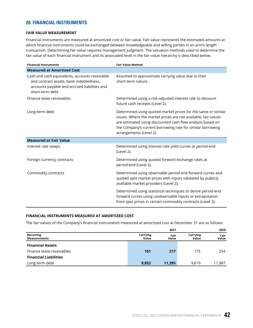## **20. FINANCIAL INSTRUMENTS**

#### **FAIR VALUE MEASUREMENT**

Financial instruments are measured at amortized cost or fair value. Fair value represents the estimated amounts at which financial instruments could be exchanged between knowledgeable and willing parties in an arm's length transaction. Determining fair value requires management judgment. The valuation methods used to determine the fair value of each financial instrument and its associated level in the fair value hierarchy is described below.

| <b>Financial Instruments</b>                                                                                                                                 | <b>Fair Value Method</b>                                                                                                                                                                                                                                                               |
|--------------------------------------------------------------------------------------------------------------------------------------------------------------|----------------------------------------------------------------------------------------------------------------------------------------------------------------------------------------------------------------------------------------------------------------------------------------|
| <b>Measured at Amortized Cost</b>                                                                                                                            |                                                                                                                                                                                                                                                                                        |
| Cash and cash equivalents, accounts receivable<br>and contract assets, bank indebtedness,<br>accounts payable and accrued liabilities and<br>short-term debt | Assumed to approximate carrying value due to their<br>short-term nature.                                                                                                                                                                                                               |
| Finance lease receivables                                                                                                                                    | Determined using a risk-adjusted interest rate to discount<br>future cash receipts (Level 2).                                                                                                                                                                                          |
| Long-term debt                                                                                                                                               | Determined using quoted market prices for the same or similar<br>issues. Where the market prices are not available, fair values<br>are estimated using discounted cash flow analysis based on<br>the Company's current borrowing rate for similar borrowing<br>arrangements (Level 2). |
| <b>Measured at Fair Value</b>                                                                                                                                |                                                                                                                                                                                                                                                                                        |
| Interest rate swaps                                                                                                                                          | Determined using interest rate yield curves at period-end<br>(Level 2).                                                                                                                                                                                                                |
| Foreign currency contracts                                                                                                                                   | Determined using quoted forward exchange rates at<br>period-end (Level 2).                                                                                                                                                                                                             |
| Commodity contracts                                                                                                                                          | Determined using observable period-end forward curves and<br>quoted spot market prices with inputs validated by publicly<br>available market providers (Level 2).                                                                                                                      |
|                                                                                                                                                              | Determined using statistical techniques to derive period-end<br>forward curves using unobservable inputs or extrapolation<br>from spot prices in certain commodity contracts (Level 3).                                                                                                |

#### **FINANCIAL INSTRUMENTS MEASURED AT AMORTIZED COST**

The fair values of the Company's financial instruments measured at amortized cost at December 31 are as follows:

|                                  |                   | 2021          |                   | 2020          |
|----------------------------------|-------------------|---------------|-------------------|---------------|
| Recurring<br><b>Measurements</b> | Carrying<br>Value | Fair<br>Value | Carrying<br>Value | Fair<br>Value |
| <b>Financial Assets</b>          |                   |               |                   |               |
| Finance lease receivables        | 161               | 217           | 175               | 254           |
| <b>Financial Liabilities</b>     |                   |               |                   |               |
| Long-term debt                   | 9,852             | 11,395        | 9.619             | 11.987        |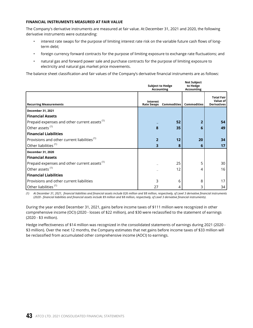## **FINANCIAL INSTRUMENTS MEASURED AT FAIR VALUE**

The Company's derivative instruments are measured at fair value. At December 31, 2021 and 2020, the following derivative instruments were outstanding:

- interest rate swaps for the purpose of limiting interest rate risk on the variable future cash flows of longterm debt;
- foreign currency forward contracts for the purpose of limiting exposure to exchange rate fluctuations; and
- natural gas and forward power sale and purchase contracts for the purpose of limiting exposure to electricity and natural gas market price movements.

The balance sheet classification and fair values of the Company's derivative financial instruments are as follows:

|                                                          | <b>Subject to Hedge</b><br><b>Accounting</b> |                    | <b>Not Subject</b><br>to Hedge<br><b>Accounting</b> |                                                     |  |
|----------------------------------------------------------|----------------------------------------------|--------------------|-----------------------------------------------------|-----------------------------------------------------|--|
| <b>Recurring Measurements</b>                            | <b>Interest</b><br><b>Rate Swaps</b>         | <b>Commodities</b> | <b>Commodities</b>                                  | <b>Total Fair</b><br>Value of<br><b>Derivatives</b> |  |
| December 31, 2021                                        |                                              |                    |                                                     |                                                     |  |
| <b>Financial Assets</b>                                  |                                              |                    |                                                     |                                                     |  |
| Prepaid expenses and other current assets <sup>(1)</sup> |                                              | 52                 | 2                                                   | 54                                                  |  |
| Other assets <sup>(1)</sup>                              | 8                                            | 35                 | 6                                                   | 49                                                  |  |
| <b>Financial Liabilities</b>                             |                                              |                    |                                                     |                                                     |  |
| Provisions and other current liabilities <sup>(1)</sup>  | 2                                            | 12                 | 20                                                  | 34                                                  |  |
| Other liabilities <sup>(1)</sup>                         | 3                                            | 8                  | 6                                                   | 17                                                  |  |
| December 31, 2020                                        |                                              |                    |                                                     |                                                     |  |
| <b>Financial Assets</b>                                  |                                              |                    |                                                     |                                                     |  |
| Prepaid expenses and other current assets <sup>(1)</sup> |                                              | 25                 | 5                                                   | 30                                                  |  |
| Other assets <sup>(1)</sup>                              |                                              | 12                 | 4                                                   | 16                                                  |  |
| <b>Financial Liabilities</b>                             |                                              |                    |                                                     |                                                     |  |
| Provisions and other current liabilities                 | ς                                            | 6                  | 8                                                   | 17                                                  |  |
| Other liabilities <sup>(1)</sup>                         | 27                                           | 4                  | 3                                                   | 34                                                  |  |

*(1) At December 31, 2021, financial liabilities and financial assets include \$26 million and \$8 million, respectively, of Level 3 derivative financial instruments (2020 - financial liabilities and financial assets include \$9 million and \$8 million, respectively, of Level 3 derivative financial instruments).*

During the year ended December 31, 2021, gains before income taxes of \$111 million were recognized in other comprehensive income (OCI) (2020 - losses of \$22 million), and \$30 were reclassified to the statement of earnings (2020 - \$3 million).

Hedge ineffectiveness of \$14 million was recognized in the consolidated statements of earnings during 2021 (2020 - \$3 million). Over the next 12 months, the Company estimates that net gains before income taxes of \$33 million will be reclassified from accumulated other comprehensive income (AOCI) to earnings.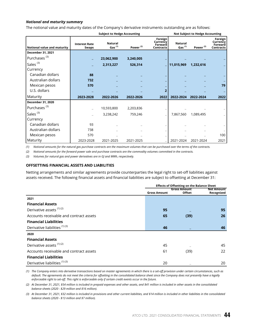#### *Notional and maturity summary*

The notional value and maturity dates of the Company's derivative instruments outstanding are as follows:

|                             |                                      | <b>Subject to Hedge Accounting</b> |                      | <b>Not Subject to Hedge Accounting</b>             |                             |                      |                                                    |
|-----------------------------|--------------------------------------|------------------------------------|----------------------|----------------------------------------------------|-----------------------------|----------------------|----------------------------------------------------|
| Notional value and maturity | <b>Interest Rate</b><br><b>Swaps</b> | <b>Natural</b><br>Gas $(1)$        | Power <sup>(2)</sup> | Foreign<br>Currency<br>Forward<br><b>Contracts</b> | <b>Natural</b><br>Gas $(1)$ | Power <sup>(2)</sup> | Foreign<br>Currency<br>Forward<br><b>Contracts</b> |
| December 31, 2021           |                                      |                                    |                      |                                                    |                             |                      |                                                    |
| Purchases <sup>(3)</sup>    |                                      | 23,062,900                         | 3,240,005            |                                                    |                             |                      |                                                    |
| Sales <sup>(3)</sup>        |                                      | 2,313,227                          | 526,314              |                                                    | 11,015,969                  | 1,232,616            |                                                    |
| Currency                    |                                      |                                    |                      |                                                    |                             |                      |                                                    |
| Canadian dollars            | 88                                   |                                    |                      |                                                    |                             |                      |                                                    |
| Australian dollars          | 732                                  |                                    |                      |                                                    |                             |                      |                                                    |
| Mexican pesos               | 570                                  |                                    |                      |                                                    |                             |                      | 79                                                 |
| U.S. dollars                |                                      |                                    |                      | $\overline{2}$                                     |                             |                      |                                                    |
| Maturity                    | 2023-2028                            | 2022-2026                          | 2022-2026            | 2022                                               | 2022-2024                   | 2022-2024            | 2022                                               |
| December 31, 2020           |                                      |                                    |                      |                                                    |                             |                      |                                                    |
| Purchases <sup>(3)</sup>    |                                      | 10,593,800                         | 2,203,836            |                                                    |                             |                      |                                                    |
| Sales <sup>(3)</sup>        |                                      | 3,238,242                          | 759,246              |                                                    | 7,867,560                   | 1,089,495            |                                                    |
| Currency                    |                                      |                                    |                      |                                                    |                             |                      |                                                    |
| Canadian dollars            | 93                                   |                                    |                      |                                                    |                             |                      |                                                    |
| Australian dollars          | 738                                  |                                    |                      |                                                    |                             |                      |                                                    |
| Mexican pesos               | 570                                  |                                    |                      |                                                    |                             |                      | 100                                                |
| Maturity                    | 2023-2028                            | 2021-2025                          | 2021-2025            |                                                    | 2021-2024                   | 2021-2024            | 2021                                               |

*(1) Notional amounts for the natural gas purchase contracts are the maximum volumes that can be purchased over the terms of the contracts.*

*(2) Notional amounts for the forward power sale and purchase contracts are the commodity volumes committed in the contracts.*

*(3) Volumes for natural gas and power derivatives are in GJ and MWh, respectively.* 

#### **OFFSETTING FINANCIAL ASSETS AND LIABILITIES**

Netting arrangements and similar agreements provide counterparties the legal right to set-off liabilities against assets received. The following financial assets and financial liabilities are subject to offsetting at December 31:

|                                          | <b>Effects of Offsetting on the Balance Sheet</b> |                                      |                                 |  |
|------------------------------------------|---------------------------------------------------|--------------------------------------|---------------------------------|--|
|                                          | <b>Gross Amount</b>                               | <b>Gross Amount</b><br><b>Offset</b> | <b>Net Amount</b><br>Recognized |  |
| 2021                                     |                                                   |                                      |                                 |  |
| <b>Financial Assets</b>                  |                                                   |                                      |                                 |  |
| Derivative assets <sup>(1)(2)</sup>      | 95                                                |                                      | 95                              |  |
| Accounts receivable and contract assets  | 65                                                | (39)                                 | 26                              |  |
| <b>Financial Liabilities</b>             |                                                   |                                      |                                 |  |
| Derivative liabilities <sup>(1)(3)</sup> | 46                                                |                                      | 46                              |  |
| 2020                                     |                                                   |                                      |                                 |  |
| <b>Financial Assets</b>                  |                                                   |                                      |                                 |  |
| Derivative assets <sup>(1)(2)</sup>      | 45                                                |                                      | 45                              |  |
| Accounts receivable and contract assets  | 61                                                | (39)                                 | 22                              |  |
| <b>Financial Liabilities</b>             |                                                   |                                      |                                 |  |
| Derivative liabilities <sup>(1)(3)</sup> | 20                                                |                                      | 20                              |  |

*(1) The Company enters into derivative transactions based on master agreements in which there is a set-off provision under certain circumstances, such as default. The agreements do not meet the criteria for offsetting in the consolidated balance sheet since the Company does not presently have a legally enforceable right to set-off. This right is enforceable only if certain credit events occur in the future.*

*(2) At December 31, 2021, \$54 million is included in prepaid expenses and other assets, and \$41 million is included in other assets in the consolidated balance sheets (2020 - \$29 million and \$16 million).*

*(3) At December 31, 2021, \$32 million is included in provisions and other current liabilities, and \$14 million is included in other liabilities in the consolidated balance sheets (2020 - \$13 million and \$7 million).*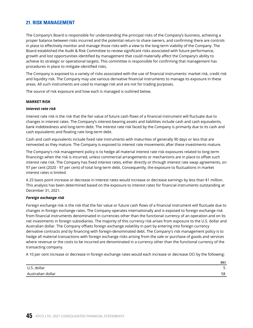## **21. RISK MANAGEMENT**

The Company's Board is responsible for understanding the principal risks of the Company's business, achieving a proper balance between risks incurred and the potential return to share owners, and confirming there are controls in place to effectively monitor and manage those risks with a view to the long-term viability of the Company. The Board established the Audit & Risk Committee to review significant risks associated with future performance, growth and lost opportunities identified by management that could materially affect the Company's ability to achieve its strategic or operational targets. This committee is responsible for confirming that management has procedures in place to mitigate identified risks.

The Company is exposed to a variety of risks associated with the use of financial instruments: market risk, credit risk and liquidity risk. The Company may use various derivative financial instruments to manage its exposure in these areas. All such instruments are used to manage risk and are not for trading purposes.

The source of risk exposure and how each is managed is outlined below.

#### **MARKET RISK**

#### *Interest rate risk*

Interest rate risk is the risk that the fair value of future cash flows of a financial instrument will fluctuate due to changes in interest rates. The Company's interest-bearing assets and liabilities include cash and cash equivalents, bank indebtedness and long-term debt. The interest rate risk faced by the Company is primarily due to its cash and cash equivalents and floating rate long-term debt.

Cash and cash equivalents include fixed rate instruments with maturities of generally 90 days or less that are reinvested as they mature. The Company is exposed to interest rate movements after these investments mature.

The Company's risk management policy is to hedge all material interest rate risk exposures related to long-term financings when the risk is incurred, unless commercial arrangements or mechanisms are in place to offset such interest rate risk. The Company has fixed interest rates, either directly or through interest rate swap agreements, on 97 per cent (2020 - 97 per cent) of total long-term debt. Consequently, the exposure to fluctuations in market interest rates is limited.

A 25 basis point increase or decrease in interest rates would increase or decrease earnings by less than \$1 million. This analysis has been determined based on the exposure to interest rates for financial instruments outstanding at December 31, 2021.

#### *Foreign exchange risk*

Foreign exchange risk is the risk that the fair value or future cash flows of a financial instrument will fluctuate due to changes in foreign exchange rates. The Company operates internationally and is exposed to foreign exchange risk from financial instruments denominated in currencies other than the functional currency of an operation and on its net investments in foreign subsidiaries. The majority of this currency risk arises from exposure to the U.S. dollar and Australian dollar. The Company offsets foreign exchange volatility in part by entering into foreign currency derivative contracts and by financing with foreign-denominated debt. The Company's risk management policy is to hedge all material transactions with foreign exchange risks arising from the sale or purchase of goods and services where revenue or the costs to be incurred are denominated in a currency other than the functional currency of the transacting company.

A 10 per cent increase or decrease in foreign exchange rates would each increase or decrease OCI by the following:

|                   | OCI            |
|-------------------|----------------|
| U.S. dollar       |                |
| Australian dollar | $-\circ$<br>၁၀ |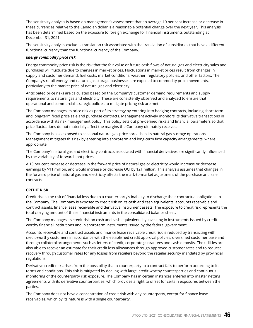The sensitivity analysis is based on management's assessment that an average 10 per cent increase or decrease in these currencies relative to the Canadian dollar is a reasonable potential change over the next year. This analysis has been determined based on the exposure to foreign exchange for financial instruments outstanding at December 31, 2021.

The sensitivity analysis excludes translation risk associated with the translation of subsidiaries that have a different functional currency than the functional currency of the Company.

#### *Energy commodity price risk*

Energy commodity price risk is the risk that the fair value or future cash flows of natural gas and electricity sales and purchases will fluctuate due to changes in market prices. Fluctuations in market prices result from changes in supply and customer demand, fuel costs, market conditions, weather, regulatory policies, and other factors. The Company's retail energy and natural gas storage businesses are exposed to commodity price movements, particularly to the market price of natural gas and electricity.

Anticipated price risks are calculated based on the Company's customer demand requirements and supply requirements to natural gas and electricity. These are consistently observed and analyzed to ensure that operational and commercial strategic policies to mitigate pricing risk are met.

The Company manages its price risk as part of its strategy by entering into hedging contracts, including short-term and long-term fixed price sale and purchase contracts. Management actively monitors its derivative transactions in accordance with its risk management policy. This policy sets out pre-defined risks and financial parameters so that price fluctuations do not materially affect the margins the Company ultimately receives.

The Company is also exposed to seasonal natural gas price spreads in its natural gas storage operations. Management mitigates this risk by entering into short-term and long-term firm capacity arrangements, where appropriate.

The Company's natural gas and electricity contracts associated with financial derivatives are significantly influenced by the variability of forward spot prices.

A 10 per cent increase or decrease in the forward price of natural gas or electricity would increase or decrease earnings by \$11 million, and would increase or decrease OCI by \$21 million. This analysis assumes that changes in the forward price of natural gas and electricity affects the mark-to-market adjustment of the purchase and sale contracts.

## **CREDIT RISK**

Credit risk is the risk of financial loss due to a counterparty's inability to discharge their contractual obligations to the Company. The Company is exposed to credit risk on its cash and cash equivalents, accounts receivable and contract assets, finance lease receivable and derivative instrument assets. The exposure to credit risk represents the total carrying amount of these financial instruments in the consolidated balance sheet.

The Company manages its credit risk on cash and cash equivalents by investing in instruments issued by creditworthy financial institutions and in short-term instruments issued by the federal government.

Accounts receivable and contract assets and finance lease receivable credit risk is reduced by transacting with credit-worthy customers in accordance with the established credit approval policies, diversified customer base and through collateral arrangements such as letters of credit, corporate guarantees and cash deposits. The utilities are also able to recover an estimate for their credit loss allowances through approved customer rates and to request recovery through customer rates for any losses from retailers beyond the retailer security mandated by provincial regulations.

Derivative credit risk arises from the possibility that a counterparty to a contract fails to perform according to its terms and conditions. This risk is mitigated by dealing with large, credit-worthy counterparties and continuous monitoring of the counterparty risk exposure. The Company has in certain instances entered into master netting agreements with its derivative counterparties, which provides a right to offset for certain exposures between the parties.

The Company does not have a concentration of credit risk with any counterparty, except for finance lease receivables, which by its nature is with a single counterparty.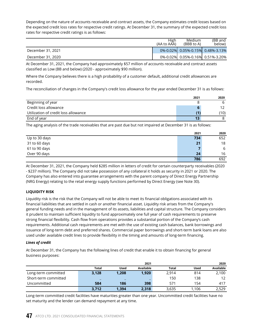Depending on the nature of accounts receivable and contract assets, the Company estimates credit losses based on the expected credit loss rates for respective credit ratings. At December 31, the summary of the expected credit loss rates for respective credit ratings is as follows:

|                   | High<br>(AA to AAA) | Medium<br>(BBB to A)             | (BB and<br>below) |
|-------------------|---------------------|----------------------------------|-------------------|
| December 31, 2021 |                     | 0%-0.02% 0.05%-0.15% 0.48%-3.13% |                   |
| December 31, 2020 |                     | 0%-0.02% 0.05%-0.16% 0.51%-3.20% |                   |

At December 31, 2021, the Company had approximately \$57 million of accounts receivable and contract assets classified as Low (BB and below) (2020 - approximately \$90 million).

Where the Company believes there is a high probability of a customer default, additional credit allowances are recorded.

The reconciliation of changes in the Company's credit loss allowance for the year ended December 31 is as follows:

|                                      | 2021 | 2020 |
|--------------------------------------|------|------|
| Beginning of year                    |      | h    |
| Credit loss allowance                | h    | 1つ   |
| Utilization of credit loss allowance | 11.  | (10) |
| End of year                          | 13   |      |

The aging analysis of the trade receivables that are past due but not impaired at December 31 is as follows:

|               | 2021 | 2020 |
|---------------|------|------|
| Up to 30 days | 734  | 652  |
| 31 to 60 days | 21   | 18   |
| 61 to 90 days | -    | 6    |
| Over 90 days  | 24   | 16   |
|               | 786  | 692  |

At December 31, 2021, the Company held \$285 million in letters of credit for certain counterparty receivables (2020 - \$237 million). The Company did not take possession of any collateral it holds as security in 2021 or 2020. The Company has also entered into guarantee arrangements with the parent company of Direct Energy Partnership (NRG Energy) relating to the retail energy supply functions performed by Direct Energy (see Note 30).

## **LIQUIDITY RISK**

Liquidity risk is the risk that the Company will not be able to meet its financial obligations associated with its financial liabilities that are settled in cash or another financial asset. Liquidity risk arises from the Company's general funding needs and in the management of its assets, liabilities and capital structure. The Company considers it prudent to maintain sufficient liquidity to fund approximately one full year of cash requirements to preserve strong financial flexibility. Cash flow from operations provides a substantial portion of the Company's cash requirements. Additional cash requirements are met with the use of existing cash balances, bank borrowings and issuance of long-term debt and preferred shares. Commercial paper borrowings and short-term bank loans are also used under available credit lines to provide flexibility in the timing and amounts of long-term financing.

## *Lines of credit*

At December 31, the Company has the following lines of credit that enable it to obtain financing for general business purposes:

|                      |              |             | 2021      |              |             | 2020      |
|----------------------|--------------|-------------|-----------|--------------|-------------|-----------|
|                      | <b>Total</b> | <b>Used</b> | Available | <b>Total</b> | <b>Used</b> | Available |
| Long-term committed  | 3,128        | 1.208       | 1,920     | 2,914        | 814         | 2,100     |
| Short-term committed | -            | -           | -         | 150          | 138         | 12        |
| Uncommitted          | 584          | 186         | 398       | 571          | 154         | 417       |
|                      | 3,712        | 1.394       | 2,318     | 3,635        | 1.106       | 2,529     |

Long-term committed credit facilities have maturities greater than one year. Uncommitted credit facilities have no set maturity and the lender can demand repayment at any time.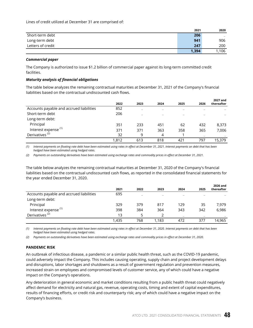Lines of credit utilized at December 31 are comprised of:

|                   | 2021  | 2020             |
|-------------------|-------|------------------|
| Short-term debt   | 206   | $\hspace{0.5cm}$ |
| Long-term debt    | 941   | 906              |
| Letters of credit | 247   | 200              |
|                   | 1,394 | 1,106            |

#### *Commercial paper*

The Company is authorized to issue \$1.2 billion of commercial paper against its long-term committed credit facilities.

#### *Maturity analysis of financial obligations*

The table below analyzes the remaining contractual maturities at December 31, 2021 of the Company's financial liabilities based on the contractual undiscounted cash flows.

|                                          | 2022  | 2023 | 2024 | 2025 | 2026 | 2027 and<br>thereafter |
|------------------------------------------|-------|------|------|------|------|------------------------|
| Accounts payable and accrued liabilities | 852   |      |      |      |      |                        |
| Short-term debt                          | 206   | -    |      |      |      |                        |
| Long-term debt:                          |       |      |      |      |      |                        |
| Principal                                | 351   | 233  | 451  | 62   | 432  | 8,373                  |
| Interest expense <sup>(1)</sup>          | 371   | 371  | 363  | 358  | 365  | 7,006                  |
| Derivatives <sup>(2)</sup>               | 32    | q    | 4    |      |      |                        |
|                                          | 1.812 | 613  | 818  | 421  | 797  | 15,379                 |

*(1) Interest payments on floating rate debt have been estimated using rates in effect at December 31, 2021. Interest payments on debt that has been hedged have been estimated using hedged rates.*

*(2) Payments on outstanding derivatives have been estimated using exchange rates and commodity prices in effect at December 31, 2021.*

The table below analyzes the remaining contractual maturities at December 31, 2020 of the Company's financial liabilities based on the contractual undiscounted cash flows, as reported in the consolidated financial statements for the year ended December 31, 2020.

|                                          | 2021  | 2022                     | 2023  | 2024   | 2025 | 2026 and<br>thereafter |
|------------------------------------------|-------|--------------------------|-------|--------|------|------------------------|
| Accounts payable and accrued liabilities | 695   | $\overline{\phantom{a}}$ |       |        |      |                        |
| Long-term debt:                          |       |                          |       |        |      |                        |
| Principal                                | 329   | 379                      | 817   | 129    | 35   | 7,979                  |
| Interest expense <sup>(1)</sup>          | 398   | 384                      | 364   | 343    | 342  | 6,986                  |
| Derivatives <sup>(2)</sup>               | 13    |                          |       | $\sim$ |      |                        |
|                                          | 1.435 | 768                      | 1,183 | 472    | 377  | 14.965                 |

*(1) Interest payments on floating rate debt have been estimated using rates in effect at December 31, 2020. Interest payments on debt that has been hedged have been estimated using hedged rates.*

*(2) Payments on outstanding derivatives have been estimated using exchange rates and commodity prices in effect at December 31, 2020.*

## **PANDEMIC RISK**

An outbreak of infectious disease, a pandemic or a similar public health threat, such as the COVID-19 pandemic, could adversely impact the Company. This includes causing operating, supply chain and project development delays and disruptions, labor shortages and shutdowns as a result of government regulation and prevention measures, increased strain on employees and compromised levels of customer service, any of which could have a negative impact on the Company's operations.

Any deterioration in general economic and market conditions resulting from a public health threat could negatively affect demand for electricity and natural gas, revenue, operating costs, timing and extent of capital expenditures, results of financing efforts, or credit risk and counterparty risk; any of which could have a negative impact on the Company's business.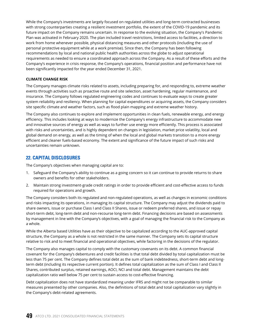While the Company's investments are largely focused on regulated utilities and long-term contracted businesses with strong counterparties creating a resilient investment portfolio, the extent of the COVID-19 pandemic and its future impact on the Company remains uncertain. In response to the evolving situation, the Company's Pandemic Plan was activated in February 2020. The plan included travel restrictions, limited access to facilities, a direction to work from home whenever possible, physical distancing measures and other protocols (including the use of personal protective equipment while at a work premise). Since then, the Company has been following recommendations by local and national public health authorities across the globe to adjust operational requirements as needed to ensure a coordinated approach across the Company. As a result of these efforts and the Company's experience in crisis response, the Company's operations, financial position and performance have not been significantly impacted for the year ended December 31, 2021.

## **CLIMATE CHANGE RISK**

The Company manages climate risks related to assets, including preparing for, and responding to, extreme weather events through activities such as proactive route and site selection, asset hardening, regular maintenance, and insurance. The Company follows regulated engineering codes and continues to evaluate ways to create greater system reliability and resiliency. When planning for capital expenditures or acquiring assets, the Company considers site specific climate and weather factors, such as flood plain mapping and extreme weather history.

The Company also continues to explore and implement opportunities in clean fuels, renewable energy, and energy efficiency. This includes looking at ways to modernize the Company's energy infrastructure to accommodate new and innovative sources of energy as well as ways to further use energy more efficiently. This process is associated with risks and uncertainties, and is highly dependent on changes in legislation, market price volatility, local and global demand on energy, as well as the timing of when the local and global markets transition to a more energy efficient and cleaner fuels-based economy. The extent and significance of the future impact of such risks and uncertainties remain unknown.

## **22. CAPITAL DISCLOSURES**

The Company's objectives when managing capital are to:

- 1. Safeguard the Company's ability to continue as a going concern so it can continue to provide returns to share owners and benefits for other stakeholders.
- 2. Maintain strong investment-grade credit ratings in order to provide efficient and cost-effective access to funds required for operations and growth.

The Company considers both its regulated and non-regulated operations, as well as changes in economic conditions and risks impacting its operations, in managing its capital structure. The Company may adjust the dividends paid to share owners, issue or purchase Class I and Class II Shares, issue or redeem preferred shares, and issue or repay short-term debt, long-term debt and non-recourse long-term debt. Financing decisions are based on assessments by management in line with the Company's objectives, with a goal of managing the financial risk to the Company as a whole.

While the Alberta based Utilities have as their objective to be capitalized according to the AUC-approved capital structure, the Company as a whole is not restricted in the same manner. The Company sets its capital structure relative to risk and to meet financial and operational objectives, while factoring in the decisions of the regulator.

The Company also manages capital to comply with the customary covenants on its debt. A common financial covenant for the Company's debentures and credit facilities is that total debt divided by total capitalization must be less than 75 per cent. The Company defines total debt as the sum of bank indebtedness, short-term debt and longterm debt (including its respective current portion). It defines total capitalization as the sum of Class I and Class II Shares, contributed surplus, retained earnings, AOCI, NCI and total debt. Management maintains the debt capitalization ratio well below 75 per cent to sustain access to cost-effective financing.

Debt capitalization does not have standardized meaning under IFRS and might not be comparable to similar measures presented by other companies. Also, the definitions of total debt and total capitalization vary slightly in the Company's debt-related agreements.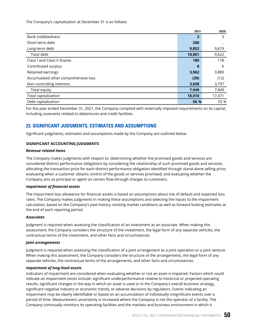The Company's capitalization at December 31 is as follows:

|                                      | 2021   | 2020   |
|--------------------------------------|--------|--------|
| <b>Bank indebtedness</b>             | 3      | 3      |
| Short-term debt                      | 206    |        |
| Long-term debt                       | 9,852  | 9,619  |
| Total debt                           | 10,061 | 9,622  |
| Class I and Class II Shares          | 180    | 178    |
| Contributed surplus                  | 8      | 6      |
| Retained earnings                    | 3,962  | 3,880  |
| Accumulated other comprehensive loss | (39)   | (12)   |
| Non-controlling interests            | 3,838  | 3,797  |
| Total equity                         | 7,949  | 7,849  |
| Total capitalization                 | 18,010 | 17,471 |
| Debt capitalization                  | 56 %   | 55 %   |

For the year ended December 31, 2021, the Company complied with externally imposed requirements on its capital, including covenants related to debentures and credit facilities.

# **23. SIGNIFICANT JUDGMENTS, ESTIMATES AND ASSUMPTIONS**

Significant judgments, estimates and assumptions made by the Company are outlined below.

## **SIGNIFICANT ACCOUNTING JUDGMENTS**

#### *Revenue related items*

The Company makes judgments with respect to: determining whether the promised goods and services are considered distinct performance obligations by considering the relationship of such promised goods and services; allocating the transaction price for each distinct performance obligation identified through stand-alone selling price; evaluating when a customer obtains control of the goods or services promised; and evaluating whether the Company acts as principal or agent on certain flow-through charges to customers.

## *Impairment of financial assets*

The impairment loss allowance for financial assets is based on assumptions about risk of default and expected loss rates. The Company makes judgments in making these assumptions and selecting the inputs to the impairment calculation, based on the Company's past history, existing market conditions as well as forward looking estimates at the end of each reporting period.

## *Associates*

Judgment is required when assessing the classification of an investment as an associate. When making this assessment, the Company considers the structure of the investment, the legal form of any separate vehicles, the contractual terms of the investment, and other facts and circumstances.

#### *Joint arrangements*

Judgment is required when assessing the classification of a joint arrangement as a joint operation or a joint venture. When making this assessment, the Company considers the structure of the arrangements, the legal form of any separate vehicles, the contractual terms of the arrangements, and other facts and circumstances.

## *Impairment of long-lived assets*

Indicators of impairment are considered when evaluating whether or not an asset is impaired. Factors which could indicate an impairment exists include: significant underperformance relative to historical or projected operating results, significant changes in the way in which an asset is used or in the Company's overall business strategy, significant negative industry or economic trends, or adverse decisions by regulators. Events indicating an impairment may be clearly identifiable or based on an accumulation of individually insignificant events over a period of time. Measurement uncertainty is increased where the Company is not the operator of a facility. The Company continually monitors its operating facilities and the markets and business environment in which it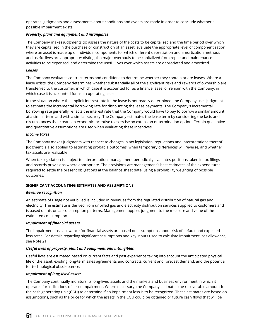operates. Judgments and assessments about conditions and events are made in order to conclude whether a possible impairment exists.

## *Property, plant and equipment and intangibles*

The Company makes judgments to: assess the nature of the costs to be capitalized and the time period over which they are capitalized in the purchase or construction of an asset; evaluate the appropriate level of componentization where an asset is made up of individual components for which different depreciation and amortization methods and useful lives are appropriate; distinguish major overhauls to be capitalized from repair and maintenance activities to be expensed; and determine the useful lives over which assets are depreciated and amortized.

#### *Leases*

The Company evaluates contract terms and conditions to determine whether they contain or are leases. Where a lease exists, the Company determines whether substantially all of the significant risks and rewards of ownership are transferred to the customer, in which case it is accounted for as a finance lease, or remain with the Company, in which case it is accounted for as an operating lease.

In the situation where the implicit interest rate in the lease is not readily determined, the Company uses judgment to estimate the incremental borrowing rate for discounting the lease payments. The Company's incremental borrowing rate generally reflects the interest rate that the Company would have to pay to borrow a similar amount at a similar term and with a similar security. The Company estimates the lease term by considering the facts and circumstances that create an economic incentive to exercise an extension or termination option. Certain qualitative and quantitative assumptions are used when evaluating these incentives.

#### *Income taxes*

The Company makes judgments with respect to changes in tax legislation, regulations and interpretations thereof. Judgment is also applied to estimating probable outcomes, when temporary differences will reverse, and whether tax assets are realizable.

When tax legislation is subject to interpretation, management periodically evaluates positions taken in tax filings and records provisions where appropriate. The provisions are management's best estimates of the expenditures required to settle the present obligations at the balance sheet date, using a probability weighting of possible outcomes.

## **SIGNIFICANT ACCOUNTING ESTIMATES AND ASSUMPTIONS**

#### *Revenue recognition*

An estimate of usage not yet billed is included in revenues from the regulated distribution of natural gas and electricity. The estimate is derived from unbilled gas and electricity distribution services supplied to customers and is based on historical consumption patterns. Management applies judgment to the measure and value of the estimated consumption.

## *Impairment of financial assets*

The impairment loss allowance for financial assets are based on assumptions about risk of default and expected loss rates. For details regarding significant assumptions and key inputs used to calculate impairment loss allowance, see Note 21.

## *Useful lives of property, plant and equipment and intangibles*

Useful lives are estimated based on current facts and past experience taking into account the anticipated physical life of the asset, existing long-term sales agreements and contracts, current and forecast demand, and the potential for technological obsolescence.

## *Impairment of long-lived assets*

The Company continually monitors its long-lived assets and the markets and business environment in which it operates for indications of asset impairment. Where necessary, the Company estimates the recoverable amount for the cash generating unit (CGU) to determine if an impairment loss is to be recognized. These estimates are based on assumptions, such as the price for which the assets in the CGU could be obtained or future cash flows that will be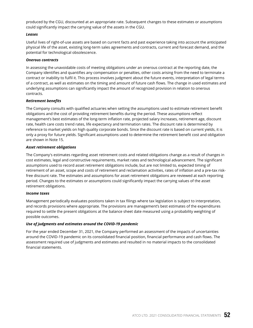produced by the CGU, discounted at an appropriate rate. Subsequent changes to these estimates or assumptions could significantly impact the carrying value of the assets in the CGU.

#### *Leases*

Useful lives of right-of-use assets are based on current facts and past experience taking into account the anticipated physical life of the asset, existing long-term sales agreements and contracts, current and forecast demand, and the potential for technological obsolescence.

#### *Onerous contracts*

In assessing the unavoidable costs of meeting obligations under an onerous contract at the reporting date, the Company identifies and quantifies any compensation or penalties, other costs arising from the need to terminate a contract or inability to fulfil it. This process involves judgment about the future events, interpretation of legal terms of a contract, as well as estimates on the timing and amount of future cash flows. The change in used estimates and underlying assumptions can significantly impact the amount of recognized provision in relation to onerous contracts.

#### *Retirement benefits*

The Company consults with qualified actuaries when setting the assumptions used to estimate retirement benefit obligations and the cost of providing retirement benefits during the period. These assumptions reflect management's best estimates of the long-term inflation rate, projected salary increases, retirement age, discount rate, health care costs trend rates, life expectancy and termination rates. The discount rate is determined by reference to market yields on high quality corporate bonds. Since the discount rate is based on current yields, it is only a proxy for future yields. Significant assumptions used to determine the retirement benefit cost and obligation are shown in Note 15.

## *Asset retirement obligations*

The Company's estimates regarding asset retirement costs and related obligations change as a result of changes in cost estimates, legal and constructive requirements, market rates and technological advancement. The significant assumptions used to record asset retirement obligations include, but are not limited to, expected timing of retirement of an asset, scope and costs of retirement and reclamation activities, rates of inflation and a pre-tax riskfree discount rate. The estimates and assumptions for asset retirement obligations are reviewed at each reporting period. Changes to the estimates or assumptions could significantly impact the carrying values of the asset retirement obligations.

## *Income taxes*

Management periodically evaluates positions taken in tax filings where tax legislation is subject to interpretation, and records provisions where appropriate. The provisions are management's best estimates of the expenditures required to settle the present obligations at the balance sheet date measured using a probability weighting of possible outcomes.

## *Use of judgments and estimates around the COVID-19 pandemic*

For the year ended December 31, 2021, the Company performed an assessment of the impacts of uncertainties around the COVID-19 pandemic on its consolidated financial position, financial performance and cash flows. The assessment required use of judgments and estimates and resulted in no material impacts to the consolidated financial statements.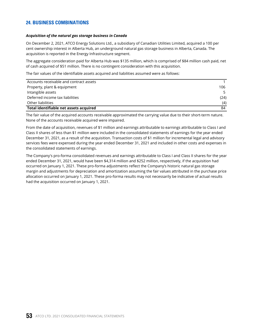# **24. BUSINESS COMBINATIONS**

#### *Acquisition of the natural gas storage business in Canada*

On December 2, 2021, ATCO Energy Solutions Ltd., a subsidiary of Canadian Utilities Limited, acquired a 100 per cent ownership interest in Alberta Hub, an underground natural gas storage business in Alberta, Canada. The acquisition is reported in the Energy Infrastructure segment.

The aggregate consideration paid for Alberta Hub was \$135 million, which is comprised of \$84 million cash paid, net of cash acquired of \$51 million. There is no contingent consideration with this acquisition.

The fair values of the identifiable assets acquired and liabilities assumed were as follows:

| Accounts receivable and contract assets |      |
|-----------------------------------------|------|
| Property, plant & equipment             | 106  |
| Intangible assets                       |      |
| Deferred income tax liabilities         | (24) |
| Other liabilities                       | (4)  |
| Total identifiable net assets acquired  | 84   |

The fair value of the acquired accounts receivable approximated the carrying value due to their short-term nature. None of the accounts receivable acquired were impaired.

From the date of acquisition, revenues of \$1 million and earnings attributable to earnings attributable to Class I and Class II shares of less than \$1 million were included in the consolidated statements of earnings for the year ended December 31, 2021, as a result of the acquisition. Transaction costs of \$1 million for incremental legal and advisory services fees were expensed during the year ended December 31, 2021 and included in other costs and expenses in the consolidated statements of earnings.

The Company's pro-forma consolidated revenues and earnings attributable to Class I and Class II shares for the year ended December 31, 2021, would have been \$4,314 million and \$252 million, respectively, if the acquisition had occurred on January 1, 2021. These pro-forma adjustments reflect the Company's historic natural gas storage margin and adjustments for depreciation and amortization assuming the fair values attributed in the purchase price allocation occurred on January 1, 2021. These pro-forma results may not necessarily be indicative of actual results had the acquisition occurred on January 1, 2021.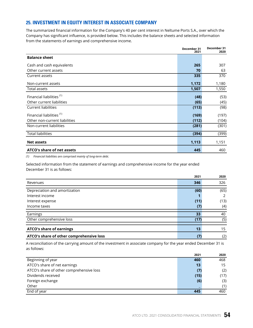# **25. INVESTMENT IN EQUITY INTEREST IN ASSOCIATE COMPANY**

The summarized financial information for the Company's 40 per cent interest in Neltume Ports S.A., over which the Company has significant influence, is provided below. This includes the balance sheets and selected information from the statements of earnings and comprehensive income.

|                                      | December 31<br>2021 | December 31<br>2020 |
|--------------------------------------|---------------------|---------------------|
| <b>Balance sheet</b>                 |                     |                     |
| Cash and cash equivalents            | 265                 | 307                 |
| Other current assets                 | 70                  | 63                  |
| Current assets                       | 335                 | 370                 |
| Non-current assets                   | 1,172               | 1,180               |
| Total assets                         | 1,507               | 1,550               |
| Financial liabilities <sup>(1)</sup> | (48)                | (53)                |
| Other current liabilities            | (65)                | (45)                |
| <b>Current liabilities</b>           | (113)               | (98)                |
| Financial liabilities <sup>(1)</sup> | (169)               | (197)               |
| Other non-current liabilities        | (112)               | (104)               |
| Non-current liabilities              | (281)               | (301)               |
| <b>Total liabilities</b>             | (394)               | (399)               |
| <b>Net assets</b>                    | 1,113               | 1,151               |
| ATCO's share of net assets           | 445                 | 460                 |

*(1) Financial liabilities are comprised mainly of long-term debt.*

Selected information from the statement of earnings and comprehensive income for the year ended December 31 is as follows:

|                                          | 2021 | 2020 |
|------------------------------------------|------|------|
| Revenues                                 | 346  | 326  |
| Depreciation and amortization            | (60) | (65) |
|                                          |      |      |
| Interest income                          |      | 2    |
| Interest expense                         | (11) | (13) |
| Income taxes                             | (7)  | (4)  |
|                                          |      |      |
| Earnings                                 | 33   | 40   |
| Other comprehensive loss                 | (17) | (5)  |
|                                          |      |      |
| <b>ATCO's share of earnings</b>          | 13   | 15   |
| ATCO's share of other comprehensive loss | (7   | (2)  |

A reconciliation of the carrying amount of the investment in associate company for the year ended December 31 is as follows:

|                                          | 2021 | 2020 |
|------------------------------------------|------|------|
| Beginning of year                        | 460  | 468  |
| ATCO's share of net earnings             | 13   | 15   |
| ATCO's share of other comprehensive loss | (7)  | (2)  |
| Dividends received                       | (15) | (17) |
| Foreign exchange                         | (6)  | (3)  |
| Other                                    |      | (1)  |
| End of year                              | 445  | 460  |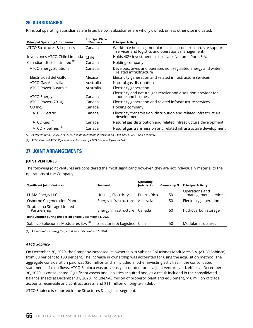# **26. SUBSIDIARIES**

Principal operating subsidiaries are listed below. Subsidiaries are wholly owned, unless otherwise indicated.

| <b>Principal Operating Subsidiaries</b>   | <b>Principal Place</b><br>of Business | <b>Principal Activity</b>                                                                                              |
|-------------------------------------------|---------------------------------------|------------------------------------------------------------------------------------------------------------------------|
| ATCO Structures & Logistics               | Canada                                | Workforce housing, modular facilities, construction, site support<br>services and logistics and operations management. |
| Inversiones ATCO Chile Limitada           | Chile                                 | Holds 40% investment in associate, Neltume Ports S.A.                                                                  |
| Canadian Utilities Limited <sup>(1)</sup> | Canada                                | Holding company                                                                                                        |
| ATCO Energy Solutions                     | Canada                                | Develops, owns and operates non-regulated energy and water-<br>related infrastructure                                  |
| Electricidad del Golfo                    | Mexico                                | Electricity generation and related infrastructure services                                                             |
| ATCO Gas Australia                        | Australia                             | Natural gas distribution                                                                                               |
| ATCO Power Australia                      | Australia                             | Electricity generation                                                                                                 |
| <b>ATCO Energy</b>                        | Canada                                | Electricity and natural gas retailer and a solution provider for<br>home and business                                  |
| ATCO Power (2010)                         | Canada                                | Electricity generation and related infrastructure services                                                             |
| CU Inc.                                   | Canada                                | Holding company                                                                                                        |
| ATCO Electric                             | Canada                                | Electricity transmission, distribution and related infrastructure<br>development                                       |
| ATCO Gas <sup>(2)</sup>                   | Canada                                | Natural gas distribution and related infrastructure development                                                        |
| ATCO Pipelines <sup>(2)</sup>             | Canada                                | Natural gas transmission and related infrastructure development                                                        |

*(1) At December 31, 2021, ATCO Ltd. has an ownership interest of 53.0 per cent (2020 - 52.3 per cent).*

*(2) ATCO Gas and ATCO Pipelines are divisions of ATCO Gas and Pipelines Ltd.*

# **27. JOINT ARRANGEMENTS**

#### **JOINT VENTURES**

The following joint ventures are considered the most significant; however, they are not individually material to the operations of the Company.

| <b>Significant Joint Ventures</b>                       | Segment                      | <b>Operating</b><br><b>lurisdiction</b> | Ownership % | <b>Principal Activity</b>             |
|---------------------------------------------------------|------------------------------|-----------------------------------------|-------------|---------------------------------------|
| LUMA Energy LLC                                         | Utilities, Electricity       | Puerto Rico                             | 50          | Operations and<br>management services |
| <b>Osborne Cogeneration Plant</b>                       | Energy Infrastructure        | Australia                               | 50          | Electricity generation                |
| Strathcona Storage Limited<br>Partnership               | Energy Infrastructure Canada |                                         | 60          | Hydrocarbon storage                   |
| Joint venture during the period ended December 31, 2020 |                              |                                         |             |                                       |
| Sabinco Soluciones Modulares S.A. (1)                   | Structures & Logistics Chile |                                         | 50          | Modular structures                    |
|                                                         |                              |                                         |             |                                       |

*(1) A joint venture during the period ended December 31, 2020.*

#### *ATCO Sabinco*

On December 30, 2020, the Company increased its ownership in Sabinco Soluciones Modulares S.A. (ATCO Sabinco) from 50 per cent to 100 per cent. The increase in ownership was accounted for using the acquisition method. The aggregate consideration paid was \$20 million and is included in other investing activities in the consolidated statements of cash flows. ATCO Sabinco was previously accounted for as a joint venture, and, effective December 30, 2020, is consolidated. Significant assets and liabilities acquired and, as a result included in the consolidated balance sheets at December 31, 2020, include \$43 million of property, plant and equipment, \$16 million of trade accounts receivable and contract assets, and \$11 million of long-term debt.

ATCO Sabinco is reported in the Structures & Logistics segment.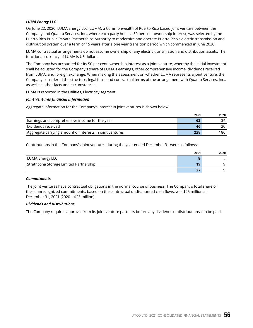## *LUMA Energy LLC*

On June 22, 2020, LUMA Energy LLC (LUMA), a Commonwealth of Puerto Rico based joint venture between the Company and Quanta Services, Inc., where each party holds a 50 per cent ownership interest, was selected by the Puerto Rico Public-Private Partnerships Authority to modernize and operate Puerto Rico's electric transmission and distribution system over a term of 15 years after a one year transition period which commenced in June 2020.

LUMA contractual arrangements do not assume ownership of any electric transmission and distribution assets. The functional currency of LUMA is US dollars.

The Company has accounted for its 50 per cent ownership interest as a joint venture, whereby the initial investment shall be adjusted for the Company's share of LUMA's earnings, other comprehensive income, dividends received from LUMA, and foreign exchange. When making the assessment on whether LUMA represents a joint venture, the Company considered the structure, legal form and contractual terms of the arrangement with Quanta Services, Inc., as well as other facts and circumstances.

LUMA is reported in the Utilities, Electricity segment.

## *Joint Ventures financial information*

Aggregate information for the Company's interest in joint ventures is shown below.

|                                                          | 2021 | 2020 |
|----------------------------------------------------------|------|------|
| Earnings and comprehensive income for the year           | 62   | 34   |
| Dividends received                                       | 46   | 20   |
| Aggregate carrying amount of interests in joint ventures | 228  | 186  |

Contributions in the Company's joint ventures during the year ended December 31 were as follows:

|                                        | 2021 | 2020                     |
|----------------------------------------|------|--------------------------|
| LUMA Energy LLC                        |      | $\overline{\phantom{a}}$ |
| Strathcona Storage Limited Partnership | 19   | a                        |
|                                        | 27   | a                        |

## *Commitments*

The joint ventures have contractual obligations in the normal course of business. The Company's total share of these unrecognized commitments, based on the contractual undiscounted cash flows, was \$25 million at December 31, 2021 (2020 - \$25 million).

## *Dividends and Distributions*

The Company requires approval from its joint venture partners before any dividends or distributions can be paid.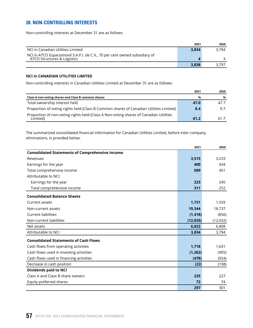# **28. NON-CONTROLLING INTERESTS**

Non-controlling interests at December 31 are as follows:

|                                                                                                           | 2021  | 2020  |
|-----------------------------------------------------------------------------------------------------------|-------|-------|
| NCI in Canadian Utilities Limited                                                                         | 3.834 | 3.794 |
| NCI in ATCO Espaciomovil S.A.P.I. de C.V., 70 per cent owned subsidiary of<br>ATCO Structures & Logistics |       |       |
|                                                                                                           | 3.838 | 3.797 |

## **NCI in CANADIAN UTILITIES LIMITED**

Non-controlling interests in Canadian Utilities Limited at December 31 are as follows:

|                                                                                                   | 2021 | 2020 |
|---------------------------------------------------------------------------------------------------|------|------|
| Class A non-voting shares and Class B common shares                                               | %    | %    |
| Total ownership interest held                                                                     | 47.0 | 47.7 |
| Proportion of voting rights held (Class B Common shares of Canadian Utilities Limited)            | 8.4  | 9.7  |
| Proportion of non-voting rights held (Class A Non-voting shares of Canadian Utilities<br>Limited) | 61.2 | 61.7 |

The summarized consolidated financial information for Canadian Utilities Limited, before inter-company eliminations, is provided below.

|                                                        | 2021      | 2020      |
|--------------------------------------------------------|-----------|-----------|
| <b>Consolidated Statements of Comprehensive Income</b> |           |           |
| Revenues                                               | 3,515     | 3,233     |
| Earnings for the year                                  | 400       | 434       |
| Total comprehensive income                             | 589       | 451       |
| Attributable to NCI:                                   |           |           |
| Earnings for the year                                  | 223       | 245       |
| Total comprehensive income                             | 311       | 252       |
| <b>Consolidated Balance Sheets</b>                     |           |           |
| Current assets                                         | 1,731     | 1,559     |
| Non-current assets                                     | 19,344    | 18,737    |
| Current liabilities                                    | (1, 418)  | (856)     |
| Non-current liabilities                                | (12, 835) | (12, 632) |
| Net assets                                             | 6,822     | 6,808     |
| Attributable to NCI                                    | 3,834     | 3,794     |
| <b>Consolidated Statements of Cash Flows</b>           |           |           |
| Cash flows from operating activities                   | 1,718     | 1,631     |
| Cash flows used in investing activities                | (1, 262)  | (905)     |
| Cash flows used in financing activities                | (478)     | (924)     |
| Decrease in cash position                              | (22)      | (198)     |
| <b>Dividends paid to NCI</b>                           |           |           |
| Class A and Class B share owners                       | 225       | 227       |
| Equity preferred shares                                | 72        | 74        |
|                                                        | 297       | 301       |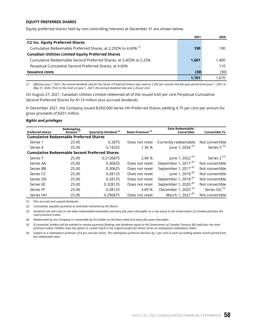#### **EQUITY PREFERRED SHARES**

Equity preferred shares held by non-controlling interests at December 31 are shown below.

|                                                                           | 2021  | 2020  |
|---------------------------------------------------------------------------|-------|-------|
| <b>CU Inc. Equity Preferred Shares</b>                                    |       |       |
| Cumulative Redeemable Preferred Shares, at 2.292% to 4.60% <sup>(1)</sup> | 190   | 190   |
| <b>Canadian Utilities Limited Equity Preferred Shares</b>                 |       |       |
| Cumulative Redeemable Second Preferred Shares, at 3.403% to 5.25%         | 1,601 | 1.400 |
| Perpetual Cumulative Second Preferred Shares, at 4.60%                    |       | 110   |
| <b>Issuance costs</b>                                                     | (30)  | (30)  |
|                                                                           | 1.761 | 1.670 |

*(1) Effective June 1, 2021, the annual dividend rate for the Series 4 Preferred Shares was reset at 2.292 per cent for the five-year period from June 1, 2021 to May 31, 2026. Prior to the reset on June 1, 2021, the annual dividend rate was 2.24 per cent.*

On August 27, 2021, Canadian Utilities Limited redeemed all of the issued 4.60 per cent Perpetual Cumulative Second Preferred Shares for \$110 million plus accrued dividends.

In December 2021, the Company issued 8,050,000 Series HH Preferred Shares yielding 4.75 per cent per annum for gross proceeds of \$201 million.

#### *Rights and privileges*

| <b>Preferred shares</b>                       | Redemption<br>Amount <sup>(1)</sup> | Quarterly Dividend <sup>(2)</sup>                    | Reset Premium <sup>(3)</sup> | Date Redeemable/<br>Convertible  | <b>Convertible To</b>    |
|-----------------------------------------------|-------------------------------------|------------------------------------------------------|------------------------------|----------------------------------|--------------------------|
| <b>Cumulative Redeemable Preferred Shares</b> |                                     |                                                      |                              |                                  |                          |
| Series 1                                      | 25.00                               | 0.2875                                               | Does not reset               | Currently redeemable             | Not convertible          |
| Series 4                                      | 25.00                               | 0.14325                                              | 1.36 %                       | June 1, 2026 <sup>(4)</sup>      | Series 5 <sup>(5)</sup>  |
|                                               |                                     | <b>Cumulative Redeemable Second Preferred Shares</b> |                              |                                  |                          |
| Series Y                                      | 25.00                               | 0.2126875                                            | 2.40 %                       | June 1, 2022 <sup>(4)</sup>      | Series Z <sup>(5)</sup>  |
| Series AA                                     | 25.00                               | 0.30625                                              | Does not reset               | September 1, 2017 <sup>(6)</sup> | Not convertible          |
| Series BB                                     | 25.00                               | 0.30625                                              | Does not reset               | September 1, 2017 <sup>(6)</sup> | Not convertible          |
| Series CC                                     | 25.00                               | 0.28125                                              | Does not reset               | June 1, 2018 <sup>(6)</sup>      | Not convertible          |
| Series DD                                     | 25.00                               | 0.28125                                              | Does not reset               | September 1, 2018 <sup>(6)</sup> | Not convertible          |
| Series EE                                     | 25.00                               | 0.328125                                             | Does not reset               | September 1, 2020 <sup>(6)</sup> | Not convertible          |
| Series FF                                     | 25.00                               | 0.28125                                              | 3.69%                        | December 1, 2025 <sup>(4)</sup>  | Series GG <sup>(5)</sup> |
| Series HH                                     | 25.00                               | 0.296875                                             | Does not reset               | March 1, 2027 <sup>(6)</sup>     | Not convertible          |

*(1) Plus accrued and unpaid dividends.*

*(2) Cumulative, payable quarterly as and when declared by the Board.*

*(3) Dividend rate will reset on the date redeemable/convertible and every five years thereafter at a rate equal to the Government of Canada yield plus the reset premium noted.*

*(4) Redeemable by the Company or convertible by the holder on the date noted and every five years thereafter.*

*(5) If converted, holders will be entitled to receive quarterly floating rate dividends equal to the Government of Canada Treasury Bill yield plus the reset premium noted. Holders have the option to convert back to the original preferred shares series on subsequent redemption dates.*

*(6) Subject to a redemption premium of 4 per cent per share. The redemption premium declines by 1 per cent in each succeeding twelve month period from the redeemable date.*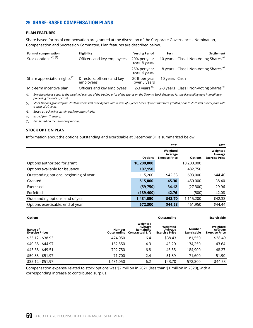## **29. SHARE-BASED COMPENSATION PLANS**

## **PLAN FEATURES**

Share based forms of compensation are granted at the discretion of the Corporate Governance – Nomination, Compensation and Succession Committee. Plan features are described below.

| Form of compensation                     | Eligibility                              | <b>Vesting Period</b>        | Term          | Settlement                                         |
|------------------------------------------|------------------------------------------|------------------------------|---------------|----------------------------------------------------|
| Stock options <sup>(1)(2)</sup>          | Officers and key employees               | 20% per year<br>over 5 years |               | 10 years Class I Non-Voting Shares <sup>(4)</sup>  |
|                                          |                                          | 25% per year<br>over 4 years |               | 8 years Class I Non-Voting Shares <sup>(4)</sup>   |
| Share appreciation rights <sup>(1)</sup> | Directors, officers and key<br>employees | 20% per year<br>over 5 years | 10 years Cash |                                                    |
| Mid-term incentive plan                  | Officers and key employees               | 2-3 years $(3)$              |               | 2-3 years Class I Non-Voting Shares <sup>(5)</sup> |

*(1) Exercise price is equal to the weighted average of the trading price of the shares on the Toronto Stock Exchange for the five trading days immediately preceding the date of grant.*

*(2) Stock Options granted from 2020 onwards vest over 4 years with a term of 8 years. Stock Options that were granted prior to 2020 vest over 5 years with a term of 10 years.* 

*(3) Based on achieving certain performance criteria.*

*(4) Issued from Treasury.*

*(5) Purchased on the secondary market.*

#### **STOCK OPTION PLAN**

Information about the options outstanding and exercisable at December 31 is summarized below.

|                                        |                | 2021                                         |                | 2020                                         |
|----------------------------------------|----------------|----------------------------------------------|----------------|----------------------------------------------|
|                                        | <b>Options</b> | Weighted<br>Average<br><b>Exercise Price</b> | <b>Options</b> | Weighted<br>Average<br><b>Exercise Price</b> |
| Options authorized for grant           | 10,200,000     |                                              | 10,200,000     |                                              |
| Options available for issuance         | 107,150        |                                              | 482,750        |                                              |
| Outstanding options, beginning of year | 1,115,200      | \$42.33                                      | 693,000        | \$44.40                                      |
| Granted                                | 515,000        | 45.30                                        | 450,000        | 38.40                                        |
| Exercised                              | (59, 750)      | 34.12                                        | (27, 300)      | 29.96                                        |
| Forfeited                              | (139, 400)     | 42.76                                        | (500)          | 42.08                                        |
| Outstanding options, end of year       | 1,431,050      | \$43.70                                      | 1,115,200      | \$42.33                                      |
| Options exercisable, end of year       | 572,300        | \$44.53                                      | 461,950        | \$44.44                                      |

| <b>Options</b>                     |                                     |                                                      | Outstanding                                  |                              | Exercisable                                  |
|------------------------------------|-------------------------------------|------------------------------------------------------|----------------------------------------------|------------------------------|----------------------------------------------|
| Range of<br><b>Exercise Prices</b> | <b>Number</b><br><b>Outstanding</b> | Weighted<br>Average<br>Remaining<br>Contractual Life | Weighted<br>Average<br><b>Exercise Price</b> | <b>Number</b><br>Exercisable | Weighted<br>Average<br><b>Exercise Price</b> |
| $$35.12 - $38.93$                  | 474.050                             | 6.4                                                  | \$38.43                                      | 181.550                      | \$38.49                                      |
| $$40.38 - $44.97$                  | 182,550                             | 4.3                                                  | 43.20                                        | 134,250                      | 43.64                                        |
| $$45.38 - $49.51$                  | 702,750                             | 6.8                                                  | 46.55                                        | 184,900                      | 48.27                                        |
| $$50.33 - $51.97$                  | 71.700                              | 2.4                                                  | 51.89                                        | 71,600                       | 51.90                                        |
| $$35.12 - $51.97$                  | 1,431,050                           | 6.2                                                  | \$43.70                                      | 572,300                      | \$44.53                                      |

Compensation expense related to stock options was \$2 million in 2021 (less than \$1 million in 2020), with a corresponding increase to contributed surplus.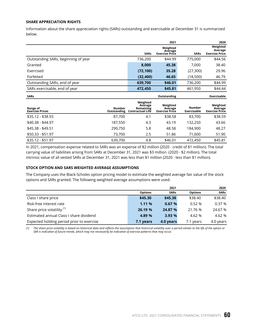#### **SHARE APPRECIATION RIGHTS**

Information about the share appreciation rights (SARs) outstanding and exercisable at December 31 is summarized below.

|                                     |                              |                                                             | 2021                                         |                              | 2020                                         |
|-------------------------------------|------------------------------|-------------------------------------------------------------|----------------------------------------------|------------------------------|----------------------------------------------|
|                                     |                              | <b>SARs</b>                                                 | Weighted<br>Average<br><b>Exercise Price</b> | <b>SARs</b>                  | Weighted<br>Average<br><b>Exercise Price</b> |
| Outstanding SARs, beginning of year |                              | 736,200                                                     | \$44.99                                      | 775,000                      | \$44.56                                      |
| Granted                             |                              | 8,000                                                       | 45.38                                        | 7,000                        | 38.40                                        |
| Exercised                           |                              | (72, 100)                                                   | 35.28                                        | (27, 300)                    | 29.96                                        |
| Forfeited                           |                              | (32, 400)                                                   | 46.65                                        | (18,500)                     | 46.79                                        |
| Outstanding SARs, end of year       |                              | 639,700                                                     | \$46.01                                      | 736,200                      | \$44.99                                      |
| SARs exercisable, end of year       |                              | 472,450                                                     | \$45.81                                      | 461,950                      | \$44.44                                      |
|                                     |                              |                                                             |                                              |                              |                                              |
| <b>SARs</b>                         |                              |                                                             | Outstanding                                  |                              | Exercisable                                  |
| Range of<br><b>Exercise Prices</b>  | <b>Number</b><br>Outstanding | Weighted<br>Average<br>Remaining<br><b>Contractual Life</b> | Weighted<br>Average<br><b>Exercise Price</b> | <b>Number</b><br>Exercisable | Weighted<br>Average<br><b>Exercise Price</b> |
| \$35.12 - \$38.93                   | 87,700                       | 4.1                                                         | \$38.58                                      | 83,700                       | \$38.59                                      |
| $$40.38 - $44.97$                   | 187,550                      | 4.3                                                         | 43.19                                        | 132,250                      | 43.66                                        |
| \$45.38 - \$49.51                   | 290,750                      | 5.8                                                         | 48.58                                        | 184,900                      | 48.27                                        |
| $$50.33 - $51.97$                   | 73,700                       | 2.5                                                         | 51.86                                        | 71,600                       | 51.90                                        |

In 2021, compensation expense related to SARs was an expense of \$2 million (2020 - credit of \$1 million). The total carrying value of liabilities arising from SARs at December 31, 2021 was \$3 million (2020 - \$2 million). The total intrinsic value of all vested SARs at December 31, 2021 was less than \$1 million (2020 - less than \$1 million).

## **STOCK OPTION AND SARS WEIGHTED AVERAGE ASSUMPTIONS**

The Company uses the Black-Scholes option pricing model to estimate the weighted average fair value of the stock options and SARs granted. The following weighted average assumptions were used:

|                                           |                | 2021        |                | 2020        |
|-------------------------------------------|----------------|-------------|----------------|-------------|
|                                           | <b>Options</b> | <b>SARs</b> | <b>Options</b> | <b>SARs</b> |
| Class I share price                       | \$45.30        | \$45.38     | \$38.40        | \$38.40     |
| Risk-free interest rate                   | 1.11%          | 0.67%       | 0.52%          | 0.37%       |
| Share price volatility <sup>(1)</sup>     | 26.19 %        | 24.87 %     | 21.76 %        | 24.67 %     |
| Estimated annual Class I share dividend   | 4.89 %         | 3.93 %      | 4.62 %         | 4.62 %      |
| Expected holding period prior to exercise | 7.1 years      | 4.0 years   | 7.1 years      | 4.0 years   |

*(1) The share price volatility is based on historical data and reflects the assumption that historical volatility over a period similar to the life of the option or SAR is indicative of future trends, which may not necessarily be indicative of exercise patterns that may occur.*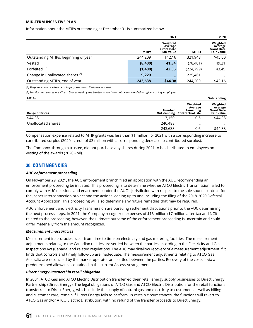## **MID-TERM INCENTIVE PLAN**

Information about the MTIPs outstanding at December 31 is summarized below.

|                                             |              | 2021                                                          |              | 2020                                                          |
|---------------------------------------------|--------------|---------------------------------------------------------------|--------------|---------------------------------------------------------------|
|                                             | <b>MTIPs</b> | Weighted<br>Average<br><b>Grant Date</b><br><b>Fair Value</b> | <b>MTIPs</b> | Weighted<br>Average<br><b>Grant Date</b><br><b>Fair Value</b> |
| Outstanding MTIPs, beginning of year        | 244,209      | \$42.16                                                       | 321,948      | \$45.00                                                       |
| Vested                                      | (8,400)      | 41.34                                                         | (78, 401)    | 49.21                                                         |
| Forfeited <sup>(1)</sup>                    | (1,400)      | 42.36                                                         | (224, 799)   | 43.49                                                         |
| Change in unallocated shares <sup>(2)</sup> | 9,229        | -                                                             | 225,461      |                                                               |
| Outstanding MTIPs, end of year              | 243,638      | \$44.38                                                       | 244,209      | \$42.16                                                       |

*(1) Forfeitures occur when certain performance criteria are not met.*

*(2) Unallocated shares are Class I Shares held by the trustee which have not been awarded to officers or key employees.*

| <b>MTIPs</b>           |         |                                                                         | Outstanding                                                   |
|------------------------|---------|-------------------------------------------------------------------------|---------------------------------------------------------------|
| <b>Range of Prices</b> | Number  | Weighted<br>Average<br>Remaining<br><b>Outstanding Contractual Life</b> | Weighted<br>Average<br><b>Grant Date</b><br><b>Fair Value</b> |
| \$44.38                | 3.150   | 0.6                                                                     | \$44.38                                                       |
| Unallocated shares     | 240,488 |                                                                         |                                                               |
|                        | 243,638 | 0.6                                                                     | \$44.38                                                       |

Compensation expense related to MTIP grants was less than \$1 million for 2021 with a corresponding increase to contributed surplus (2020 - credit of \$3 million with a corresponding decrease to contributed surplus).

The Company, through a trustee, did not purchase any shares during 2021 to be distributed to employees on vesting of the awards (2020 - nil).

## **30. CONTINGENCIES**

## *AUC enforcement proceeding*

On November 29, 2021, the AUC enforcement branch filed an application with the AUC recommending an enforcement proceeding be initiated. This proceeding is to determine whether ATCO Electric Transmission failed to comply with AUC decisions and enactments under the AUC's jurisdiction with respect to the sole source contract for the Jasper interconnection project and the actions leading up to and including the filing of the 2018-2020 Deferral Account Application. This proceeding will also determine any future remedies that may be required.

AUC Enforcement and Electricity Transmission are pursuing settlement discussions prior to the AUC determining the next process steps. In 2021, the Company recognized expenses of \$16 million (\$7 million after-tax and NCI) related to the proceeding, however, the ultimate outcome of the enforcement proceeding is uncertain and could differ materially from the amount recognized.

## *Measurement inaccuracies*

Measurement inaccuracies occur from time to time on electricity and gas metering facilities. The measurement adjustments relating to the Canadian utilities are settled between the parties according to the Electricity and Gas Inspections Act (Canada) and related regulations. The AUC may disallow recovery of a measurement adjustment if it finds that controls and timely follow-up are inadequate. The measurement adjustments relating to ATCO Gas Australia are reconciled by the market operator and settled between the parties. Recovery of the costs is via a predetermined allowance contained in the current Access Arrangement.

## *Direct Energy Partnership retail obligation*

In 2004, ATCO Gas and ATCO Electric Distribution transferred their retail energy supply businesses to Direct Energy Partnership (Direct Energy). The legal obligations of ATCO Gas and ATCO Electric Distribution for the retail functions transferred to Direct Energy, which include the supply of natural gas and electricity to customers as well as billing and customer care, remain if Direct Energy fails to perform. In certain circumstances, the functions will revert to ATCO Gas and/or ATCO Electric Distribution, with no refund of the transfer proceeds to Direct Energy.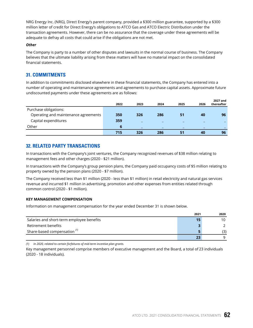NRG Energy Inc. (NRG), Direct Energy's parent company, provided a \$300 million guarantee, supported by a \$300 million letter of credit for Direct Energy's obligations to ATCO Gas and ATCO Electric Distribution under the transaction agreements. However, there can be no assurance that the coverage under these agreements will be adequate to defray all costs that could arise if the obligations are not met.

#### *Other*

The Company is party to a number of other disputes and lawsuits in the normal course of business. The Company believes that the ultimate liability arising from these matters will have no material impact on the consolidated financial statements.

## **31. COMMITMENTS**

In addition to commitments disclosed elsewhere in these financial statements, the Company has entered into a number of operating and maintenance agreements and agreements to purchase capital assets. Approximate future undiscounted payments under these agreements are as follows:

|                                      | 2022 | 2023 | 2024 | 2025 | 2026 | 2027 and<br>thereafter |
|--------------------------------------|------|------|------|------|------|------------------------|
| Purchase obligations:                |      |      |      |      |      |                        |
| Operating and maintenance agreements | 350  | 326  | 286  | 51   | 40   | 96                     |
| Capital expenditures                 | 359  | -    |      | -    |      |                        |
| Other                                | 6    | -    |      | -    |      |                        |
|                                      | 715  | 326  | 286  | 51   | 40   | 96                     |

## **32. RELATED PARTY TRANSACTIONS**

In transactions with the Company's joint ventures, the Company recognized revenues of \$38 million relating to management fees and other charges (2020 - \$21 million).

In transactions with the Company's group pension plans, the Company paid occupancy costs of \$5 million relating to property owned by the pension plans (2020 - \$7 million).

The Company received less than \$1 million (2020 - less than \$1 million) in retail electricity and natural gas services revenue and incurred \$1 million in advertising, promotion and other expenses from entities related through common control (2020 - \$1 million).

## **KEY MANAGEMENT COMPENSATION**

Information on management compensation for the year ended December 31 is shown below.

|                                           | 2021 | 2020 |
|-------------------------------------------|------|------|
| Salaries and short-term employee benefits | 15   | 10   |
| Retirement benefits                       |      |      |
| Share-based compensation <sup>(1)</sup>   |      | (3)  |
|                                           | 23   |      |

*(1) In 2020, related to certain forfeitures of mid-term incentive plan grants.*

Key management personnel comprise members of executive management and the Board, a total of 23 individuals (2020 - 18 individuals).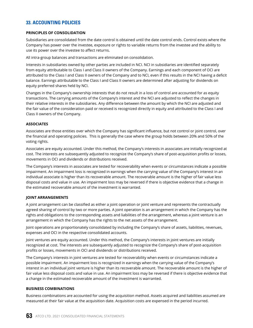# **33. ACCOUNTING POLICIES**

## **PRINCIPLES OF CONSOLIDATION**

Subsidiaries are consolidated from the date control is obtained until the date control ends. Control exists where the Company has power over the investee, exposure or rights to variable returns from the investee and the ability to use its power over the investee to affect returns.

All intra-group balances and transactions are eliminated on consolidation.

Interests in subsidiaries owned by other parties are included in NCI. NCI in subsidiaries are identified separately from equity attributable to Class I and Class II owners of the Company. Earnings and each component of OCI are attributed to the Class I and Class II owners of the Company and to NCI, even if this results in the NCI having a deficit balance. Earnings attributable to the Class I and Class II owners are determined after adjusting for dividends on equity preferred shares held by NCI.

Changes in the Company's ownership interests that do not result in a loss of control are accounted for as equity transactions. The carrying amounts of the Company's interest and the NCI are adjusted to reflect the changes in their relative interests in the subsidiaries. Any difference between the amount by which the NCI are adjusted and the fair value of the consideration paid or received is recognized directly in equity and attributed to the Class I and Class II owners of the Company.

## **ASSOCIATES**

Associates are those entities over which the Company has significant influence, but not control or joint control, over the financial and operating policies. This is generally the case where the group holds between 20% and 50% of the voting rights.

Associates are equity accounted. Under this method, the Company's interests in associates are initially recognized at cost. The interests are subsequently adjusted to recognize the Company's share of post-acquisition profits or losses, movements in OCI and dividends or distributions received.

The Company's interests in associates are tested for recoverability when events or circumstances indicate a possible impairment. An impairment loss is recognized in earnings when the carrying value of the Company's interest in an individual associate is higher than its recoverable amount. The recoverable amount is the higher of fair value less disposal costs and value in use. An impairment loss may be reversed if there is objective evidence that a change in the estimated recoverable amount of the investment is warranted.

## **JOINT ARRANGEMENTS**

A joint arrangement can be classified as either a joint operation or joint venture and represents the contractually agreed sharing of control by two or more parties. A joint operation is an arrangement in which the Company has the rights and obligations to the corresponding assets and liabilities of the arrangement, whereas a joint venture is an arrangement in which the Company has the rights to the net assets of the arrangement.

Joint operations are proportionately consolidated by including the Company's share of assets, liabilities, revenues, expenses and OCI in the respective consolidated accounts.

Joint ventures are equity accounted. Under this method, the Company's interests in joint ventures are initially recognized at cost. The interests are subsequently adjusted to recognize the Company's share of post-acquisition profits or losses, movements in OCI and dividends or distributions received.

The Company's interests in joint ventures are tested for recoverability when events or circumstances indicate a possible impairment. An impairment loss is recognized in earnings when the carrying value of the Company's interest in an individual joint venture is higher than its recoverable amount. The recoverable amount is the higher of fair value less disposal costs and value in use. An impairment loss may be reversed if there is objective evidence that a change in the estimated recoverable amount of the investment is warranted.

## **BUSINESS COMBINATIONS**

Business combinations are accounted for using the acquisition method. Assets acquired and liabilities assumed are measured at their fair value at the acquisition date. Acquisition costs are expensed in the period incurred.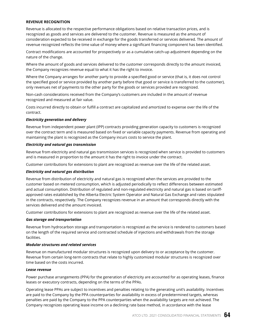## **REVENUE RECOGNITION**

Revenue is allocated to the respective performance obligations based on relative transaction prices, and is recognized as goods and services are delivered to the customer. Revenue is measured as the amount of consideration expected to be received in exchange for the goods transferred or services delivered. The amount of revenue recognized reflects the time value of money where a significant financing component has been identified.

Contract modifications are accounted for prospectively or as a cumulative catch-up adjustment depending on the nature of the change.

Where the amount of goods and services delivered to the customer corresponds directly to the amount invoiced, the Company recognizes revenue equal to what it has the right to invoice.

Where the Company arranges for another party to provide a specified good or service (that is, it does not control the specified good or service provided by another party before that good or service is transferred to the customer), only revenues net of payments to the other party for the goods or services provided are recognized.

Non-cash considerations received from the Company's customers are included in the amount of revenue recognized and measured at fair value.

Costs incurred directly to obtain or fulfill a contract are capitalized and amortized to expense over the life of the contract.

#### *Electricity generation and delivery*

Revenue from independent power plant (IPP) contracts providing generation capacity to customers is recognized over the contract term and is measured based on fixed or variable capacity payments. Revenue from operating and maintaining the plant is recognized as the Company incurs costs to service the plant.

#### *Electricity and natural gas transmission*

Revenue from electricity and natural gas transmission services is recognized when service is provided to customers and is measured in proportion to the amount it has the right to invoice under the contract.

Customer contributions for extensions to plant are recognized as revenue over the life of the related asset.

#### *Electricity and natural gas distribution*

Revenue from distribution of electricity and natural gas is recognized when the services are provided to the customer based on metered consumption, which is adjusted periodically to reflect differences between estimated and actual consumption. Distribution of regulated and non-regulated electricity and natural gas is based on tariffapproved rates established by the Alberta Electric System Operator and Natural Gas Exchange and rates stipulated in the contracts, respectively. The Company recognizes revenue in an amount that corresponds directly with the services delivered and the amount invoiced.

Customer contributions for extensions to plant are recognized as revenue over the life of the related asset.

#### *Gas storage and transportation*

Revenue from hydrocarbon storage and transportation is recognized as the service is rendered to customers based on the length of the required service and contracted schedule of injections and withdrawals from the storage facilities.

## *Modular structures and related services*

Revenue on manufactured modular structures is recognized upon delivery to or acceptance by the customer. Revenue from certain long-term contracts that relate to highly customized modular structures is recognized over time based on the costs incurred.

#### *Lease revenue*

Power purchase arrangements (PPA) for the generation of electricity are accounted for as operating leases, finance leases or executory contracts, depending on the terms of the PPAs.

Operating lease PPAs are subject to incentives and penalties relating to the generating unit's availability. Incentives are paid to the Company by the PPA counterparties for availability in excess of predetermined targets, whereas penalties are paid by the Company to the PPA counterparties when the availability targets are not achieved. The Company recognizes operating lease income on a declining rate base method, in accordance with the lease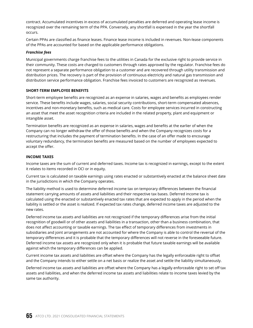contract. Accumulated incentives in excess of accumulated penalties are deferred and operating lease income is recognized over the remaining term of the PPA. Conversely, any shortfall is expensed in the year the shortfall occurs.

Certain PPAs are classified as finance leases. Finance lease income is included in revenues. Non-lease components of the PPAs are accounted for based on the applicable performance obligations.

## *Franchise fees*

Municipal governments charge franchise fees to the utilities in Canada for the exclusive right to provide service in their community. These costs are charged to customers through rates approved by the regulator. Franchise fees do not represent a separate performance obligation to a customer and are recovered through utility transmission and distribution prices. The recovery is part of the provision of continuous electricity and natural gas transmission and distribution service performance obligation. Franchise fees invoiced to customers are recognized as revenues.

## **SHORT-TERM EMPLOYEE BENEFITS**

Short-term employee benefits are recognized as an expense in salaries, wages and benefits as employees render service. These benefits include wages, salaries, social security contributions, short-term compensated absences, incentives and non-monetary benefits, such as medical care. Costs for employee services incurred in constructing an asset that meet the asset recognition criteria are included in the related property, plant and equipment or intangible asset.

Termination benefits are recognized as an expense in salaries, wages and benefits at the earlier of when the Company can no longer withdraw the offer of those benefits and when the Company recognizes costs for a restructuring that includes the payment of termination benefits. In the case of an offer made to encourage voluntary redundancy, the termination benefits are measured based on the number of employees expected to accept the offer.

#### **INCOME TAXES**

Income taxes are the sum of current and deferred taxes. Income tax is recognized in earnings, except to the extent it relates to items recorded in OCI or in equity.

Current tax is calculated on taxable earnings using rates enacted or substantively enacted at the balance sheet date in the jurisdictions in which the Company operates.

The liability method is used to determine deferred income tax on temporary differences between the financial statement carrying amounts of assets and liabilities and their respective tax bases. Deferred income tax is calculated using the enacted or substantively enacted tax rates that are expected to apply in the period when the liability is settled or the asset is realized. If expected tax rates change, deferred income taxes are adjusted to the new rates.

Deferred income tax assets and liabilities are not recognized if the temporary differences arise from the initial recognition of goodwill or of other assets and liabilities in a transaction, other than a business combination, that does not affect accounting or taxable earnings. The tax effect of temporary differences from investments in subsidiaries and joint arrangements are not accounted for where the Company is able to control the reversal of the temporary differences and it is probable that the temporary differences will not reverse in the foreseeable future. Deferred income tax assets are recognized only when it is probable that future taxable earnings will be available against which the temporary differences can be applied.

Current income tax assets and liabilities are offset where the Company has the legally enforceable right to offset and the Company intends to either settle on a net basis or realize the asset and settle the liability simultaneously.

Deferred income tax assets and liabilities are offset where the Company has a legally enforceable right to set off tax assets and liabilities, and when the deferred income tax assets and liabilities relate to income taxes levied by the same tax authority.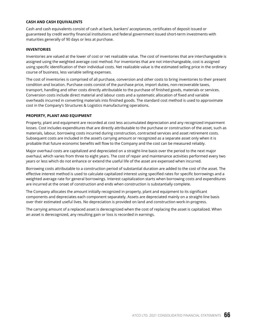#### **CASH AND CASH EQUIVALENTS**

Cash and cash equivalents consist of cash at bank, bankers' acceptances, certificates of deposit issued or guaranteed by credit worthy financial institutions and federal government issued short-term investments with maturities generally of 90 days or less at purchase.

#### **INVENTORIES**

Inventories are valued at the lower of cost or net realizable value. The cost of inventories that are interchangeable is assigned using the weighted average cost method. For inventories that are not interchangeable, cost is assigned using specific identification of their individual costs. Net realizable value is the estimated selling price in the ordinary course of business, less variable selling expenses.

The cost of inventories is comprised of all purchase, conversion and other costs to bring inventories to their present condition and location. Purchase costs consist of the purchase price, import duties, non-recoverable taxes, transport, handling and other costs directly attributable to the purchase of finished goods, materials or services. Conversion costs include direct material and labour costs and a systematic allocation of fixed and variable overheads incurred in converting materials into finished goods. The standard cost method is used to approximate cost in the Company's Structures & Logistics manufacturing operations.

#### **PROPERTY, PLANT AND EQUIPMENT**

Property, plant and equipment are recorded at cost less accumulated depreciation and any recognized impairment losses. Cost includes expenditures that are directly attributable to the purchase or construction of the asset, such as materials, labour, borrowing costs incurred during construction, contracted services and asset retirement costs. Subsequent costs are included in the asset's carrying amount or recognized as a separate asset only when it is probable that future economic benefits will flow to the Company and the cost can be measured reliably.

Major overhaul costs are capitalized and depreciated on a straight-line basis over the period to the next major overhaul, which varies from three to eight years. The cost of repair and maintenance activities performed every two years or less which do not enhance or extend the useful life of the asset are expensed when incurred.

Borrowing costs attributable to a construction period of substantial duration are added to the cost of the asset. The effective interest method is used to calculate capitalized interest using specified rates for specific borrowings and a weighted average rate for general borrowings. Interest capitalization starts when borrowing costs and expenditures are incurred at the onset of construction and ends when construction is substantially complete.

The Company allocates the amount initially recognized in property, plant and equipment to its significant components and depreciates each component separately. Assets are depreciated mainly on a straight-line basis over their estimated useful lives. No depreciation is provided on land and construction work-in-progress.

The carrying amount of a replaced asset is derecognized when the cost of replacing the asset is capitalized. When an asset is derecognized, any resulting gain or loss is recorded in earnings.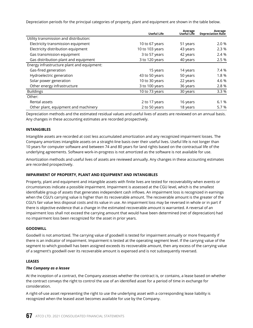Depreciation periods for the principal categories of property, plant and equipment are shown in the table below.

|                                            | <b>Useful Life</b> | Average<br>Useful Life | Average<br><b>Depreciation Rate</b> |
|--------------------------------------------|--------------------|------------------------|-------------------------------------|
| Utility transmission and distribution:     |                    |                        |                                     |
| Electricity transmission equipment         | 10 to 67 years     | 51 years               | 2.0 %                               |
| Electricity distribution equipment         | 10 to 103 years    | 43 years               | 2.3 %                               |
| Gas transmission equipment                 | 3 to 57 years      | 42 years               | 2.4 %                               |
| Gas distribution plant and equipment       | 3 to 120 years     | 40 years               | 2.5 %                               |
| Energy infrastructure plant and equipment: |                    |                        |                                     |
| Gas-fired generation                       | 15 years           | 14 years               | 7.4 %                               |
| Hydroelectric generation                   | 43 to 50 years     | 50 years               | 1.8 %                               |
| Solar power generation                     | 10 to 30 years     | 22 years               | 4.6 %                               |
| Other energy infrastructure                | 3 to 100 years     | 36 years               | 2.8 %                               |
| <b>Buildings</b>                           | 10 to 73 years     | 30 years               | 3.3 %                               |
| Other:                                     |                    |                        |                                     |
| Rental assets                              | 2 to 17 years      | 16 years               | 6.1%                                |
| Other plant, equipment and machinery       | 2 to 50 years      | 18 years               | 5.7 %                               |

Depreciation methods and the estimated residual values and useful lives of assets are reviewed on an annual basis. Any changes in these accounting estimates are recorded prospectively.

## **INTANGIBLES**

Intangible assets are recorded at cost less accumulated amortization and any recognized impairment losses. The Company amortizes intangible assets on a straight-line basis over their useful lives. Useful life is not longer than 10 years for computer software and between 74 and 80 years for land rights based on the contractual life of the underlying agreements. Software work-in-progress is not amortized as the software is not available for use.

Amortization methods and useful lives of assets are reviewed annually. Any changes in these accounting estimates are recorded prospectively.

## **IMPAIRMENT OF PROPERTY, PLANT AND EQUIPMENT AND INTANGIBLES**

Property, plant and equipment and intangible assets with finite lives are tested for recoverability when events or circumstances indicate a possible impairment. Impairment is assessed at the CGU level, which is the smallest identifiable group of assets that generates independent cash inflows. An impairment loss is recognized in earnings when the CGU's carrying value is higher than its recoverable amount. The recoverable amount is the greater of the CGU's fair value less disposal costs and its value in use. An impairment loss may be reversed in whole or in part if there is objective evidence that a change in the estimated recoverable amount is warranted. A reversal of an impairment loss shall not exceed the carrying amount that would have been determined (net of depreciation) had no impairment loss been recognized for the asset in prior years.

## **GOODWILL**

Goodwill is not amortized. The carrying value of goodwill is tested for impairment annually or more frequently if there is an indicator of impairment. Impairment is tested at the operating segment level. If the carrying value of the segment to which goodwill has been assigned exceeds its recoverable amount, then any excess of the carrying value of a segment's goodwill over its recoverable amount is expensed and is not subsequently reversed.

## **LEASES**

## *The Company as a lessee*

At the inception of a contract, the Company assesses whether the contract is, or contains, a lease based on whether the contract conveys the right to control the use of an identified asset for a period of time in exchange for consideration.

A right-of-use asset representing the right to use the underlying asset with a corresponding lease liability is recognized when the leased asset becomes available for use by the Company.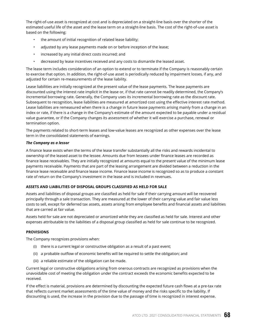The right-of-use asset is recognized at cost and is depreciated on a straight-line basis over the shorter of the estimated useful life of the asset and the lease term on a straight-line basis. The cost of the right-of-use asset is based on the following:

- the amount of initial recognition of related lease liability;
- adjusted by any lease payments made on or before inception of the lease;
- increased by any initial direct costs incurred; and
- decreased by lease incentives received and any costs to dismantle the leased asset.

The lease term includes consideration of an option to extend or to terminate if the Company is reasonably certain to exercise that option. In addition, the right-of-use asset is periodically reduced by impairment losses, if any, and adjusted for certain re-measurements of the lease liability.

Lease liabilities are initially recognized at the present value of the lease payments. The lease payments are discounted using the interest rate implicit in the lease or, if that rate cannot be readily determined, the Company's incremental borrowing rate. Generally, the Company uses its incremental borrowing rate as the discount rate. Subsequent to recognition, lease liabilities are measured at amortized cost using the effective interest rate method. Lease liabilities are remeasured when there is a change in future lease payments arising mainly from a change in an index or rate, if there is a change in the Company's estimate of the amount expected to be payable under a residual value guarantee, or if the Company changes its assessment of whether it will exercise a purchase, renewal or termination option.

The payments related to short-term leases and low-value leases are recognized as other expenses over the lease term in the consolidated statements of earnings.

## *The Company as a lessor*

A finance lease exists when the terms of the lease transfer substantially all the risks and rewards incidental to ownership of the leased asset to the lessee. Amounts due from lessees under finance leases are recorded as finance lease receivables. They are initially recognized at amounts equal to the present value of the minimum lease payments receivable. Payments that are part of the leasing arrangement are divided between a reduction in the finance lease receivable and finance lease income. Finance lease income is recognized so as to produce a constant rate of return on the Company's investment in the lease and is included in revenues.

## **ASSETS AND LIABILITIES OF DISPOSAL GROUPS CLASSIFIED AS HELD FOR SALE**

Assets and liabilities of disposal groups are classified as held for sale if their carrying amount will be recovered principally through a sale transaction. They are measured at the lower of their carrying value and fair value less costs to sell, except for deferred tax assets, assets arising from employee benefits and financial assets and liabilities that are carried at fair value.

Assets held for sale are not depreciated or amortized while they are classified as held for sale. Interest and other expenses attributable to the liabilities of a disposal group classified as held for sale continue to be recognized.

## **PROVISIONS**

The Company recognizes provisions when:

- (i) there is a current legal or constructive obligation as a result of a past event;
- (ii) a probable outflow of economic benefits will be required to settle the obligation; and
- (iii) a reliable estimate of the obligation can be made.

Current legal or constructive obligations arising from onerous contracts are recognized as provisions when the unavoidable cost of meeting the obligation under the contract exceeds the economic benefits expected to be received.

If the effect is material, provisions are determined by discounting the expected future cash flows at a pre-tax rate that reflects current market assessments of the time value of money and the risks specific to the liability. If discounting is used, the increase in the provision due to the passage of time is recognized in interest expense.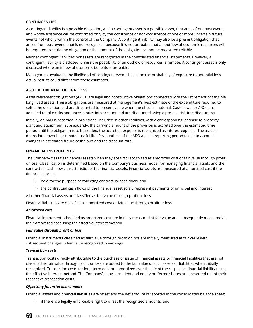## **CONTINGENCIES**

A contingent liability is a possible obligation, and a contingent asset is a possible asset, that arises from past events and whose existence will be confirmed only by the occurrence or non-occurrence of one or more uncertain future events not wholly within the control of the Company. A contingent liability may also be a present obligation that arises from past events that is not recognized because it is not probable that an outflow of economic resources will be required to settle the obligation or the amount of the obligation cannot be measured reliably.

Neither contingent liabilities nor assets are recognized in the consolidated financial statements. However, a contingent liability is disclosed, unless the possibility of an outflow of resources is remote. A contingent asset is only disclosed where an inflow of economic benefits is probable.

Management evaluates the likelihood of contingent events based on the probability of exposure to potential loss. Actual results could differ from these estimates.

#### **ASSET RETIREMENT OBLIGATIONS**

Asset retirement obligations (AROs) are legal and constructive obligations connected with the retirement of tangible long-lived assets. These obligations are measured at management's best estimate of the expenditure required to settle the obligation and are discounted to present value when the effect is material. Cash flows for AROs are adjusted to take risks and uncertainties into account and are discounted using a pre-tax, risk-free discount rate.

Initially, an ARO is recorded in provisions, included in other liabilities, with a corresponding increase to property, plant and equipment. Subsequently, the carrying amount of the provision is accreted over the estimated time period until the obligation is to be settled; the accretion expense is recognized as interest expense. The asset is depreciated over its estimated useful life. Revaluations of the ARO at each reporting period take into account changes in estimated future cash flows and the discount rate.

#### **FINANCIAL INSTRUMENTS**

The Company classifies financial assets when they are first recognized as amortized cost or fair value through profit or loss. Classification is determined based on the Company's business model for managing financial assets and the contractual cash flow characteristics of the financial assets. Financial assets are measured at amortized cost if the financial asset is:

- (i) held for the purpose of collecting contractual cash flows, and
- (ii) the contractual cash flows of the financial asset solely represent payments of principal and interest.

All other financial assets are classified as fair value through profit or loss.

Financial liabilities are classified as amortized cost or fair value through profit or loss.

#### *Amortized cost*

Financial instruments classified as amortized cost are initially measured at fair value and subsequently measured at their amortized cost using the effective interest method.

#### *Fair value through profit or loss*

Financial instruments classified as fair value through profit or loss are initially measured at fair value with subsequent changes in fair value recognized in earnings.

#### *Transaction costs*

Transaction costs directly attributable to the purchase or issue of financial assets or financial liabilities that are not classified as fair value through profit or loss are added to the fair value of such assets or liabilities when initially recognized. Transaction costs for long-term debt are amortized over the life of the respective financial liability using the effective interest method. The Company's long-term debt and equity preferred shares are presented net of their respective transaction costs.

#### *Offsetting financial instruments*

Financial assets and financial liabilities are offset and the net amount is reported in the consolidated balance sheet:

(i) if there is a legally enforceable right to offset the recognized amounts, and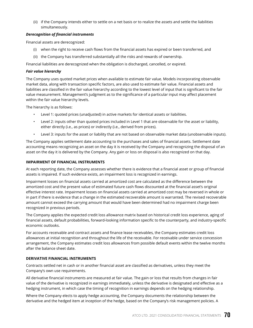(ii) if the Company intends either to settle on a net basis or to realize the assets and settle the liabilities simultaneously.

#### *Derecognition of financial instruments*

Financial assets are derecognized:

- (i) when the right to receive cash flows from the financial assets has expired or been transferred, and
- (ii) the Company has transferred substantially all the risks and rewards of ownership.

Financial liabilities are derecognized when the obligation is discharged, cancelled, or expired.

#### *Fair value hierarchy*

The Company uses quoted market prices when available to estimate fair value. Models incorporating observable market data, along with transaction specific factors, are also used to estimate fair value. Financial assets and liabilities are classified in the fair value hierarchy according to the lowest level of input that is significant to the fair value measurement. Management's judgment as to the significance of a particular input may affect placement within the fair value hierarchy levels.

The hierarchy is as follows:

- Level 1: quoted prices (unadjusted) in active markets for identical assets or liabilities.
- Level 2: inputs other than quoted prices included in Level 1 that are observable for the asset or liability, either directly (i.e., as prices) or indirectly (i.e., derived from prices).
- Level 3: inputs for the asset or liability that are not based on observable market data (unobservable inputs).

The Company applies settlement date accounting to the purchases and sales of financial assets. Settlement date accounting means recognizing an asset on the day it is received by the Company and recognizing the disposal of an asset on the day it is delivered by the Company. Any gain or loss on disposal is also recognized on that day.

#### **IMPAIRMENT OF FINANCIAL INSTRUMENTS**

At each reporting date, the Company assesses whether there is evidence that a financial asset or group of financial assets is impaired. If such evidence exists, an impairment loss is recognized in earnings.

Impairment losses on financial assets carried at amortized cost are calculated as the difference between the amortized cost and the present value of estimated future cash flows discounted at the financial asset's original effective interest rate. Impairment losses on financial assets carried at amortized cost may be reversed in whole or in part if there is evidence that a change in the estimated recoverable amount is warranted. The revised recoverable amount cannot exceed the carrying amount that would have been determined had no impairment charge been recognized in previous periods.

The Company applies the expected credit loss allowance matrix based on historical credit loss experience, aging of financial assets, default probabilities, forward-looking information specific to the counterparty, and industry-specific economic outlooks.

For accounts receivable and contract assets and finance lease receivables, the Company estimates credit loss allowances at initial recognition and throughout the life of the receivable. For receivable under service concession arrangement, the Company estimates credit loss allowances from possible default events within the twelve months after the balance sheet date.

## **DERIVATIVE FINANCIAL INSTRUMENTS**

Contracts settled net in cash or in another financial asset are classified as derivatives, unless they meet the Company's own use requirements.

All derivative financial instruments are measured at fair value. The gain or loss that results from changes in fair value of the derivative is recognized in earnings immediately, unless the derivative is designated and effective as a hedging instrument, in which case the timing of recognition in earnings depends on the hedging relationship.

Where the Company elects to apply hedge accounting, the Company documents the relationship between the derivative and the hedged item at inception of the hedge, based on the Company's risk management policies. A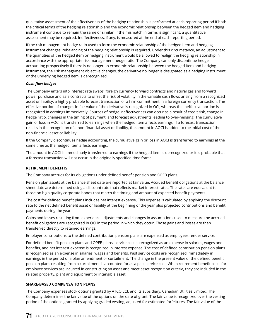qualitative assessment of the effectiveness of the hedging relationship is performed at each reporting period if both the critical terms of the hedging relationship and the economic relationship between the hedged item and hedging instrument continue to remain the same or similar. If the mismatch in terms is significant, a quantitative assessment may be required. Ineffectiveness, if any, is measured at the end of each reporting period.

If the risk management hedge ratio used to form the economic relationship of the hedged item and hedging instrument changes, rebalancing of the hedging relationship is required. Under this circumstance, an adjustment to the quantities of the hedged item or hedging instrument would be allowed to realign the hedging relationship in accordance with the appropriate risk management hedge ratio. The Company can only discontinue hedge accounting prospectively if there is no longer an economic relationship between the hedged item and hedging instrument, the risk management objective changes, the derivative no longer is designated as a hedging instrument, or the underlying hedged item is derecognized.

## *Cash flow hedges*

The Company enters into interest rate swaps, foreign currency forward contracts and natural gas and forward power purchase and sale contracts to offset the risk of volatility in the variable cash flows arising from a recognized asset or liability, a highly probable forecast transaction or a firm commitment in a foreign currency transaction. The effective portion of changes in fair value of the derivative is recognized in OCI, whereas the ineffective portion is recognized in earnings immediately. Sources of hedge ineffectiveness can occur as a result of credit risk, change in hedge ratio, changes in the timing of payment, and forecast adjustments leading to over-hedging. The cumulative gain or loss in AOCI is transferred to earnings when the hedged item affects earnings. If a forecast transaction results in the recognition of a non-financial asset or liability, the amount in AOCI is added to the initial cost of the non-financial asset or liability.

If the Company discontinues hedge accounting, the cumulative gain or loss in AOCI is transferred to earnings at the same time as the hedged item affects earnings.

The amount in AOCI is immediately transferred to earnings if the hedged item is derecognized or it is probable that a forecast transaction will not occur in the originally specified time frame.

## **RETIREMENT BENEFITS**

The Company accrues for its obligations under defined benefit pension and OPEB plans.

Pension plan assets at the balance sheet date are reported at fair value. Accrued benefit obligations at the balance sheet date are determined using a discount rate that reflects market interest rates. The rates are equivalent to those on high quality corporate bonds that match the timing and amount of expected benefit payments.

The cost for defined benefit plans includes net interest expense. This expense is calculated by applying the discount rate to the net defined benefit asset or liability at the beginning of the year plus projected contributions and benefit payments during the year.

Gains and losses resulting from experience adjustments and changes in assumptions used to measure the accrued benefit obligations are recognized in OCI in the period in which they occur. Those gains and losses are then transferred directly to retained earnings.

Employer contributions to the defined contribution pension plans are expensed as employees render service.

For defined benefit pension plans and OPEB plans, service cost is recognized as an expense in salaries, wages and benefits, and net interest expense is recognized in interest expense. The cost of defined contribution pension plans is recognized as an expense in salaries, wages and benefits. Past service costs are recognized immediately in earnings in the period of a plan amendment or curtailment. The change in the present value of the defined benefit pension plans resulting from a curtailment is accounted for as a past service cost. When retirement benefit costs for employee services are incurred in constructing an asset and meet asset recognition criteria, they are included in the related property, plant and equipment or intangible asset.

## **SHARE-BASED COMPENSATION PLANS**

The Company expenses stock options granted by ATCO Ltd. and its subsidiary, Canadian Utilities Limited. The Company determines the fair value of the options on the date of grant. The fair value is recognized over the vesting period of the options granted by applying graded vesting, adjusted for estimated forfeitures. The fair value of the